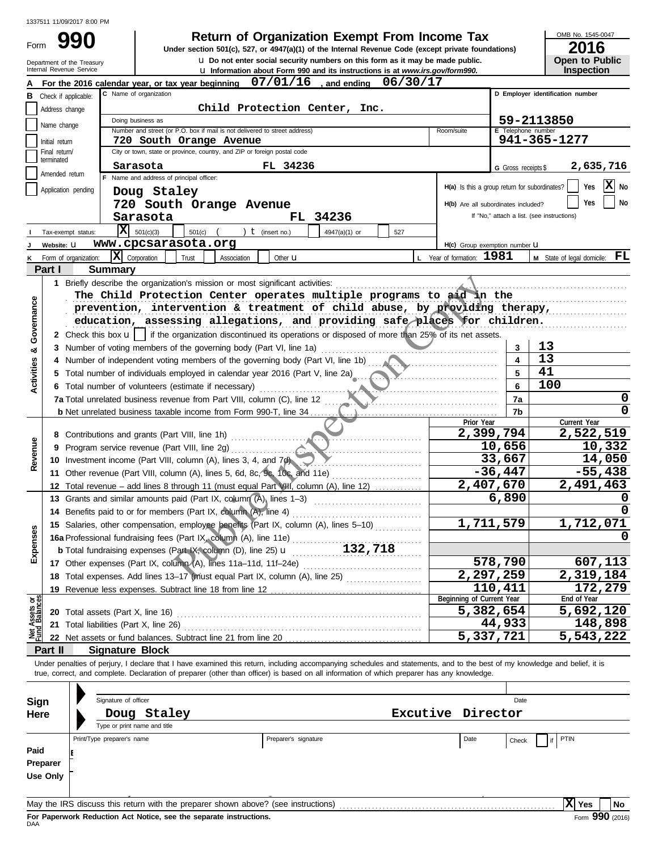Form

**u** Do not enter social security numbers on this form as it may be made public. **990 1990 2016 2016 2016 Direct UP 10. 1545-00 <b>Property From Income Tax 1945-016 2016** 

OMB No. 1545-0047

| 20 I U                |
|-----------------------|
| <b>Open to Public</b> |
| <b>Inspection</b>     |

|                           | Department of the Treasury<br>Internal Revenue Service |                                                                                                                                                                            | <b>u</b> Do not enter social security numbers on this form as it may be made public.                           |          |                                               |                         | Open to Public                                  |
|---------------------------|--------------------------------------------------------|----------------------------------------------------------------------------------------------------------------------------------------------------------------------------|----------------------------------------------------------------------------------------------------------------|----------|-----------------------------------------------|-------------------------|-------------------------------------------------|
|                           |                                                        |                                                                                                                                                                            | <b>u</b> Information about Form 990 and its instructions is at www.irs.gov/form990.<br>$07/01/16$ , and ending | 06/30/17 |                                               |                         | <b>Inspection</b>                               |
|                           | Check if applicable:                                   | For the 2016 calendar year, or tax year beginning<br>C Name of organization                                                                                                |                                                                                                                |          |                                               |                         | D Employer identification number                |
| в                         | Address change                                         |                                                                                                                                                                            | Child Protection Center, Inc.                                                                                  |          |                                               |                         |                                                 |
|                           |                                                        | Doing business as                                                                                                                                                          |                                                                                                                |          |                                               |                         | 59-2113850                                      |
|                           | Name change                                            | E Telephone number                                                                                                                                                         |                                                                                                                |          |                                               |                         |                                                 |
|                           | Initial return                                         | 720 South Orange Avenue                                                                                                                                                    |                                                                                                                |          |                                               |                         | 941-365-1277                                    |
|                           | Final return/<br>terminated                            | City or town, state or province, country, and ZIP or foreign postal code                                                                                                   |                                                                                                                |          |                                               |                         |                                                 |
|                           | Amended return                                         | Sarasota                                                                                                                                                                   | FL 34236                                                                                                       |          |                                               | G Gross receipts \$     | 2,635,716                                       |
|                           |                                                        | Name and address of principal officer:                                                                                                                                     |                                                                                                                |          | H(a) Is this a group return for subordinates? |                         | X No<br>Yes                                     |
|                           | Application pending                                    | Doug Staley                                                                                                                                                                |                                                                                                                |          |                                               |                         |                                                 |
|                           |                                                        | 720 South Orange Avenue                                                                                                                                                    |                                                                                                                |          | H(b) Are all subordinates included?           |                         | No<br>Yes                                       |
|                           |                                                        | Sarasota                                                                                                                                                                   | FL 34236                                                                                                       |          |                                               |                         | If "No," attach a list. (see instructions)      |
|                           | Tax-exempt status:                                     | $\overline{\mathbf{X}}$ 501(c)(3)<br>501(c)                                                                                                                                | ) $t$ (insert no.)<br>4947(a)(1) or                                                                            | 527      |                                               |                         |                                                 |
|                           | Website: U                                             | www.cpcsarasota.org                                                                                                                                                        |                                                                                                                |          | H(c) Group exemption number LI                |                         |                                                 |
|                           | Form of organization:                                  | $ \mathbf{X} $ Corporation<br>Trust<br>Association                                                                                                                         | Other <b>u</b>                                                                                                 |          | L Year of formation: 1981                     |                         | <b>M</b> State of legal domicile: $\mathbf{FL}$ |
|                           | Part I                                                 | <b>Summary</b>                                                                                                                                                             |                                                                                                                |          |                                               |                         |                                                 |
|                           |                                                        | 1 Briefly describe the organization's mission or most significant activities:                                                                                              |                                                                                                                |          |                                               |                         |                                                 |
|                           |                                                        | The Child Protection Center operates multiple programs to aid in the                                                                                                       |                                                                                                                |          |                                               |                         |                                                 |
|                           |                                                        | prevention, intervention & treatment of child abuse, by previding therapy,                                                                                                 |                                                                                                                |          |                                               |                         |                                                 |
|                           |                                                        | education, assessing allegations, and providing safe places for children.                                                                                                  |                                                                                                                |          |                                               |                         |                                                 |
| Governance                |                                                        | 2 Check this box $\mathbf{u}$   if the organization discontinued its operations or disposed of more than 25% of its net assets.                                            |                                                                                                                |          |                                               |                         |                                                 |
| න්                        |                                                        | 3 Number of voting members of the governing body (Part VI, line 1a)                                                                                                        |                                                                                                                |          |                                               | 3                       | 13                                              |
|                           |                                                        | 4 Number of independent voting members of the governing body (Part VI, line 1b)                                                                                            |                                                                                                                |          |                                               | $\overline{\mathbf{4}}$ | 13                                              |
| <b>Activities</b>         |                                                        | 5 Total number of individuals employed in calendar year 2016 (Part V, line 2a)                                                                                             |                                                                                                                |          |                                               | 5                       | 41                                              |
|                           |                                                        | 6 Total number of volunteers (estimate if necessary)                                                                                                                       |                                                                                                                |          |                                               | 6                       | 100                                             |
|                           |                                                        | <b>7a</b> Total unrelated business revenue from Part VIII, column (C), line 12 $\ldots$                                                                                    |                                                                                                                |          |                                               | 7a                      |                                                 |
|                           |                                                        | <b>b</b> Net unrelated business taxable income from Form 990-T, line 34                                                                                                    |                                                                                                                |          |                                               | 7b                      |                                                 |
|                           |                                                        |                                                                                                                                                                            |                                                                                                                |          | Prior Year<br>2,399,794                       |                         | Current Year<br>2,522,519                       |
|                           |                                                        | 9 Program service revenue (Part VIII, line 2g)                                                                                                                             |                                                                                                                |          |                                               | 10,656                  | 10,332                                          |
| Revenue                   |                                                        | 10 Investment income (Part VIII, column (A), lines 3, 4, and 7d)                                                                                                           | $\ldots$ $\alpha$                                                                                              |          |                                               | 33,667                  | 14,050                                          |
|                           |                                                        | 11 Other revenue (Part VIII, column (A), lines 5, 6d, 8c, 9c, 10c, and 11e)                                                                                                |                                                                                                                |          |                                               | $-36,447$               | $-55,438$                                       |
|                           |                                                        | 12 Total revenue - add lines 8 through 11 (must equal Part VIII, column (A), line 12)                                                                                      |                                                                                                                |          |                                               | 2,407,670               | 2,491,463                                       |
|                           |                                                        | 13 Grants and similar amounts paid (Part IX, column (A), lines 1-3)                                                                                                        |                                                                                                                |          |                                               | 6,890                   |                                                 |
|                           |                                                        | 14 Benefits paid to or for members (Part IX, column (A), line 4)                                                                                                           |                                                                                                                |          |                                               |                         |                                                 |
|                           |                                                        | 15 Salaries, other compensation, employee benefits (Part IX, column (A), lines 5-10)                                                                                       |                                                                                                                |          |                                               | 1,711,579               | 1,712,071                                       |
| Ses                       |                                                        | 16a Professional fundraising fees (Part IX, column (A), line 11e)                                                                                                          |                                                                                                                |          |                                               |                         |                                                 |
| Expen                     |                                                        | <b>b</b> Total fundraising expenses (Part IX, column (D), line 25) <b>u</b> 132, 718                                                                                       |                                                                                                                |          |                                               |                         |                                                 |
|                           |                                                        | 17 Other expenses (Part IX, column (A), lines 11a-11d, 11f-24e)                                                                                                            |                                                                                                                |          |                                               | 578,790                 | 607,113                                         |
|                           |                                                        | 18 Total expenses. Add lines 13-17 (must equal Part IX, column (A), line 25)                                                                                               |                                                                                                                |          | 2,297,259                                     |                         | 2,319,184                                       |
|                           |                                                        | 19 Revenue less expenses. Subtract line 18 from line 12                                                                                                                    |                                                                                                                |          |                                               | 110,411                 | 172,279                                         |
| t Assets or<br>d Balances |                                                        |                                                                                                                                                                            |                                                                                                                |          | Beginning of Current Year                     |                         | End of Year                                     |
|                           |                                                        | 20 Total assets (Part X, line 16)                                                                                                                                          |                                                                                                                |          | 5,382,654                                     |                         | 5,692,120                                       |
|                           |                                                        | 21 Total liabilities (Part X, line 26)                                                                                                                                     |                                                                                                                |          |                                               | 44,933                  | 148,898                                         |
| Net<br>Fund               |                                                        | 22 Net assets or fund balances. Subtract line 21 from line 20                                                                                                              |                                                                                                                |          | 5,337,721                                     |                         | $\overline{5,543,222}$                          |
|                           | Part II                                                | <b>Signature Block</b>                                                                                                                                                     |                                                                                                                |          |                                               |                         |                                                 |
|                           |                                                        | Under penalties of perjury, I declare that I have examined this return, including accompanying schedules and statements, and to the best of my knowledge and belief, it is |                                                                                                                |          |                                               |                         |                                                 |
|                           |                                                        | true, correct, and complete. Declaration of preparer (other than officer) is based on all information of which preparer has any knowledge.                                 |                                                                                                                |          |                                               |                         |                                                 |
|                           |                                                        |                                                                                                                                                                            |                                                                                                                |          |                                               |                         |                                                 |
| Sign                      |                                                        | Signature of officer                                                                                                                                                       |                                                                                                                |          |                                               | Date                    |                                                 |
| Here                      |                                                        | Doug Staley                                                                                                                                                                |                                                                                                                |          | Excutive Director                             |                         |                                                 |
|                           |                                                        | Type or print name and title<br>Print/Type preparer's name                                                                                                                 |                                                                                                                |          |                                               |                         | PTIN                                            |
| Paid                      |                                                        |                                                                                                                                                                            | Preparer's signature                                                                                           |          | Date                                          | Check                   | if.                                             |
|                           | Preparer                                               |                                                                                                                                                                            |                                                                                                                |          |                                               |                         |                                                 |
|                           | <b>Use Only</b>                                        |                                                                                                                                                                            |                                                                                                                |          |                                               |                         |                                                 |
|                           |                                                        |                                                                                                                                                                            |                                                                                                                |          |                                               |                         |                                                 |
|                           |                                                        |                                                                                                                                                                            |                                                                                                                |          |                                               |                         | X Yes<br>No                                     |
|                           |                                                        |                                                                                                                                                                            |                                                                                                                |          |                                               |                         |                                                 |

| Sign     | Signature of officer                                                              |                      |          |          | Date  |      |            |    |
|----------|-----------------------------------------------------------------------------------|----------------------|----------|----------|-------|------|------------|----|
| Here     | Staley<br>Doug                                                                    |                      | Excutive | Director |       |      |            |    |
|          | Type or print name and title                                                      |                      |          |          |       |      |            |    |
|          | Print/Type preparer's name                                                        | Preparer's signature |          | Date     | Check | PTIN |            |    |
| Paid     |                                                                                   |                      |          |          |       |      |            |    |
| Preparer |                                                                                   |                      |          |          |       |      |            |    |
| Use Only |                                                                                   |                      |          |          |       |      |            |    |
|          |                                                                                   |                      |          |          |       |      |            |    |
|          | May the IRS discuss this return with the preparer shown above? (see instructions) |                      |          |          |       | ΙXΙ  | <b>Yes</b> | No |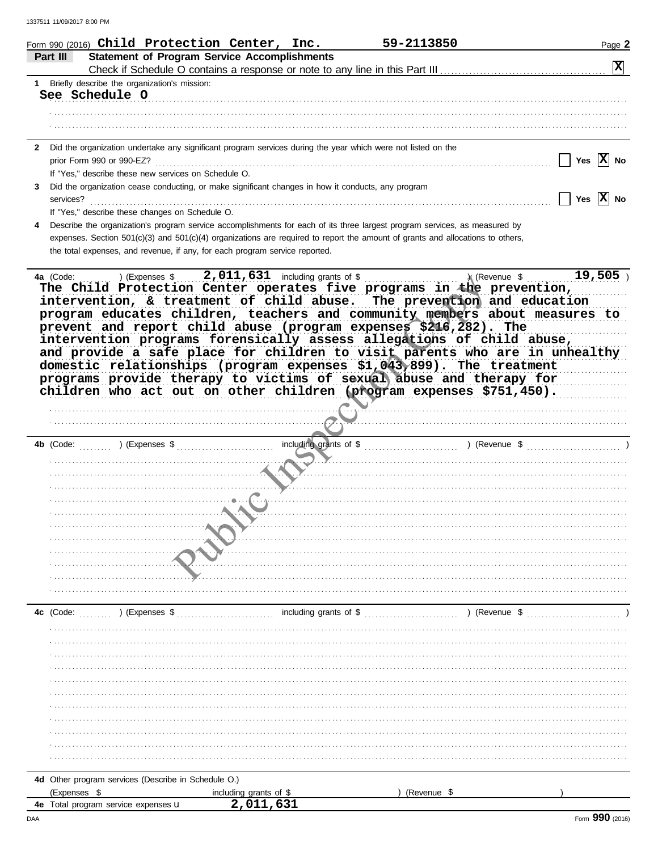|                                                                                               | Form 990 (2016) $\mathtt{Children}$ Protection Center, Inc.                                                                                         | 59-2113850                   | Page 2         |
|-----------------------------------------------------------------------------------------------|-----------------------------------------------------------------------------------------------------------------------------------------------------|------------------------------|----------------|
| Part III                                                                                      | <b>Statement of Program Service Accomplishments</b><br>Check if Schedule O contains a response or note to any line in this Part III                 |                              | $ \mathbf{x} $ |
| Briefly describe the organization's mission:<br>1.                                            |                                                                                                                                                     |                              |                |
| See Schedule O                                                                                |                                                                                                                                                     |                              |                |
|                                                                                               |                                                                                                                                                     |                              |                |
|                                                                                               |                                                                                                                                                     |                              |                |
|                                                                                               |                                                                                                                                                     |                              |                |
| $\mathbf{2}$                                                                                  | Did the organization undertake any significant program services during the year which were not listed on the                                        |                              |                |
| prior Form 990 or 990-EZ?                                                                     |                                                                                                                                                     |                              | Yes $ X $ No   |
| If "Yes," describe these new services on Schedule O.                                          |                                                                                                                                                     |                              |                |
| 3.                                                                                            | Did the organization cease conducting, or make significant changes in how it conducts, any program                                                  |                              |                |
| services?<br>If "Yes," describe these changes on Schedule O.                                  |                                                                                                                                                     |                              | Yes $ X $ No   |
|                                                                                               | Describe the organization's program service accomplishments for each of its three largest program services, as measured by                          |                              |                |
|                                                                                               | expenses. Section $501(c)(3)$ and $501(c)(4)$ organizations are required to report the amount of grants and allocations to others,                  |                              |                |
| the total expenses, and revenue, if any, for each program service reported.                   |                                                                                                                                                     |                              |                |
|                                                                                               |                                                                                                                                                     |                              |                |
| ) (Expenses \$<br>4a (Code:                                                                   |                                                                                                                                                     | ) (Revenue \$                | 19,505         |
|                                                                                               | The Child Protection Center operates five programs in the prevention,                                                                               |                              |                |
| intervention, & treatment of child abuse.                                                     |                                                                                                                                                     | The prevention and education |                |
|                                                                                               | program educates children, teachers and community members about measures to                                                                         |                              |                |
|                                                                                               | prevent and report child abuse (program expenses \$216,282). The                                                                                    |                              |                |
|                                                                                               | intervention programs forensically assess allegations of child abuse,                                                                               |                              |                |
|                                                                                               | and provide a safe place for children to visit parents who are in unhealthy<br>domestic relationships (program expenses \$1,043,899). The treatment |                              |                |
|                                                                                               | programs provide therapy to victims of sexual abuse and therapy for                                                                                 |                              |                |
|                                                                                               | children who act out on other children (program expenses \$751,450).                                                                                |                              |                |
|                                                                                               |                                                                                                                                                     |                              |                |
|                                                                                               |                                                                                                                                                     |                              |                |
|                                                                                               |                                                                                                                                                     |                              |                |
|                                                                                               |                                                                                                                                                     |                              |                |
| ) (Expenses \$                                                                                | including grants of \$                                                                                                                              | ) (Revenue \$                |                |
|                                                                                               |                                                                                                                                                     |                              |                |
|                                                                                               |                                                                                                                                                     |                              |                |
|                                                                                               |                                                                                                                                                     |                              |                |
|                                                                                               |                                                                                                                                                     |                              |                |
|                                                                                               |                                                                                                                                                     |                              |                |
|                                                                                               |                                                                                                                                                     |                              |                |
|                                                                                               |                                                                                                                                                     |                              |                |
|                                                                                               |                                                                                                                                                     |                              |                |
|                                                                                               |                                                                                                                                                     |                              |                |
|                                                                                               |                                                                                                                                                     |                              |                |
|                                                                                               |                                                                                                                                                     |                              |                |
|                                                                                               |                                                                                                                                                     |                              |                |
| ) (Expenses \$                                                                                | including grants of \$                                                                                                                              | ) (Revenue \$                |                |
|                                                                                               |                                                                                                                                                     |                              |                |
|                                                                                               |                                                                                                                                                     |                              |                |
|                                                                                               |                                                                                                                                                     |                              |                |
|                                                                                               |                                                                                                                                                     |                              |                |
|                                                                                               |                                                                                                                                                     |                              |                |
|                                                                                               |                                                                                                                                                     |                              |                |
|                                                                                               |                                                                                                                                                     |                              |                |
|                                                                                               |                                                                                                                                                     |                              |                |
|                                                                                               |                                                                                                                                                     |                              |                |
|                                                                                               |                                                                                                                                                     |                              |                |
|                                                                                               |                                                                                                                                                     |                              |                |
| 4b (Code:<br>4c (Code:<br>4d Other program services (Describe in Schedule O.)<br>(Expenses \$ | including grants of \$                                                                                                                              | (Revenue \$                  |                |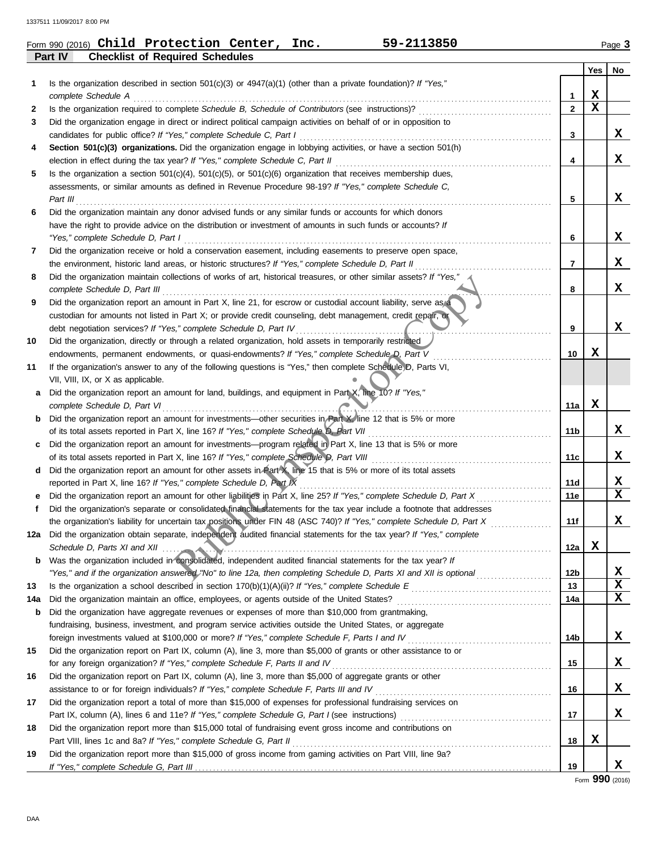|     | Form 990 (2016) Child Protection Center, Inc.<br>59-2113850                                                                 |              |             | Page 3                  |
|-----|-----------------------------------------------------------------------------------------------------------------------------|--------------|-------------|-------------------------|
|     | Part IV<br><b>Checklist of Required Schedules</b>                                                                           |              | Yes         | No                      |
| 1   | Is the organization described in section $501(c)(3)$ or $4947(a)(1)$ (other than a private foundation)? If "Yes,"           |              |             |                         |
|     | complete Schedule A                                                                                                         | 1            | X           |                         |
| 2   |                                                                                                                             | $\mathbf{2}$ | $\mathbf x$ |                         |
| 3   | Did the organization engage in direct or indirect political campaign activities on behalf of or in opposition to            |              |             |                         |
|     | candidates for public office? If "Yes," complete Schedule C, Part I                                                         | 3            |             | X                       |
| 4   | Section 501(c)(3) organizations. Did the organization engage in lobbying activities, or have a section 501(h)               |              |             |                         |
|     | election in effect during the tax year? If "Yes," complete Schedule C, Part II                                              | 4            |             | X                       |
| 5   | Is the organization a section $501(c)(4)$ , $501(c)(5)$ , or $501(c)(6)$ organization that receives membership dues,        |              |             |                         |
|     | assessments, or similar amounts as defined in Revenue Procedure 98-19? If "Yes," complete Schedule C,<br>Part III           | 5            |             | X                       |
| 6   | Did the organization maintain any donor advised funds or any similar funds or accounts for which donors                     |              |             |                         |
|     | have the right to provide advice on the distribution or investment of amounts in such funds or accounts? If                 |              |             |                         |
|     | "Yes," complete Schedule D, Part I                                                                                          | 6            |             | X                       |
| 7   | Did the organization receive or hold a conservation easement, including easements to preserve open space,                   |              |             |                         |
|     | the environment, historic land areas, or historic structures? If "Yes," complete Schedule D, Part II                        | 7            |             | X                       |
| 8   | Did the organization maintain collections of works of art, historical treasures, or other similar assets? If "Yes,"         |              |             |                         |
|     | complete Schedule D, Part III                                                                                               | 8            |             | x                       |
| 9   | Did the organization report an amount in Part X, line 21, for escrow or custodial account liability, serve as a             |              |             |                         |
|     | custodian for amounts not listed in Part X; or provide credit counseling, debt management, credit repair, or                |              |             |                         |
|     | debt negotiation services? If "Yes," complete Schedule D, Part IV                                                           | 9            |             | x                       |
| 10  | Did the organization, directly or through a related organization, hold assets in temporarily restricted                     |              |             |                         |
|     | endowments, permanent endowments, or quasi-endowments? If "Yes," complete Schedule D, Part V                                | 10           | x           |                         |
| 11  | If the organization's answer to any of the following questions is "Yes," then complete Schedule D, Parts VI,                |              |             |                         |
|     | VII, VIII, IX, or X as applicable.                                                                                          |              |             |                         |
| a   | Did the organization report an amount for land, buildings, and equipment in Part X, line 10? If "Yes,"                      |              |             |                         |
|     | complete Schedule D, Part VI                                                                                                | 11a          | x           |                         |
| b   | Did the organization report an amount for investments—other securities in Part X, line 12 that is 5% or more                |              |             |                         |
|     | of its total assets reported in Part X, line 16? If "Yes," complete Schedule D, Part VII                                    | 11b          |             | x                       |
| C   | Did the organization report an amount for investments—program related in Part X, line 13 that is 5% or more                 |              |             | x                       |
|     | d Did the organization report an amount for other assets in Part X, line 15 that is 5% or more of its total assets          | 11c          |             |                         |
|     | reported in Part X, line 16? If "Yes," complete Schedule D, Part IX                                                         | 11d          |             | X,                      |
| е   | Did the organization report an amount for other liabilities in Part X, line 25? If "Yes," complete Schedule D, Part X       | 11e          |             | $\overline{\mathbf{x}}$ |
| f   | Did the organization's separate or consolidated financial statements for the tax year include a footnote that addresses     |              |             |                         |
|     | the organization's liability for uncertain tax positions under FIN 48 (ASC 740)? If "Yes," complete Schedule D, Part X<br>. | 11f          |             | X,                      |
| 12a | Did the organization obtain separate, independent audited financial statements for the tax year? If "Yes," complete         |              |             |                         |
|     |                                                                                                                             | 12a          | x           |                         |
| b   | Was the organization included in consolidated, independent audited financial statements for the tax year? If                |              |             |                         |
|     | "Yes," and if the organization answered "No" to line 12a, then completing Schedule D, Parts XI and XII is optional          | 12b          |             | X                       |
| 13  |                                                                                                                             | 13           |             | X                       |
| 14a | Did the organization maintain an office, employees, or agents outside of the United States?                                 | 14a          |             | X                       |
| b   | Did the organization have aggregate revenues or expenses of more than \$10,000 from grantmaking,                            |              |             |                         |
|     | fundraising, business, investment, and program service activities outside the United States, or aggregate                   |              |             |                         |
|     |                                                                                                                             | 14b          |             | X                       |
| 15  | Did the organization report on Part IX, column (A), line 3, more than \$5,000 of grants or other assistance to or           |              |             |                         |
|     | for any foreign organization? If "Yes," complete Schedule F, Parts II and IV                                                | 15           |             | X,                      |
| 16  | Did the organization report on Part IX, column (A), line 3, more than \$5,000 of aggregate grants or other                  |              |             |                         |
|     | assistance to or for foreign individuals? If "Yes," complete Schedule F, Parts III and IV                                   | 16           |             | X                       |
| 17  | Did the organization report a total of more than \$15,000 of expenses for professional fundraising services on              |              |             |                         |
|     |                                                                                                                             | 17           |             | X                       |
| 18  | Did the organization report more than \$15,000 total of fundraising event gross income and contributions on                 |              |             |                         |
|     |                                                                                                                             | 18           | X           |                         |

Form **990** (2016)

**19**

**Yes No**

**X**

**X**

**X**

**X**

**X**

**X**

**X**

**X**

**X**

**X**

**X**

**X**

**X**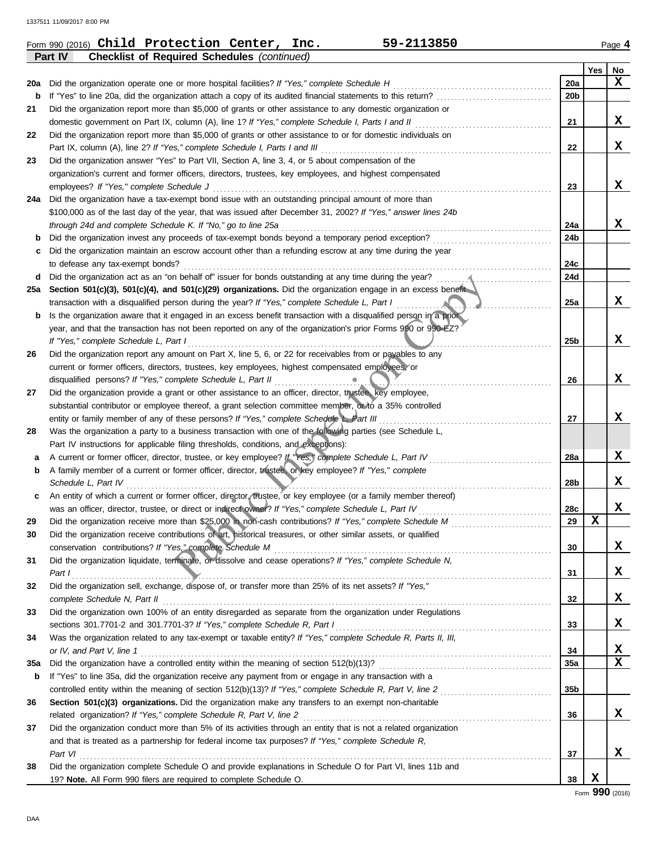|     | 59-2113850<br>Form 990 (2016) Child Protection Center, $Inc.$                                                    |     |     | Page 4 |
|-----|------------------------------------------------------------------------------------------------------------------|-----|-----|--------|
|     | Part IV<br><b>Checklist of Required Schedules (continued)</b>                                                    |     |     |        |
|     |                                                                                                                  |     | Yes | No     |
| 20a | Did the organization operate one or more hospital facilities? If "Yes," complete Schedule H                      | 20a |     | x      |
| b   | If "Yes" to line 20a, did the organization attach a copy of its audited financial statements to this return?     | 20b |     |        |
| 21  | Did the organization report more than \$5,000 of grants or other assistance to any domestic organization or      |     |     |        |
|     | domestic government on Part IX, column (A), line 1? If "Yes," complete Schedule I, Parts I and II                | 21  |     | X      |
| 22  | Did the organization report more than \$5,000 of grants or other assistance to or for domestic individuals on    |     |     |        |
|     | Part IX, column (A), line 2? If "Yes," complete Schedule I, Parts I and III                                      | 22  |     | X      |
| 23  | Did the organization answer "Yes" to Part VII, Section A, line 3, 4, or 5 about compensation of the              |     |     |        |
|     | organization's current and former officers, directors, trustees, key employees, and highest compensated          |     |     |        |
|     | employees? If "Yes," complete Schedule J                                                                         | 23  |     | X      |
|     | 24a Did the organization have a tax-exempt bond issue with an outstanding principal amount of more than          |     |     |        |
|     | \$100,000 as of the last day of the year, that was issued after December 31, 2002? If "Yes," answer lines 24b    |     |     |        |
|     | through 24d and complete Schedule K. If "No," go to line 25a                                                     | 24a |     | X      |
| b   | Did the organization invest any proceeds of tax-exempt bonds beyond a temporary period exception?                | 24b |     |        |
| с   | Did the organization maintain an escrow account other than a refunding escrow at any time during the year        |     |     |        |
|     | to defease any tax-exempt bonds?                                                                                 | 24c |     |        |
| d   | Did the organization act as an "on behalf of" issuer for bonds outstanding at any time during the year?          | 24d |     |        |
|     | 25a Section 501(c)(3), 501(c)(4), and 501(c)(29) organizations. Did the organization engage in an excess benefit |     |     |        |
|     | transaction with a disqualified person during the year? If "Yes," complete Schedule L, Part I                    | 25a |     | x      |
| b   | Is the organization aware that it engaged in an excess benefit transaction with a disqualified person in a prior |     |     |        |
|     | year, and that the transaction has not been reported on any of the organization's prior Forms 990 or 990-EZ?     |     |     |        |
|     | If "Yes," complete Schedule L, Part I                                                                            | 25b |     | x      |
| 26  | Did the organization report any amount on Part X, line 5, 6, or 22 for receivables from or payables to any       |     |     |        |
|     | current or former officers, directors, trustees, key employees, highest compensated employees, or                |     |     |        |
|     | disqualified persons? If "Yes," complete Schedule L, Part II                                                     | 26  |     | x      |
| 27  | Did the organization provide a grant or other assistance to an officer, director, trustee, key employee,         |     |     |        |
|     | substantial contributor or employee thereof, a grant selection committee member, or to a 35% controlled          |     |     |        |
|     | entity or family member of any of these persons? If "Yes," complete Schedule L, Part III                         | 27  |     | X      |
| 28  | Was the organization a party to a business transaction with one of the following parties (see Schedule L,        |     |     |        |
|     | Part IV instructions for applicable filing thresholds, conditions, and exceptions):                              |     |     |        |
| а   | A current or former officer, director, trustee, or key employee? If "Yes," complete Schedule L, Part IV          | 28a |     | X      |
| b   | A family member of a current or former officer, director, trustee, or key employee? If "Yes," complete           |     |     |        |
|     | Schedule L, Part IV                                                                                              | 28b |     | x      |
| c   | An entity of which a current or former officer, director, flustee, or key employee (or a family member thereof)  |     |     |        |
|     | was an officer, director, trustee, or direct or indirect owner? If "Yes," complete Schedule L, Part IV           | 28c |     | x      |
| 29  |                                                                                                                  | 29  | X   |        |
| 30  | Did the organization receive contributions of art, historical treasures, or other similar assets, or qualified   |     |     |        |
|     | conservation contributions? If "Yes," complete Schedule M                                                        | 30  |     | X      |
| 31  | Did the organization liquidate, terminate, or dissolve and cease operations? If "Yes," complete Schedule N,      |     |     |        |
|     | Part I                                                                                                           | 31  |     | X      |
| 32  | Did the organization sell, exchange, dispose of, or transfer more than 25% of its net assets? If "Yes,"          |     |     |        |
|     | complete Schedule N, Part II                                                                                     | 32  |     | X      |
| 33  | Did the organization own 100% of an entity disregarded as separate from the organization under Regulations       |     |     |        |
|     | sections 301.7701-2 and 301.7701-3? If "Yes," complete Schedule R, Part I                                        | 33  |     | x      |
| 34  | Was the organization related to any tax-exempt or taxable entity? If "Yes," complete Schedule R, Parts II, III,  |     |     |        |
|     | or IV, and Part V, line 1                                                                                        | 34  |     | X      |
| 35a |                                                                                                                  | 35a |     | x      |
| b   | If "Yes" to line 35a, did the organization receive any payment from or engage in any transaction with a          |     |     |        |
|     |                                                                                                                  | 35b |     |        |
| 36  | Section 501(c)(3) organizations. Did the organization make any transfers to an exempt non-charitable             |     |     |        |
|     | related organization? If "Yes," complete Schedule R, Part V, line 2                                              | 36  |     | x      |
| 37  | Did the organization conduct more than 5% of its activities through an entity that is not a related organization |     |     |        |
|     | and that is treated as a partnership for federal income tax purposes? If "Yes," complete Schedule R,             |     |     |        |
|     | Part VI                                                                                                          | 37  |     | x      |
| 38  | Did the organization complete Schedule O and provide explanations in Schedule O for Part VI, lines 11b and       |     |     |        |
|     | 19? Note. All Form 990 filers are required to complete Schedule O.                                               | 38  | X   |        |
|     |                                                                                                                  |     |     |        |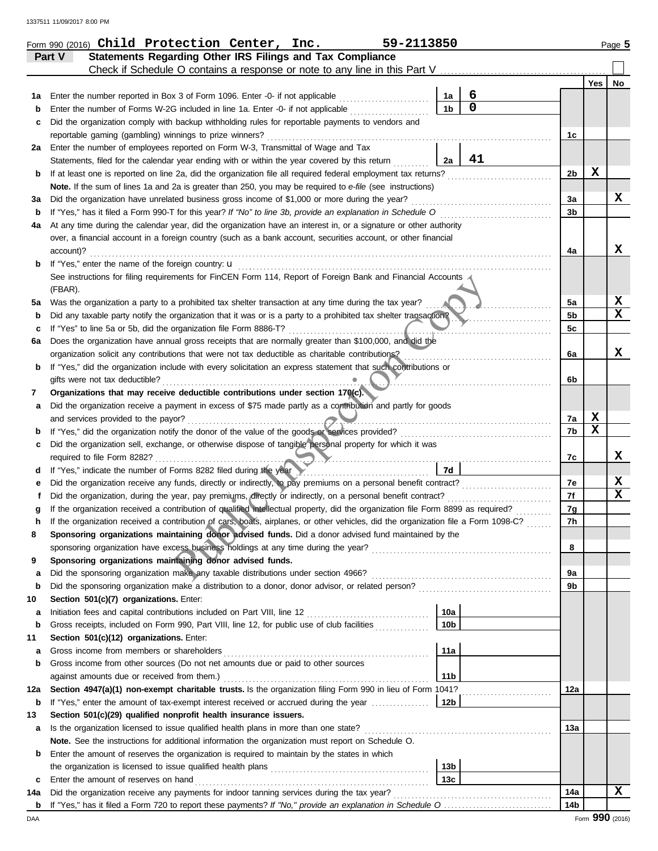|     | 59-2113850<br>Form 990 (2016) Child Protection Center, Inc.                                                                             |                 |          |                 |     | Page 5    |
|-----|-----------------------------------------------------------------------------------------------------------------------------------------|-----------------|----------|-----------------|-----|-----------|
|     | Statements Regarding Other IRS Filings and Tax Compliance<br>Part V                                                                     |                 |          |                 |     |           |
|     | Check if Schedule O contains a response or note to any line in this Part V                                                              |                 |          |                 |     |           |
|     |                                                                                                                                         |                 |          |                 | Yes | <b>No</b> |
| 1a  | Enter the number reported in Box 3 of Form 1096. Enter -0- if not applicable                                                            | 1a              | 6        |                 |     |           |
|     | Enter the number of Forms W-2G included in line 1a. Enter -0- if not applicable                                                         | 1 <sub>b</sub>  | $\Omega$ |                 |     |           |
| с   | Did the organization comply with backup withholding rules for reportable payments to vendors and                                        |                 |          |                 |     |           |
|     | reportable gaming (gambling) winnings to prize winners?                                                                                 |                 |          | 1c              |     |           |
| 2a  | Enter the number of employees reported on Form W-3, Transmittal of Wage and Tax                                                         |                 |          |                 |     |           |
|     | Statements, filed for the calendar year ending with or within the year covered by this return                                           | 2a              | 41       |                 |     |           |
| b   | If at least one is reported on line 2a, did the organization file all required federal employment tax returns?                          |                 |          | 2 <sub>b</sub>  | х   |           |
|     | Note. If the sum of lines 1a and 2a is greater than 250, you may be required to e-file (see instructions)                               |                 |          |                 |     |           |
| за  | Did the organization have unrelated business gross income of \$1,000 or more during the year?                                           |                 |          | За              |     | x         |
| b   | If "Yes," has it filed a Form 990-T for this year? If "No" to line 3b, provide an explanation in Schedule O                             |                 |          | 3b              |     |           |
| 4a  | At any time during the calendar year, did the organization have an interest in, or a signature or other authority                       |                 |          |                 |     |           |
|     | over, a financial account in a foreign country (such as a bank account, securities account, or other financial                          |                 |          |                 |     |           |
|     | account)?                                                                                                                               |                 |          | 4a              |     | x         |
| b   | If "Yes," enter the name of the foreign country: u                                                                                      |                 |          |                 |     |           |
|     | See instructions for filing requirements for FinCEN Form 114, Report of Foreign Bank and Financial Accounts                             |                 |          |                 |     |           |
|     | (FBAR).                                                                                                                                 |                 |          |                 |     |           |
| 5а  | Was the organization a party to a prohibited tax shelter transaction at any time during the tax year?                                   |                 |          | 5a              |     | X         |
| b   | Did any taxable party notify the organization that it was or is a party to a prohibited tax shelter transaction?                        |                 |          | 5 <sub>b</sub>  |     | x         |
|     | If "Yes" to line 5a or 5b, did the organization file Form 8886-T?                                                                       |                 |          | 5c              |     |           |
| 6а  | Does the organization have annual gross receipts that are normally greater than \$100,000, and did the                                  |                 |          |                 |     |           |
|     | organization solicit any contributions that were not tax deductible as charitable contributions?                                        |                 |          | 6a              |     | x         |
| b   | If "Yes," did the organization include with every solicitation an express statement that such contributions or                          |                 |          |                 |     |           |
|     | gifts were not tax deductible?                                                                                                          |                 |          | 6b              |     |           |
| 7   | Organizations that may receive deductible contributions under section 170(c).                                                           |                 |          |                 |     |           |
| а   | Did the organization receive a payment in excess of \$75 made partly as a contribution and partly for goods                             |                 |          |                 |     |           |
|     | and services provided to the payor?                                                                                                     |                 |          | 7a              | X   |           |
| b   |                                                                                                                                         |                 |          | 7b              | X   |           |
| c   | Did the organization sell, exchange, or otherwise dispose of tangible personal property for which it was                                |                 |          |                 |     |           |
|     | required to file Form 8282?                                                                                                             |                 |          | 7с              |     | x         |
| d   | If "Yes," indicate the number of Forms 8282 filed during the year                                                                       | 7d              |          |                 |     |           |
|     | Did the organization receive any funds, directly or indirectly, to pay premiums on a personal benefit contract?                         |                 |          | 7e              |     | X         |
|     | Did the organization, during the year, pay premiums, directly or indirectly, on a personal benefit contract?                            |                 |          | 7f              |     | x         |
|     | If the organization received a contribution of qualified intellectual property, did the organization file Form 8899 as required?        |                 |          | 7g              |     |           |
| n   | If the organization received a contribution of cars, boats, airplanes, or other vehicles, did the organization file a Form 1098-C?      |                 |          | 7 <sub>h</sub>  |     |           |
| 8   | Sponsoring organizations maintaining donor advised funds. Did a donor advised fund maintained by the                                    |                 |          |                 |     |           |
|     | sponsoring organization have excess business holdings at any time during the year?                                                      |                 |          | 8               |     |           |
| 9   | Sponsoring organizations maintaining donor advised funds.                                                                               |                 |          |                 |     |           |
| a   | Did the sponsoring organization make any taxable distributions under section 4966?                                                      |                 |          | 9a              |     |           |
| b   |                                                                                                                                         |                 |          | 9b              |     |           |
| 10  | Section 501(c)(7) organizations. Enter:                                                                                                 |                 |          |                 |     |           |
| а   |                                                                                                                                         | 10a             |          |                 |     |           |
| b   | Gross receipts, included on Form 990, Part VIII, line 12, for public use of club facilities                                             | 10 <sub>b</sub> |          |                 |     |           |
| 11  | Section 501(c)(12) organizations. Enter:                                                                                                |                 |          |                 |     |           |
| a   | Gross income from members or shareholders                                                                                               | 11a             |          |                 |     |           |
| b   | Gross income from other sources (Do not net amounts due or paid to other sources                                                        |                 |          |                 |     |           |
|     | against amounts due or received from them.)                                                                                             | 11 <sub>b</sub> |          |                 |     |           |
| 12a | Section 4947(a)(1) non-exempt charitable trusts. Is the organization filing Form 990 in lieu of Form 1041?                              |                 |          | 12a             |     |           |
| b   | If "Yes," enter the amount of tax-exempt interest received or accrued during the year <i>manufusion</i>                                 | 12b             |          |                 |     |           |
| 13  | Section 501(c)(29) qualified nonprofit health insurance issuers.                                                                        |                 |          |                 |     |           |
| а   | Is the organization licensed to issue qualified health plans in more than one state?                                                    |                 |          | 13a             |     |           |
|     | Note. See the instructions for additional information the organization must report on Schedule O.                                       |                 |          |                 |     |           |
| b   | Enter the amount of reserves the organization is required to maintain by the states in which                                            |                 |          |                 |     |           |
|     | the organization is licensed to issue qualified health plans [10] contains the organization is licensed to issue qualified health plans | 13 <sub>b</sub> |          |                 |     |           |
| c   | Enter the amount of reserves on hand                                                                                                    | 13c             |          |                 |     |           |
| 14a | Did the organization receive any payments for indoor tanning services during the tax year?                                              |                 |          | 14a             |     | x         |
| b   |                                                                                                                                         |                 |          | 14 <sub>b</sub> |     |           |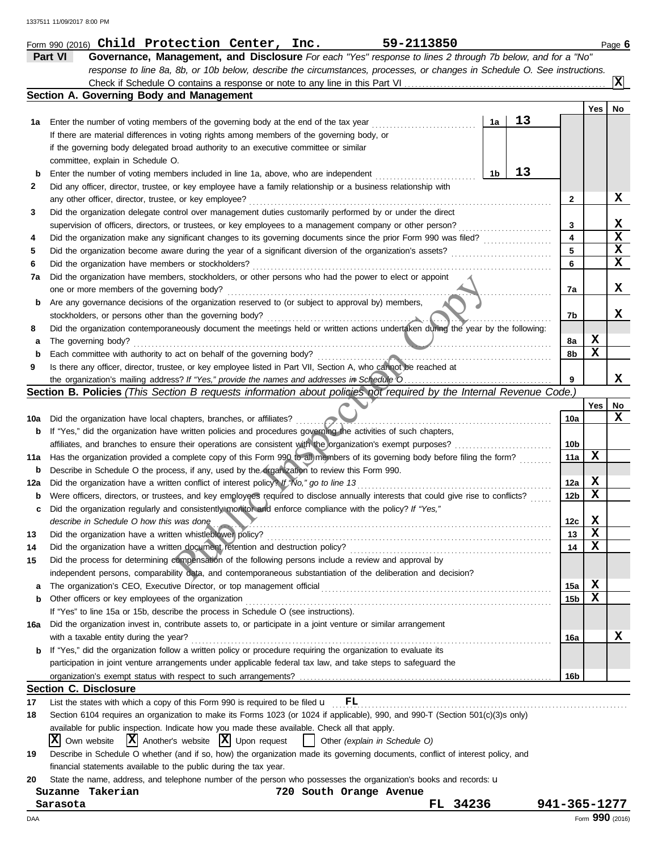|          | Part VI<br>Governance, Management, and Disclosure For each "Yes" response to lines 2 through 7b below, and for a "No"<br>response to line 8a, 8b, or 10b below, describe the circumstances, processes, or changes in Schedule O. See instructions. |    |    |              |                 |             |
|----------|----------------------------------------------------------------------------------------------------------------------------------------------------------------------------------------------------------------------------------------------------|----|----|--------------|-----------------|-------------|
|          |                                                                                                                                                                                                                                                    |    |    |              |                 | x           |
|          | Section A. Governing Body and Management                                                                                                                                                                                                           |    |    |              |                 |             |
|          |                                                                                                                                                                                                                                                    |    |    |              | Yes             | No          |
| 1а       | Enter the number of voting members of the governing body at the end of the tax year                                                                                                                                                                | 1a | 13 |              |                 |             |
|          | If there are material differences in voting rights among members of the governing body, or                                                                                                                                                         |    |    |              |                 |             |
|          | if the governing body delegated broad authority to an executive committee or similar                                                                                                                                                               |    |    |              |                 |             |
|          | committee, explain in Schedule O.<br>Enter the number of voting members included in line 1a, above, who are independent                                                                                                                            | 1b | 13 |              |                 |             |
| b<br>2   | Did any officer, director, trustee, or key employee have a family relationship or a business relationship with                                                                                                                                     |    |    |              |                 |             |
|          | any other officer, director, trustee, or key employee?                                                                                                                                                                                             |    |    | 2            |                 | X           |
| 3        | Did the organization delegate control over management duties customarily performed by or under the direct                                                                                                                                          |    |    |              |                 |             |
|          | supervision of officers, directors, or trustees, or key employees to a management company or other person?                                                                                                                                         |    |    | 3            |                 | X           |
| 4        | Did the organization make any significant changes to its governing documents since the prior Form 990 was filed?                                                                                                                                   |    | .  | 4            |                 | $\mathbf x$ |
| 5        |                                                                                                                                                                                                                                                    |    |    | 5            |                 | X           |
| 6        | Did the organization have members or stockholders?                                                                                                                                                                                                 |    |    | 6            |                 | x           |
| 7a       | Did the organization have members, stockholders, or other persons who had the power to elect or appoint                                                                                                                                            |    |    |              |                 |             |
|          | one or more members of the governing body?                                                                                                                                                                                                         |    |    | 7a           |                 | X           |
| b        | Are any governance decisions of the organization reserved to (or subject to approval by) members,                                                                                                                                                  |    |    |              |                 |             |
|          | stockholders, or persons other than the governing body?                                                                                                                                                                                            |    |    | 7b           |                 | x           |
| 8        | Did the organization contemporaneously document the meetings held or written actions undertaken during the year by the following:                                                                                                                  |    |    |              |                 |             |
| а        | The governing body?                                                                                                                                                                                                                                |    |    | 8а           | X               |             |
| b        | Each committee with authority to act on behalf of the governing body?                                                                                                                                                                              |    |    | 8b           | x               |             |
| 9        | Is there any officer, director, trustee, or key employee listed in Part VII, Section A, who cannot be reached at                                                                                                                                   |    |    |              |                 |             |
|          | the organization's mailing address? If "Yes," provide the names and addresses in Schedule O                                                                                                                                                        |    |    | 9            |                 | x           |
|          | Section B. Policies (This Section B requests information about policies not required by the Internal Revenue Code.)                                                                                                                                |    |    |              |                 |             |
|          |                                                                                                                                                                                                                                                    |    |    |              | Yes             | No<br>x     |
| 10a      | Did the organization have local chapters, branches, or affiliates?                                                                                                                                                                                 |    |    | 10a          |                 |             |
| b        | If "Yes," did the organization have written policies and procedures governing the activities of such chapters,<br>affiliates, and branches to ensure their operations are consistent with the organization's exempt purposes?                      |    |    | 10b          |                 |             |
|          | Has the organization provided a complete copy of this Form 990 to all members of its governing body before filing the form?                                                                                                                        |    |    | 11a          | х               |             |
| 11a<br>b | Describe in Schedule O the process, if any, used by the organization to review this Form 990.                                                                                                                                                      |    |    |              |                 |             |
| 12a      | Did the organization have a written conflict of interest policy? If "No," go to line 13                                                                                                                                                            |    |    | 12a          | X               |             |
| b        | Were officers, directors, or trustees, and key employees required to disclose annually interests that could give rise to conflicts?                                                                                                                |    |    | 12b          | X               |             |
| c        | Did the organization regularly and consistently monitor and enforce compliance with the policy? If "Yes,"                                                                                                                                          |    |    |              |                 |             |
|          | describe in Schedule O how this was done                                                                                                                                                                                                           |    |    | 12c          | X               |             |
|          | Did the organization have a written whistleblower policy?                                                                                                                                                                                          |    |    | 13           | X               |             |
| 14       | Did the organization have a written document retention and destruction policy?                                                                                                                                                                     |    |    | 14           | X               |             |
| 15       | Did the process for determining compensation of the following persons include a review and approval by                                                                                                                                             |    |    |              |                 |             |
|          | independent persons, comparability data, and contemporaneous substantiation of the deliberation and decision?                                                                                                                                      |    |    |              |                 |             |
| а        |                                                                                                                                                                                                                                                    |    |    | 15a          | X               |             |
| b        | Other officers or key employees of the organization                                                                                                                                                                                                |    |    | 15b          | x               |             |
|          | If "Yes" to line 15a or 15b, describe the process in Schedule O (see instructions).                                                                                                                                                                |    |    |              |                 |             |
| 16a      | Did the organization invest in, contribute assets to, or participate in a joint venture or similar arrangement                                                                                                                                     |    |    |              |                 |             |
|          | with a taxable entity during the year?                                                                                                                                                                                                             |    |    | 16a          |                 | x           |
| b        | If "Yes," did the organization follow a written policy or procedure requiring the organization to evaluate its                                                                                                                                     |    |    |              |                 |             |
|          | participation in joint venture arrangements under applicable federal tax law, and take steps to safeguard the                                                                                                                                      |    |    |              |                 |             |
|          |                                                                                                                                                                                                                                                    |    |    | 16b          |                 |             |
|          | <b>Section C. Disclosure</b>                                                                                                                                                                                                                       |    |    |              |                 |             |
| 17       | List the states with which a copy of this Form 990 is required to be filed $\mathbf u$<br>FL                                                                                                                                                       |    |    |              |                 |             |
| 18       | Section 6104 requires an organization to make its Forms 1023 (or 1024 if applicable), 990, and 990-T (Section 501(c)(3)s only)<br>available for public inspection. Indicate how you made these available. Check all that apply.                    |    |    |              |                 |             |
|          | Own website $ \mathbf{X} $ Another's website $ \mathbf{X} $ Upon request<br>ΙXΙ<br>Other (explain in Schedule O)<br>$\mathbf{1}$                                                                                                                   |    |    |              |                 |             |
| 19       | Describe in Schedule O whether (and if so, how) the organization made its governing documents, conflict of interest policy, and                                                                                                                    |    |    |              |                 |             |
|          | financial statements available to the public during the tax year.                                                                                                                                                                                  |    |    |              |                 |             |
| 20       | State the name, address, and telephone number of the person who possesses the organization's books and records: u                                                                                                                                  |    |    |              |                 |             |
|          | Suzanne Takerian<br>720 South Orange Avenue                                                                                                                                                                                                        |    |    |              |                 |             |
|          | FL 34236<br>Sarasota                                                                                                                                                                                                                               |    |    | 941-365-1277 |                 |             |
| DAA      |                                                                                                                                                                                                                                                    |    |    |              | Form 990 (2016) |             |

Form 990 (2016) Page **6**

**Child Protection Center, Inc. 59-2113850**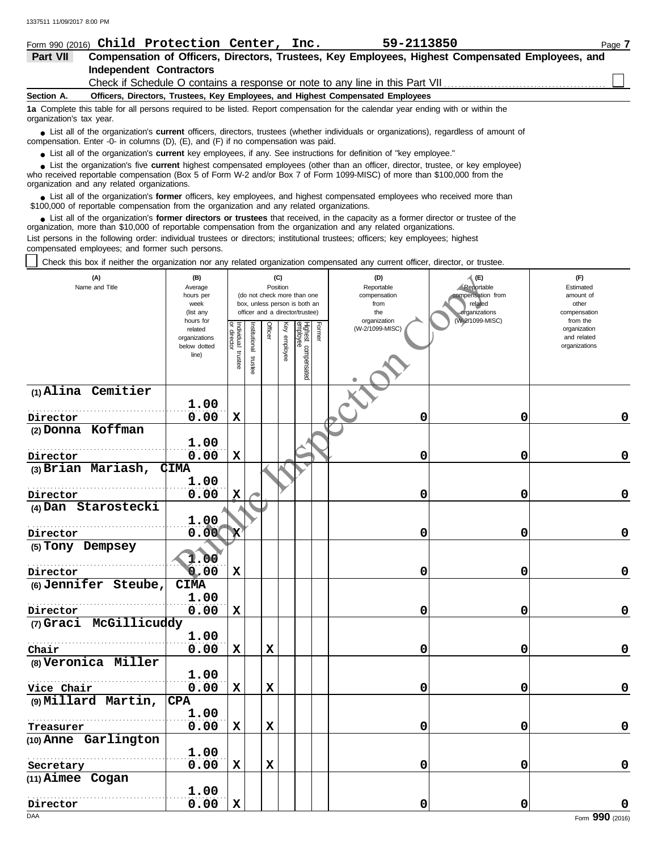|                 | Form 990 (2016) Child Protection Center, Inc.                                                                                                                                                                                      | 59-2113850 | Page 7 |  |  |  |  |  |  |
|-----------------|------------------------------------------------------------------------------------------------------------------------------------------------------------------------------------------------------------------------------------|------------|--------|--|--|--|--|--|--|
| <b>Part VII</b> | Compensation of Officers, Directors, Trustees, Key Employees, Highest Compensated Employees, and                                                                                                                                   |            |        |  |  |  |  |  |  |
|                 | Independent Contractors                                                                                                                                                                                                            |            |        |  |  |  |  |  |  |
|                 |                                                                                                                                                                                                                                    |            |        |  |  |  |  |  |  |
| Section A.      | Officers, Directors, Trustees, Key Employees, and Highest Compensated Employees                                                                                                                                                    |            |        |  |  |  |  |  |  |
|                 | 1a Complete this table for all persons required to be listed. Report compensation for the calendar year ending with or within the<br>organization's tax year.                                                                      |            |        |  |  |  |  |  |  |
|                 | • List all of the organization's <b>current</b> officers, directors, trustees (whether individuals or organizations), regardless of amount of<br>compensation. Enter -0- in columns (D), (E), and (F) if no compensation was paid. |            |        |  |  |  |  |  |  |

● List all of the organization's **current** key employees, if any. See instructions for definition of "key employee."

who received reportable compensation (Box 5 of Form W-2 and/or Box 7 of Form 1099-MISC) of more than \$100,000 from the organization and any related organizations. ■ List the organization's five **current** highest compensated employees (other than an officer, director, trustee, or key employee)<br> **•** Preceived reportable compensation (Box 5 of Form W 2 and/or Box 7 of Form 1000 MISC)

■ List all of the organization's **former** officers, key employees, and highest compensated employees who received more than<br> **•** 00.00 of reportable compensation from the erganization and any related erganizations \$100,000 of reportable compensation from the organization and any related organizations.

■ List all of the organization's **former directors or trustees** that received, in the capacity as a former director or trustee of the properties and any related organizations organization, more than \$10,000 of reportable compensation from the organization and any related organizations. List persons in the following order: individual trustees or directors; institutional trustees; officers; key employees; highest

compensated employees; and former such persons.

Check this box if neither the organization nor any related organization compensated any current officer, director, or trustee.

| (A)<br>Name and Title             | (B)<br>Average<br>hours per<br>week<br>(list any               |                                   |                         | (C)<br>Position |                 | (do not check more than one<br>box, unless person is both an<br>officer and a director/trustee) | (D)<br>Reportable<br>compensation<br>from<br>the<br>organization | $\mathcal{A}$ (E)<br>Reportable<br>compensation from<br>related<br>organizations<br>(W-2/1099-MISC) | (F)<br>Estimated<br>amount of<br>other<br>compensation<br>from the |
|-----------------------------------|----------------------------------------------------------------|-----------------------------------|-------------------------|-----------------|-----------------|-------------------------------------------------------------------------------------------------|------------------------------------------------------------------|-----------------------------------------------------------------------------------------------------|--------------------------------------------------------------------|
|                                   | hours for<br>related<br>organizations<br>below dotted<br>line) | Individual trustee<br>or director | nstitutional<br>trustee | Officer         | Ķey<br>employee | Former<br>Highest compensated<br>employee                                                       | (W-2/1099-MISC)                                                  |                                                                                                     | organization<br>and related<br>organizations                       |
| $(1)$ Alina Cemitier              |                                                                |                                   |                         |                 |                 |                                                                                                 |                                                                  |                                                                                                     |                                                                    |
| Director                          | 1.00<br>0.00                                                   | $\mathbf x$                       |                         |                 |                 |                                                                                                 | 0                                                                | 0                                                                                                   | 0                                                                  |
| (2) Donna Koffman                 |                                                                |                                   |                         |                 |                 |                                                                                                 |                                                                  |                                                                                                     |                                                                    |
|                                   | 1.00                                                           |                                   |                         |                 |                 |                                                                                                 |                                                                  |                                                                                                     |                                                                    |
| Director                          | 0.00                                                           | $\mathbf x$                       |                         |                 |                 |                                                                                                 | 0                                                                | 0                                                                                                   | 0                                                                  |
| (3) Brian Mariash,                | <b>CIMA</b>                                                    |                                   |                         |                 |                 |                                                                                                 |                                                                  |                                                                                                     |                                                                    |
|                                   | 1.00                                                           |                                   |                         |                 |                 |                                                                                                 |                                                                  |                                                                                                     |                                                                    |
| Director                          | 0.00                                                           | X                                 |                         |                 |                 |                                                                                                 | 0                                                                | 0                                                                                                   | 0                                                                  |
| (4) Dan Starostecki               |                                                                |                                   |                         |                 |                 |                                                                                                 |                                                                  |                                                                                                     |                                                                    |
|                                   | 1.00                                                           |                                   |                         |                 |                 |                                                                                                 |                                                                  |                                                                                                     |                                                                    |
| Director                          | 0.00                                                           | $\mathbf{x}$                      |                         |                 |                 |                                                                                                 | 0                                                                | 0                                                                                                   | 0                                                                  |
| (5) Tony Dempsey                  | 1.00                                                           |                                   |                         |                 |                 |                                                                                                 |                                                                  |                                                                                                     |                                                                    |
| Director                          | 0.00                                                           | $\mathbf x$                       |                         |                 |                 |                                                                                                 | 0                                                                | 0                                                                                                   | 0                                                                  |
| (6) Jennifer Steube,              | <b>CIMA</b>                                                    |                                   |                         |                 |                 |                                                                                                 |                                                                  |                                                                                                     |                                                                    |
|                                   | 1.00                                                           |                                   |                         |                 |                 |                                                                                                 |                                                                  |                                                                                                     |                                                                    |
| Director                          | 0.00                                                           | X                                 |                         |                 |                 |                                                                                                 | 0                                                                | 0                                                                                                   | 0                                                                  |
| (7) Graci McGillicuddy            |                                                                |                                   |                         |                 |                 |                                                                                                 |                                                                  |                                                                                                     |                                                                    |
|                                   | 1.00                                                           |                                   |                         |                 |                 |                                                                                                 |                                                                  |                                                                                                     |                                                                    |
| Chair                             | 0.00                                                           | $\mathbf x$                       |                         | $\mathbf x$     |                 |                                                                                                 | 0                                                                | 0                                                                                                   | 0                                                                  |
| (8) Veronica Miller               | 1.00                                                           |                                   |                         |                 |                 |                                                                                                 |                                                                  |                                                                                                     |                                                                    |
|                                   | 0.00                                                           | $\mathbf x$                       |                         | $\mathbf x$     |                 |                                                                                                 | 0                                                                | 0                                                                                                   | 0                                                                  |
| Vice Chair<br>(9) Millard Martin, | <b>CPA</b>                                                     |                                   |                         |                 |                 |                                                                                                 |                                                                  |                                                                                                     |                                                                    |
|                                   | 1.00                                                           |                                   |                         |                 |                 |                                                                                                 |                                                                  |                                                                                                     |                                                                    |
| Treasurer                         | 0.00                                                           | $\mathbf x$                       |                         | $\mathbf x$     |                 |                                                                                                 | 0                                                                | 0                                                                                                   | 0                                                                  |
| (10) Anne Garlington              |                                                                |                                   |                         |                 |                 |                                                                                                 |                                                                  |                                                                                                     |                                                                    |
|                                   | 1.00                                                           |                                   |                         |                 |                 |                                                                                                 |                                                                  |                                                                                                     |                                                                    |
| Secretary                         | 0.00                                                           | $\mathbf x$                       |                         | $\mathbf x$     |                 |                                                                                                 | 0                                                                | 0                                                                                                   | $\Omega$                                                           |
| (11) Aimee Cogan                  |                                                                |                                   |                         |                 |                 |                                                                                                 |                                                                  |                                                                                                     |                                                                    |
|                                   | 1.00                                                           |                                   |                         |                 |                 |                                                                                                 |                                                                  |                                                                                                     |                                                                    |
| Director                          | 0.00                                                           | $\mathbf x$                       |                         |                 |                 |                                                                                                 | 0                                                                | 0                                                                                                   | 0                                                                  |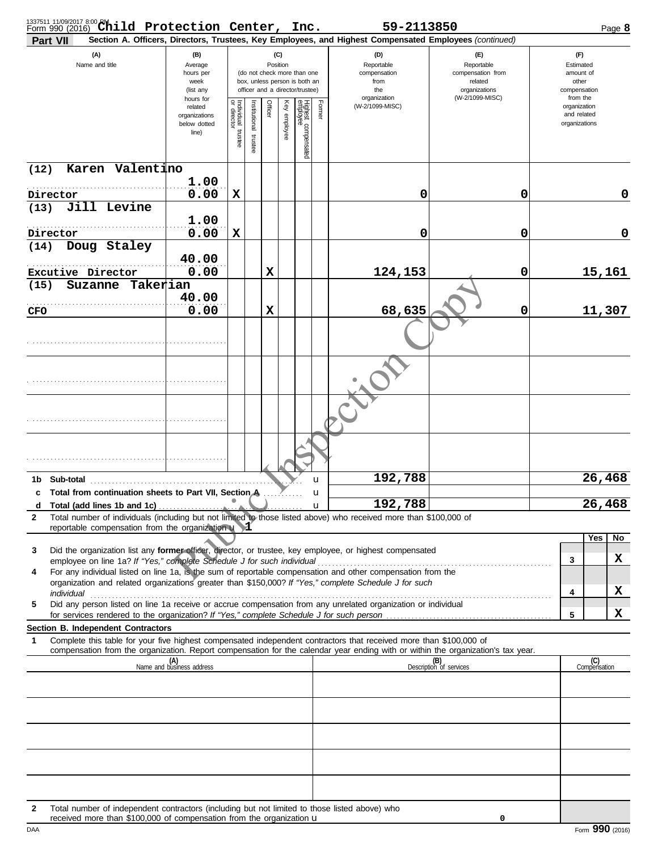| 1337511 11/09/2017 8:00 PM<br>Form 990 (2016) <b>Child Protection Center, Inc.</b>                                                                                         |                                                                |                                   |                      |                 |              |                                                                                                 |                                                  | 59-2113850<br>Section A. Officers, Directors, Trustees, Key Employees, and Highest Compensated Employees (continued) |                                                                    |                                                        |                                                          | Page 8              |
|----------------------------------------------------------------------------------------------------------------------------------------------------------------------------|----------------------------------------------------------------|-----------------------------------|----------------------|-----------------|--------------|-------------------------------------------------------------------------------------------------|--------------------------------------------------|----------------------------------------------------------------------------------------------------------------------|--------------------------------------------------------------------|--------------------------------------------------------|----------------------------------------------------------|---------------------|
| Part VII<br>(A)<br>Name and title                                                                                                                                          | (B)<br>Average<br>hours per<br>week<br>(list any               |                                   |                      | (C)<br>Position |              | (do not check more than one<br>box, unless person is both an<br>officer and a director/trustee) | (D)<br>Reportable<br>compensation<br>from<br>the |                                                                                                                      | (E)<br>Reportable<br>compensation from<br>related<br>organizations | (F)<br>Estimated<br>amount of<br>other<br>compensation |                                                          |                     |
|                                                                                                                                                                            | hours for<br>related<br>organizations<br>below dotted<br>line) | Individual trustee<br>or director | nstitutional trustee | Officer         | Key employee | Highest compensated<br>employee                                                                 | Former                                           | organization<br>(W-2/1099-MISC)                                                                                      | (W-2/1099-MISC)                                                    |                                                        | from the<br>organization<br>and related<br>organizations |                     |
| Karen Valentino<br>(12)                                                                                                                                                    |                                                                |                                   |                      |                 |              |                                                                                                 |                                                  |                                                                                                                      |                                                                    |                                                        |                                                          |                     |
| Director                                                                                                                                                                   | 1.00<br>0.00                                                   | X                                 |                      |                 |              |                                                                                                 |                                                  | 0                                                                                                                    | 0                                                                  |                                                        |                                                          | 0                   |
| Jill Levine<br>(13)                                                                                                                                                        |                                                                |                                   |                      |                 |              |                                                                                                 |                                                  |                                                                                                                      |                                                                    |                                                        |                                                          |                     |
| Director                                                                                                                                                                   | 1.00<br>0.00                                                   | $\mathbf x$                       |                      |                 |              |                                                                                                 |                                                  | 0                                                                                                                    | 0                                                                  |                                                        |                                                          | 0                   |
| Doug Staley<br>(14)                                                                                                                                                        | 40.00                                                          |                                   |                      |                 |              |                                                                                                 |                                                  |                                                                                                                      |                                                                    |                                                        |                                                          |                     |
| Excutive Director                                                                                                                                                          | 0.00                                                           |                                   |                      | X               |              |                                                                                                 |                                                  | 124,153                                                                                                              | 0                                                                  |                                                        |                                                          | 15,161              |
| Suzanne Takerian<br>(15)                                                                                                                                                   |                                                                |                                   |                      |                 |              |                                                                                                 |                                                  |                                                                                                                      |                                                                    |                                                        |                                                          |                     |
| CFO                                                                                                                                                                        | 40.00<br>0.00                                                  |                                   |                      | X               |              |                                                                                                 |                                                  | 68,635                                                                                                               | 0                                                                  |                                                        |                                                          | 11,307              |
|                                                                                                                                                                            |                                                                |                                   |                      |                 |              |                                                                                                 |                                                  |                                                                                                                      |                                                                    |                                                        |                                                          |                     |
|                                                                                                                                                                            |                                                                |                                   |                      |                 |              |                                                                                                 |                                                  |                                                                                                                      |                                                                    |                                                        |                                                          |                     |
|                                                                                                                                                                            |                                                                |                                   |                      |                 |              |                                                                                                 |                                                  |                                                                                                                      |                                                                    |                                                        |                                                          |                     |
|                                                                                                                                                                            |                                                                |                                   |                      |                 |              |                                                                                                 |                                                  |                                                                                                                      |                                                                    |                                                        |                                                          |                     |
| 1b Sub-total                                                                                                                                                               |                                                                |                                   |                      |                 |              |                                                                                                 | u                                                | 192,788                                                                                                              |                                                                    |                                                        |                                                          | 26,468              |
| c Total from continuation sheets to Part VII, Section A                                                                                                                    |                                                                |                                   |                      |                 |              |                                                                                                 | u                                                |                                                                                                                      |                                                                    |                                                        |                                                          |                     |
| Total (add lines 1b and 1c)<br>d<br>Total number of individuals (including but not limited to those listed above) who received more than \$100,000 of<br>2                 | .                                                              |                                   |                      |                 |              |                                                                                                 | u                                                | 192,788                                                                                                              |                                                                    |                                                        |                                                          | 26,468              |
| reportable compensation from the organization $\mathbf u$ $\mathbf 1$                                                                                                      |                                                                |                                   |                      |                 |              |                                                                                                 |                                                  |                                                                                                                      |                                                                    |                                                        |                                                          | Yes<br>No           |
| Did the organization list any former officer, director, or trustee, key employee, or highest compensated<br>3                                                              |                                                                |                                   |                      |                 |              |                                                                                                 |                                                  |                                                                                                                      |                                                                    |                                                        |                                                          |                     |
| For any individual listed on line 1a, is the sum of reportable compensation and other compensation from the<br>4                                                           |                                                                |                                   |                      |                 |              |                                                                                                 |                                                  |                                                                                                                      |                                                                    |                                                        | 3                                                        | x                   |
| organization and related organizations greater than \$150,000? If "Yes," complete Schedule J for such                                                                      |                                                                |                                   |                      |                 |              |                                                                                                 |                                                  |                                                                                                                      |                                                                    |                                                        | 4                                                        | X                   |
| individual<br>Did any person listed on line 1a receive or accrue compensation from any unrelated organization or individual<br>5                                           |                                                                |                                   |                      |                 |              |                                                                                                 |                                                  |                                                                                                                      |                                                                    |                                                        |                                                          |                     |
| for services rendered to the organization? If "Yes," complete Schedule J for such person<br>Section B. Independent Contractors                                             |                                                                |                                   |                      |                 |              |                                                                                                 |                                                  |                                                                                                                      |                                                                    |                                                        | 5                                                        | X                   |
| Complete this table for your five highest compensated independent contractors that received more than \$100,000 of<br>1                                                    |                                                                |                                   |                      |                 |              |                                                                                                 |                                                  |                                                                                                                      |                                                                    |                                                        |                                                          |                     |
| compensation from the organization. Report compensation for the calendar year ending with or within the organization's tax year.                                           | (A)<br>Name and business address                               |                                   |                      |                 |              |                                                                                                 |                                                  |                                                                                                                      | (B)<br>Description of services                                     |                                                        |                                                          | (C)<br>Compensation |
|                                                                                                                                                                            |                                                                |                                   |                      |                 |              |                                                                                                 |                                                  |                                                                                                                      |                                                                    |                                                        |                                                          |                     |
|                                                                                                                                                                            |                                                                |                                   |                      |                 |              |                                                                                                 |                                                  |                                                                                                                      |                                                                    |                                                        |                                                          |                     |
|                                                                                                                                                                            |                                                                |                                   |                      |                 |              |                                                                                                 |                                                  |                                                                                                                      |                                                                    |                                                        |                                                          |                     |
|                                                                                                                                                                            |                                                                |                                   |                      |                 |              |                                                                                                 |                                                  |                                                                                                                      |                                                                    |                                                        |                                                          |                     |
|                                                                                                                                                                            |                                                                |                                   |                      |                 |              |                                                                                                 |                                                  |                                                                                                                      |                                                                    |                                                        |                                                          |                     |
| Total number of independent contractors (including but not limited to those listed above) who<br>2<br>received more than \$100,000 of compensation from the organization u |                                                                |                                   |                      |                 |              |                                                                                                 |                                                  |                                                                                                                      | 0                                                                  |                                                        |                                                          |                     |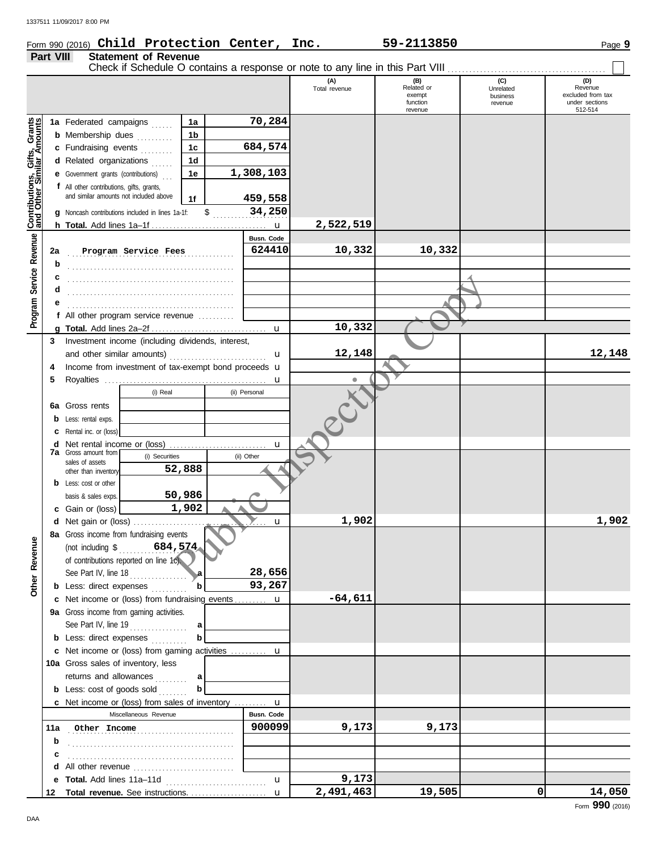|                                                     | Part VIII | <b>Statement of Revenue</b><br>Check if Schedule O contains a response or note to any line in this Part VIII |                 |               |                      |                                                    |                                         |                                                                  |
|-----------------------------------------------------|-----------|--------------------------------------------------------------------------------------------------------------|-----------------|---------------|----------------------|----------------------------------------------------|-----------------------------------------|------------------------------------------------------------------|
|                                                     |           |                                                                                                              |                 |               | (A)<br>Total revenue | (B)<br>Related or<br>exempt<br>function<br>revenue | (C)<br>Unrelated<br>business<br>revenue | (D)<br>Revenue<br>excluded from tax<br>under sections<br>512-514 |
|                                                     |           | 1a Federated campaigns                                                                                       | 1a              | 70,284        |                      |                                                    |                                         |                                                                  |
| Service Revenue <b>Contributions, Gifts, Grants</b> |           | <b>b</b> Membership dues <i></i> .                                                                           | 1 <sub>b</sub>  |               |                      |                                                    |                                         |                                                                  |
|                                                     |           | c Fundraising events                                                                                         | 1 <sub>c</sub>  | 684,574       |                      |                                                    |                                         |                                                                  |
|                                                     |           | d Related organizations                                                                                      | 1 <sub>d</sub>  |               |                      |                                                    |                                         |                                                                  |
|                                                     |           | <b>e</b> Government grants (contributions)                                                                   | 1e              | 1,308,103     |                      |                                                    |                                         |                                                                  |
|                                                     |           | f All other contributions, gifts, grants,                                                                    |                 |               |                      |                                                    |                                         |                                                                  |
|                                                     |           | and similar amounts not included above                                                                       | 1f              | 459,558       |                      |                                                    |                                         |                                                                  |
|                                                     |           | g Noncash contributions included in lines 1a-1f:                                                             | \$              | 34,250        |                      |                                                    |                                         |                                                                  |
|                                                     |           |                                                                                                              |                 | $\mathbf u$   | 2,522,519            |                                                    |                                         |                                                                  |
|                                                     |           |                                                                                                              |                 | Busn. Code    |                      |                                                    |                                         |                                                                  |
|                                                     | 2a        | Program Service Fees                                                                                         |                 | 624410        | 10,332               | 10,332                                             |                                         |                                                                  |
|                                                     | b         |                                                                                                              |                 |               |                      |                                                    |                                         |                                                                  |
|                                                     | c         |                                                                                                              |                 |               |                      |                                                    |                                         |                                                                  |
|                                                     | d         |                                                                                                              |                 |               |                      |                                                    |                                         |                                                                  |
|                                                     | е         |                                                                                                              |                 |               |                      |                                                    |                                         |                                                                  |
| Program                                             |           | f All other program service revenue $\ldots$                                                                 |                 |               |                      |                                                    |                                         |                                                                  |
|                                                     |           |                                                                                                              |                 | $\mathbf u$   | 10,332               |                                                    |                                         |                                                                  |
|                                                     | 3         | Investment income (including dividends, interest,                                                            |                 |               |                      |                                                    |                                         |                                                                  |
|                                                     |           | and other similar amounts)                                                                                   |                 | u             | 12,148               |                                                    |                                         | 12,148                                                           |
|                                                     | 4         | Income from investment of tax-exempt bond proceeds u                                                         |                 |               |                      |                                                    |                                         |                                                                  |
|                                                     | 5         |                                                                                                              |                 | u             |                      |                                                    |                                         |                                                                  |
|                                                     |           | (i) Real                                                                                                     |                 | (ii) Personal |                      |                                                    |                                         |                                                                  |
|                                                     | 6а        | Gross rents                                                                                                  |                 |               |                      |                                                    |                                         |                                                                  |
|                                                     |           | <b>b</b> Less: rental exps.                                                                                  |                 |               |                      |                                                    |                                         |                                                                  |
|                                                     |           | <b>c</b> Rental inc. or (loss)                                                                               |                 |               |                      |                                                    |                                         |                                                                  |
|                                                     |           | <b>7a</b> Gross amount from                                                                                  |                 | u             |                      |                                                    |                                         |                                                                  |
|                                                     |           | (i) Securities<br>sales of assets                                                                            |                 | (ii) Other    |                      |                                                    |                                         |                                                                  |
|                                                     |           | other than inventory                                                                                         | 52,888          |               |                      |                                                    |                                         |                                                                  |
|                                                     |           | <b>b</b> Less: cost or other                                                                                 |                 |               |                      |                                                    |                                         |                                                                  |
|                                                     |           | basis & sales exps.                                                                                          | 50,986<br>1,902 |               |                      |                                                    |                                         |                                                                  |
|                                                     |           | c Gain or (loss)                                                                                             |                 |               |                      |                                                    |                                         |                                                                  |
|                                                     |           | d Net gain or (loss)<br>8a Gross income from fundraising events                                              |                 | u             | 1,902                |                                                    |                                         | 1,902                                                            |
|                                                     |           | (not including $$$ 684, 574                                                                                  |                 |               |                      |                                                    |                                         |                                                                  |
|                                                     |           | of contributions reported on line 1c).                                                                       |                 |               |                      |                                                    |                                         |                                                                  |
|                                                     |           | See Part IV, line 18                                                                                         |                 | 28,656        |                      |                                                    |                                         |                                                                  |
| Other Revenue                                       |           | <b>b</b> Less: direct expenses                                                                               | b               | 93,267        |                      |                                                    |                                         |                                                                  |
|                                                     |           | c Net income or (loss) from fundraising events u                                                             |                 |               | $-64,611$            |                                                    |                                         |                                                                  |
|                                                     |           | 9a Gross income from gaming activities.                                                                      |                 |               |                      |                                                    |                                         |                                                                  |
|                                                     |           | See Part IV, line 19                                                                                         | a               |               |                      |                                                    |                                         |                                                                  |
|                                                     |           | <b>b</b> Less: direct expenses                                                                               |                 |               |                      |                                                    |                                         |                                                                  |
|                                                     |           | c Net income or (loss) from gaming activities  u                                                             |                 |               |                      |                                                    |                                         |                                                                  |
|                                                     |           | 10a Gross sales of inventory, less                                                                           |                 |               |                      |                                                    |                                         |                                                                  |
|                                                     |           | returns and allowances<br>.                                                                                  | a               |               |                      |                                                    |                                         |                                                                  |
|                                                     |           | <b>b</b> Less: cost of goods sold                                                                            | $\mathbf b$     |               |                      |                                                    |                                         |                                                                  |
|                                                     |           | <b>c</b> Net income or (loss) from sales of inventory                                                        |                 | $\mathbf u$   |                      |                                                    |                                         |                                                                  |
|                                                     |           | Miscellaneous Revenue                                                                                        |                 | Busn. Code    |                      |                                                    |                                         |                                                                  |
|                                                     | 11a       | Other Income                                                                                                 |                 | 900099        | 9,173                | 9,173                                              |                                         |                                                                  |
|                                                     | b         |                                                                                                              |                 |               |                      |                                                    |                                         |                                                                  |
|                                                     |           |                                                                                                              |                 |               |                      |                                                    |                                         |                                                                  |
|                                                     |           | d All other revenue                                                                                          |                 |               |                      |                                                    |                                         |                                                                  |
|                                                     |           | e Total. Add lines 11a-11d                                                                                   |                 | $\mathbf u$   | 9,173                |                                                    |                                         |                                                                  |
|                                                     | 12        |                                                                                                              |                 |               | 2,491,463            | 19,505                                             | 0                                       | 14,050                                                           |
|                                                     |           |                                                                                                              |                 |               |                      |                                                    |                                         | Form 990 (2016)                                                  |

**Child Protection Center, Inc. 59-2113850**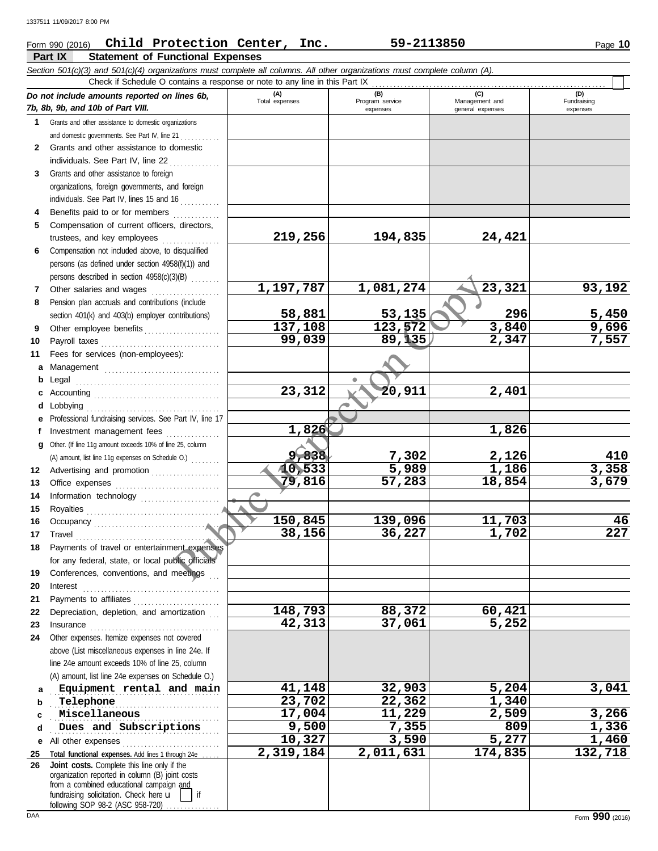# Form 990 (2016) Page **10 Child Protection Center, Inc. 59-2113850**

|              | Part IX<br><b>Statement of Functional Expenses</b>                                                                                                                                                                                   |                       |                        |                       |                       |
|--------------|--------------------------------------------------------------------------------------------------------------------------------------------------------------------------------------------------------------------------------------|-----------------------|------------------------|-----------------------|-----------------------|
|              | Section 501(c)(3) and 501(c)(4) organizations must complete all columns. All other organizations must complete column (A).                                                                                                           |                       |                        |                       |                       |
|              | Check if Schedule O contains a response or note to any line in this Part IX                                                                                                                                                          |                       |                        |                       |                       |
|              | Do not include amounts reported on lines 6b,                                                                                                                                                                                         | (A)<br>Total expenses | (B)<br>Program service | (C)<br>Management and | (D)<br>Fundraising    |
|              | 7b, 8b, 9b, and 10b of Part VIII.                                                                                                                                                                                                    |                       | expenses               | general expenses      | expenses              |
| 1            | Grants and other assistance to domestic organizations                                                                                                                                                                                |                       |                        |                       |                       |
|              | and domestic governments. See Part IV, line 21                                                                                                                                                                                       |                       |                        |                       |                       |
| $\mathbf{2}$ | Grants and other assistance to domestic                                                                                                                                                                                              |                       |                        |                       |                       |
|              | individuals. See Part IV, line 22                                                                                                                                                                                                    |                       |                        |                       |                       |
| 3            | Grants and other assistance to foreign                                                                                                                                                                                               |                       |                        |                       |                       |
|              | organizations, foreign governments, and foreign                                                                                                                                                                                      |                       |                        |                       |                       |
|              | individuals. See Part IV, lines 15 and 16                                                                                                                                                                                            |                       |                        |                       |                       |
| 4            | Benefits paid to or for members                                                                                                                                                                                                      |                       |                        |                       |                       |
| 5            | Compensation of current officers, directors,                                                                                                                                                                                         |                       |                        |                       |                       |
|              | trustees, and key employees                                                                                                                                                                                                          | 219,256               | 194,835                | 24,421                |                       |
| 6            | Compensation not included above, to disqualified                                                                                                                                                                                     |                       |                        |                       |                       |
|              | persons (as defined under section 4958(f)(1)) and                                                                                                                                                                                    |                       |                        |                       |                       |
|              | persons described in section 4958(c)(3)(B)                                                                                                                                                                                           |                       |                        |                       |                       |
| 7            | Other salaries and wages                                                                                                                                                                                                             | 1,197,787             | 1,081,274              | 23,321                | 93,192                |
| 8            | Pension plan accruals and contributions (include                                                                                                                                                                                     |                       |                        |                       |                       |
|              | section 401(k) and 403(b) employer contributions)                                                                                                                                                                                    | 58,881                | 53,135                 | 296                   |                       |
| 9            | Other employee benefits                                                                                                                                                                                                              | 137,108               | 123,572                | 3,840                 | $\frac{5,450}{9,696}$ |
| 10           | Payroll taxes                                                                                                                                                                                                                        | 99,039                | 89,135                 | 2,347                 | 7,557                 |
| 11           | Fees for services (non-employees):                                                                                                                                                                                                   |                       |                        |                       |                       |
| a            |                                                                                                                                                                                                                                      |                       |                        |                       |                       |
| b            | Legal                                                                                                                                                                                                                                |                       |                        |                       |                       |
| c            |                                                                                                                                                                                                                                      | 23,312                | 20,911                 | 2,401                 |                       |
| d            | obbying                                                                                                                                                                                                                              |                       |                        |                       |                       |
| е            | Professional fundraising services. See Part IV, line 17                                                                                                                                                                              |                       |                        |                       |                       |
|              |                                                                                                                                                                                                                                      | 1,826                 |                        | 1,826                 |                       |
| f            | Investment management fees<br>.                                                                                                                                                                                                      |                       |                        |                       |                       |
| g            | Other. (If line 11g amount exceeds 10% of line 25, column                                                                                                                                                                            | 9,838                 |                        |                       |                       |
|              | (A) amount, list line 11g expenses on Schedule O.)                                                                                                                                                                                   | 10,533                | 7,302<br>5,989         | 2,126<br>1,186        | $\frac{410}{3,358}$   |
| 12           | Advertising and promotion                                                                                                                                                                                                            |                       |                        |                       | 3,679                 |
| 13           |                                                                                                                                                                                                                                      | 79,816                | 57,283                 | 18,854                |                       |
| 14           | Information technology                                                                                                                                                                                                               |                       |                        |                       |                       |
| 15           | Royalties                                                                                                                                                                                                                            |                       |                        |                       |                       |
| 16           | Occupancy <b>contract the contract of the contract of the contract of the contract of the contract of the contract of the contract of the contract of the contract of the contract of the contract of the contract of the contra</b> | 150,845               | 139,096                | 11,703                | 46                    |
| 17           | Travel                                                                                                                                                                                                                               | 38,156                | 36,227                 | 1,702                 | $\overline{227}$      |
| 18           | Payments of travel or entertainment expenses                                                                                                                                                                                         |                       |                        |                       |                       |
|              | for any federal, state, or local public officials                                                                                                                                                                                    |                       |                        |                       |                       |
| 19           | Conferences, conventions, and meetings                                                                                                                                                                                               |                       |                        |                       |                       |
| 20           | Interest                                                                                                                                                                                                                             |                       |                        |                       |                       |
| 21           | Payments to affiliates                                                                                                                                                                                                               |                       |                        |                       |                       |
| 22           | Depreciation, depletion, and amortization                                                                                                                                                                                            | 148,793               | 88,372                 | 60,421                |                       |
| 23           |                                                                                                                                                                                                                                      | 42,313                | 37,061                 | 5,252                 |                       |
| 24           | Other expenses. Itemize expenses not covered                                                                                                                                                                                         |                       |                        |                       |                       |
|              | above (List miscellaneous expenses in line 24e. If                                                                                                                                                                                   |                       |                        |                       |                       |
|              | line 24e amount exceeds 10% of line 25, column                                                                                                                                                                                       |                       |                        |                       |                       |
|              | (A) amount, list line 24e expenses on Schedule O.)                                                                                                                                                                                   |                       |                        |                       |                       |
| a            | Equipment rental and main                                                                                                                                                                                                            | 41,148                | 32,903                 | 5,204                 | 3,041                 |
| b            | Telephone                                                                                                                                                                                                                            | 23,702                | 22,362                 | 1,340                 |                       |
| c            | Miscellaneous                                                                                                                                                                                                                        | 17,004                | 11,229                 | 2,509                 | 3,266                 |
| d            | Dues and Subscriptions                                                                                                                                                                                                               | 9,500                 | 7,355                  | 809                   | 1,336                 |
| е            | All other expenses                                                                                                                                                                                                                   | 10,327                | 3,590                  | 5,277                 | 1,460                 |
| 25           | Total functional expenses. Add lines 1 through 24e                                                                                                                                                                                   | 2,319,184             | 2,011,631              | 174,835               | 132,718               |
| 26           | Joint costs. Complete this line only if the                                                                                                                                                                                          |                       |                        |                       |                       |
|              | organization reported in column (B) joint costs                                                                                                                                                                                      |                       |                        |                       |                       |
|              | from a combined educational campaign and<br>fundraising solicitation. Check here u<br>if                                                                                                                                             |                       |                        |                       |                       |
|              | following SOP 98-2 (ASC 958-720)                                                                                                                                                                                                     |                       |                        |                       |                       |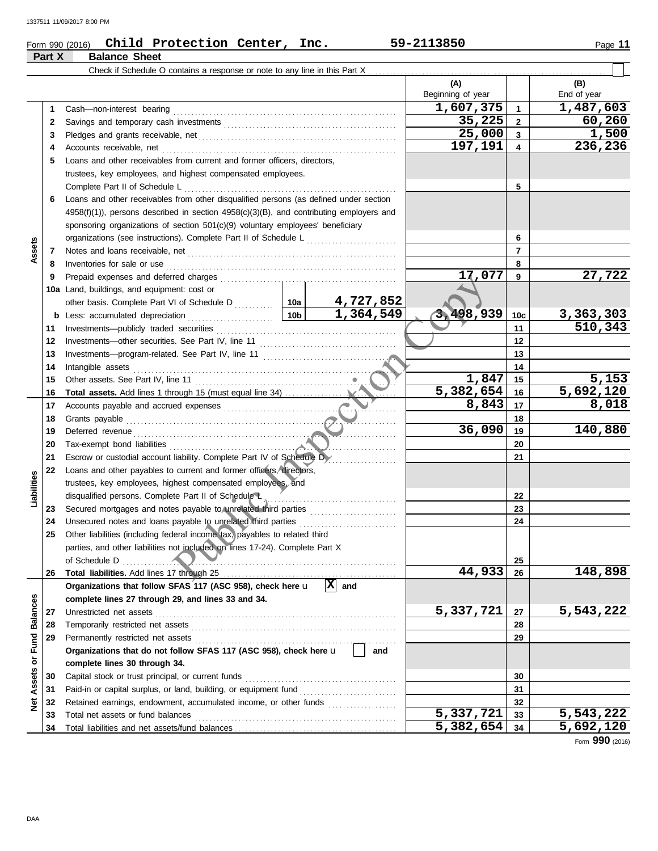# Form 990 (2016) Page **11 Child Protection Center, Inc. 59-2113850 Part X Balance Sheet**

|                 |     | Check if Schedule O contains a response or note to any line in this Part X                    |      |           |                          |                |                             |
|-----------------|-----|-----------------------------------------------------------------------------------------------|------|-----------|--------------------------|----------------|-----------------------------|
|                 |     |                                                                                               |      |           | (A)<br>Beginning of year |                | (B)<br>End of year          |
|                 | 1   | Cash-non-interest bearing                                                                     |      |           | 1,607,375                | $\mathbf{1}$   | 1,487,603                   |
|                 | 2   |                                                                                               |      |           | 35,225                   | $\overline{2}$ | 60,260                      |
|                 | 3   |                                                                                               |      |           | 25,000                   | $\mathbf{3}$   | 1,500                       |
|                 | 4   | Accounts receivable, net                                                                      |      |           | 197,191                  | 4              | 236,236                     |
|                 | 5   | Loans and other receivables from current and former officers, directors,                      |      |           |                          |                |                             |
|                 |     | trustees, key employees, and highest compensated employees.                                   |      |           |                          |                |                             |
|                 |     | Complete Part II of Schedule L                                                                |      |           |                          | 5              |                             |
|                 | 6   | Loans and other receivables from other disqualified persons (as defined under section         |      |           |                          |                |                             |
|                 |     | $4958(f)(1)$ ), persons described in section $4958(c)(3)(B)$ , and contributing employers and |      |           |                          |                |                             |
|                 |     | sponsoring organizations of section 501(c)(9) voluntary employees' beneficiary                |      |           |                          |                |                             |
|                 |     |                                                                                               |      |           |                          | 6              |                             |
| Assets          | 7   |                                                                                               |      |           |                          | $\overline{7}$ |                             |
|                 | 8   | Inventories for sale or use                                                                   |      |           |                          | 8              |                             |
|                 | 9   | Prepaid expenses and deferred charges                                                         |      |           | 17,077                   | 9              | 27,722                      |
|                 | 10a | Land, buildings, and equipment: cost or                                                       |      |           |                          |                |                             |
|                 |     |                                                                                               |      | 4,727,852 |                          |                |                             |
|                 | b   | Less: accumulated depreciation                                                                | 10bl | 1,364,549 | 498,939<br>з.            | 10c            |                             |
|                 | 11  | Investments-publicly traded securities                                                        |      |           |                          | 11             | $\frac{3,363,303}{510,343}$ |
|                 | 12  |                                                                                               |      |           |                          | 12             |                             |
|                 | 13  |                                                                                               |      |           |                          | 13             |                             |
|                 | 14  | Intangible assets                                                                             |      |           |                          | 14             |                             |
|                 | 15  | Other assets. See Part IV, line 11                                                            |      |           | 1,847                    | 15             | 5,153                       |
|                 | 16  |                                                                                               |      |           | 5,382,654                | 16             | 5,692,120                   |
|                 | 17  |                                                                                               |      |           | 8,843                    | 17             | 8,018                       |
|                 | 18  | Grants payable                                                                                |      |           |                          | 18             |                             |
|                 | 19  | Deferred revenue                                                                              |      |           |                          |                | 140,880                     |
|                 | 20  |                                                                                               |      |           |                          |                |                             |
|                 | 21  | Escrow or custodial account liability. Complete Part IV of Schedule D                         |      |           |                          | 21             |                             |
|                 | 22  | Loans and other payables to current and former officers, directors,                           |      |           |                          |                |                             |
| Liabilities     |     | trustees, key employees, highest compensated employees, and                                   |      |           |                          |                |                             |
|                 |     | disqualified persons. Complete Part II of Schedule L                                          |      |           |                          | 22             |                             |
|                 | 23  | Secured mortgages and notes payable to unrelated third parties                                |      |           |                          | 23             |                             |
|                 | 24  | Unsecured notes and loans payable to unrelated third parties                                  |      |           |                          | 24             |                             |
|                 | 25  | Other liabilities (including federal income tax, payables to related third                    |      |           |                          |                |                             |
|                 |     | parties, and other liabilities not included on lines 17-24). Complete Part X                  |      |           |                          |                |                             |
|                 |     | of Schedule D                                                                                 |      |           |                          | 25             |                             |
|                 | 26  |                                                                                               |      |           | 44,933                   | 26             | 148,898                     |
|                 |     | Organizations that follow SFAS 117 (ASC 958), check here u                                    |      | 図<br>and  |                          |                |                             |
| <b>Balances</b> |     | complete lines 27 through 29, and lines 33 and 34.                                            |      |           |                          |                |                             |
|                 | 27  | Unrestricted net assets                                                                       |      |           | 5,337,721                | 27             | 5,543,222                   |
|                 | 28  | Temporarily restricted net assets                                                             |      |           |                          | 28             |                             |
| Fund            | 29  | Permanently restricted net assets                                                             |      |           |                          | 29             |                             |
|                 |     | Organizations that do not follow SFAS 117 (ASC 958), check here u                             |      | and       |                          |                |                             |
| ৯               |     | complete lines 30 through 34.                                                                 |      |           |                          |                |                             |
| Assets          | 30  | Capital stock or trust principal, or current funds                                            |      |           |                          | 30             |                             |
|                 | 31  | Paid-in or capital surplus, or land, building, or equipment fund                              |      |           |                          | 31             |                             |
| ğ               | 32  | Retained earnings, endowment, accumulated income, or other funds                              |      |           |                          | 32             |                             |
|                 | 33  | Total net assets or fund balances                                                             |      |           | 5,337,721                | 33             | 5,543,222                   |
|                 | 34  |                                                                                               |      |           | $\overline{5,382,654}$   | 34             | $\overline{5,692,120}$      |

Form **990** (2016)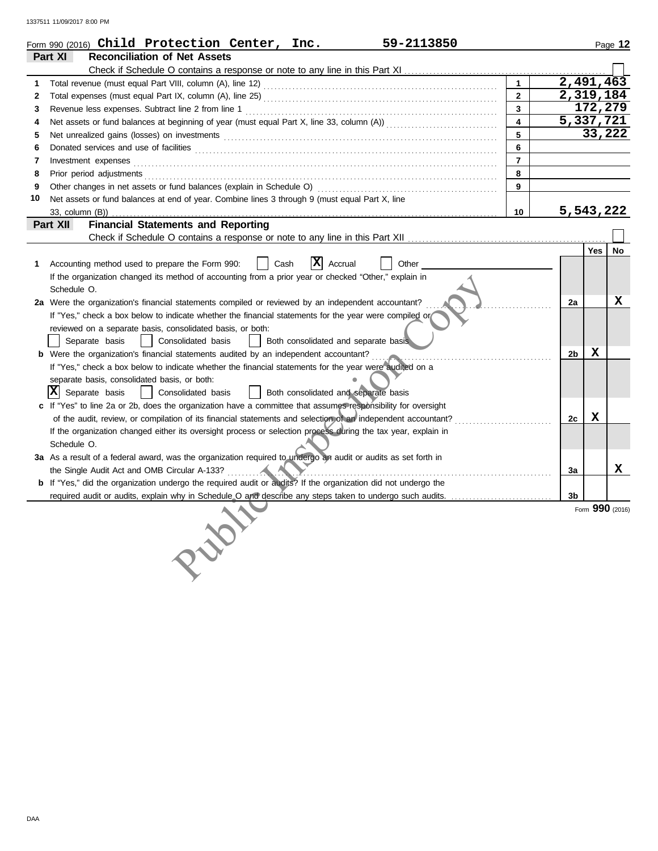|    | 59-2113850<br>Form 990 (2016) $Child$ Protection Center, Inc.                                                                                                                                                                       |                |                |         | Page 12         |
|----|-------------------------------------------------------------------------------------------------------------------------------------------------------------------------------------------------------------------------------------|----------------|----------------|---------|-----------------|
|    | <b>Reconciliation of Net Assets</b><br>Part XI                                                                                                                                                                                      |                |                |         |                 |
|    | Check if Schedule O contains a response or note to any line in this Part XI                                                                                                                                                         |                |                |         |                 |
| 1  |                                                                                                                                                                                                                                     |                | 2,491,463      |         |                 |
| 2  |                                                                                                                                                                                                                                     | $\overline{2}$ | 2,319,184      |         |                 |
| 3  |                                                                                                                                                                                                                                     | $\mathbf{3}$   |                | 172,279 |                 |
| 4  |                                                                                                                                                                                                                                     | 4              | 5,337,721      |         |                 |
| 5  |                                                                                                                                                                                                                                     | 5              |                | 33,222  |                 |
| 6  |                                                                                                                                                                                                                                     | 6              |                |         |                 |
| 7  | Investment expenses <b>contract and the expenses</b>                                                                                                                                                                                | $\overline{7}$ |                |         |                 |
| 8  | Prior period adjustments <b>constructs</b> and construct of the construction of the construction of the construction of the construction of the construction of the construction of the construction of the construction of the con | 8              |                |         |                 |
| 9  | Other changes in net assets or fund balances (explain in Schedule O) [11] content content content content and the content of the content of the content of the content of the content of the content of the content of the con      | 9              |                |         |                 |
| 10 | Net assets or fund balances at end of year. Combine lines 3 through 9 (must equal Part X, line                                                                                                                                      |                |                |         |                 |
|    | 33, column (B))                                                                                                                                                                                                                     | 10             | 5,543,222      |         |                 |
|    | <b>Financial Statements and Reporting</b><br>Part XII                                                                                                                                                                               |                |                |         |                 |
|    |                                                                                                                                                                                                                                     |                |                |         |                 |
|    |                                                                                                                                                                                                                                     |                |                | Yes     | No              |
| 1. | $ X $ Accrual<br>Other<br>Accounting method used to prepare the Form 990:<br>Cash                                                                                                                                                   |                |                |         |                 |
|    | If the organization changed its method of accounting from a prior year or checked "Other," explain in                                                                                                                               |                |                |         |                 |
|    | Schedule O.                                                                                                                                                                                                                         |                |                |         |                 |
|    | 2a Were the organization's financial statements compiled or reviewed by an independent accountant?                                                                                                                                  |                | 2a             |         | X               |
|    | If "Yes," check a box below to indicate whether the financial statements for the year were compiled or                                                                                                                              |                |                |         |                 |
|    | reviewed on a separate basis, consolidated basis, or both:                                                                                                                                                                          |                |                |         |                 |
|    | Consolidated basis<br>Both consolidated and separate basis<br>Separate basis                                                                                                                                                        |                |                |         |                 |
|    | <b>b</b> Were the organization's financial statements audited by an independent accountant?                                                                                                                                         |                | 2 <sub>b</sub> | x       |                 |
|    | If "Yes," check a box below to indicate whether the financial statements for the year were audited on a                                                                                                                             |                |                |         |                 |
|    | separate basis, consolidated basis, or both:                                                                                                                                                                                        |                |                |         |                 |
|    | Both consolidated and separate basis<br>Separate basis<br>Consolidated basis                                                                                                                                                        |                |                |         |                 |
|    | c If "Yes" to line 2a or 2b, does the organization have a committee that assumes responsibility for oversight                                                                                                                       |                |                |         |                 |
|    | of the audit, review, or compilation of its financial statements and selection of an independent accountant?                                                                                                                        |                | 2c             | x       |                 |
|    | If the organization changed either its oversight process or selection process during the tax year, explain in                                                                                                                       |                |                |         |                 |
|    | Schedule O.                                                                                                                                                                                                                         |                |                |         |                 |
|    | 3a As a result of a federal award, was the organization required to undergo an audit or audits as set forth in                                                                                                                      |                |                |         |                 |
|    | the Single Audit Act and OMB Circular A-133?                                                                                                                                                                                        |                | 3a             |         | X.              |
|    | <b>b</b> If "Yes," did the organization undergo the required audit or audits? If the organization did not undergo the                                                                                                               |                |                |         |                 |
|    | required audit or audits, explain why in Schedule O and describe any steps taken to undergo such audits.                                                                                                                            |                | 3 <sub>b</sub> |         |                 |
|    |                                                                                                                                                                                                                                     |                |                |         | Form 990 (2016) |
|    |                                                                                                                                                                                                                                     |                |                |         |                 |
|    |                                                                                                                                                                                                                                     |                |                |         |                 |
|    |                                                                                                                                                                                                                                     |                |                |         |                 |
|    |                                                                                                                                                                                                                                     |                |                |         |                 |
|    |                                                                                                                                                                                                                                     |                |                |         |                 |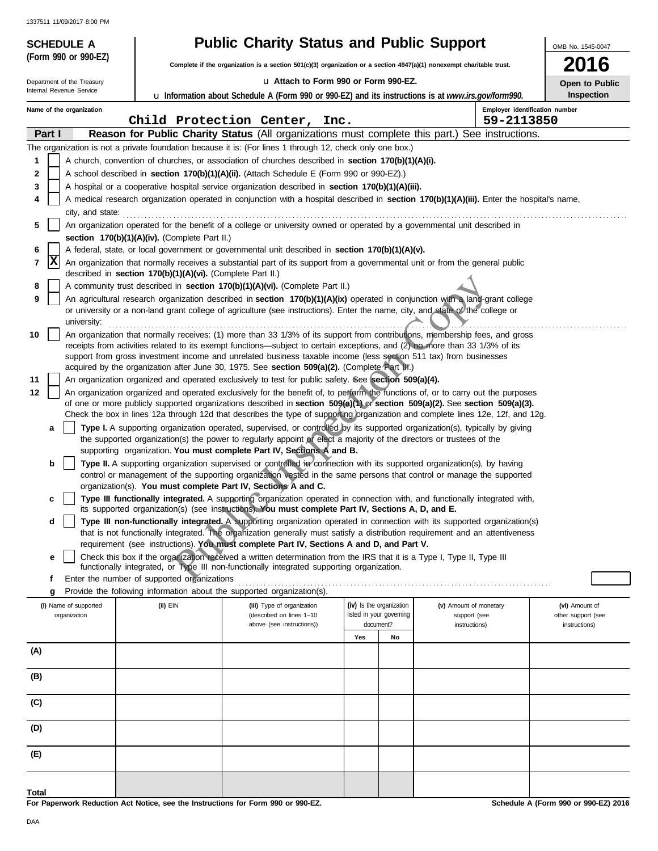| 1337511 11/09/2017 8:00 PM                             |                                                            |                                                                                                                                                                                                                      |     |                                                      |                                                                                                                                                                                                                                                           |                                     |
|--------------------------------------------------------|------------------------------------------------------------|----------------------------------------------------------------------------------------------------------------------------------------------------------------------------------------------------------------------|-----|------------------------------------------------------|-----------------------------------------------------------------------------------------------------------------------------------------------------------------------------------------------------------------------------------------------------------|-------------------------------------|
| <b>SCHEDULE A</b><br>(Form 990 or 990-EZ)              |                                                            | <b>Public Charity Status and Public Support</b>                                                                                                                                                                      |     |                                                      |                                                                                                                                                                                                                                                           | OMB No. 1545-0047                   |
|                                                        |                                                            | Complete if the organization is a section $501(c)(3)$ organization or a section $4947(a)(1)$ nonexempt charitable trust.                                                                                             |     |                                                      |                                                                                                                                                                                                                                                           | 16                                  |
| Department of the Treasury<br>Internal Revenue Service |                                                            | La Attach to Form 990 or Form 990-EZ.<br>u Information about Schedule A (Form 990 or 990-EZ) and its instructions is at www.irs.gov/form990.                                                                         |     |                                                      |                                                                                                                                                                                                                                                           | Open to Public<br><b>Inspection</b> |
| Name of the organization                               |                                                            |                                                                                                                                                                                                                      |     |                                                      | Employer identification number                                                                                                                                                                                                                            |                                     |
|                                                        |                                                            | Child Protection Center, Inc.                                                                                                                                                                                        |     |                                                      | 59-2113850                                                                                                                                                                                                                                                |                                     |
| Part I                                                 |                                                            | The organization is not a private foundation because it is: (For lines 1 through 12, check only one box.)                                                                                                            |     |                                                      | Reason for Public Charity Status (All organizations must complete this part.) See instructions.                                                                                                                                                           |                                     |
| 1                                                      |                                                            | A church, convention of churches, or association of churches described in section 170(b)(1)(A)(i).                                                                                                                   |     |                                                      |                                                                                                                                                                                                                                                           |                                     |
| 2                                                      |                                                            | A school described in section 170(b)(1)(A)(ii). (Attach Schedule E (Form 990 or 990-EZ).)                                                                                                                            |     |                                                      |                                                                                                                                                                                                                                                           |                                     |
| 3                                                      |                                                            | A hospital or a cooperative hospital service organization described in section 170(b)(1)(A)(iii).                                                                                                                    |     |                                                      |                                                                                                                                                                                                                                                           |                                     |
| 4                                                      |                                                            |                                                                                                                                                                                                                      |     |                                                      | A medical research organization operated in conjunction with a hospital described in section 170(b)(1)(A)(iii). Enter the hospital's name,                                                                                                                |                                     |
| city, and state:<br>5                                  |                                                            | An organization operated for the benefit of a college or university owned or operated by a governmental unit described in                                                                                            |     |                                                      |                                                                                                                                                                                                                                                           |                                     |
|                                                        | section 170(b)(1)(A)(iv). (Complete Part II.)              |                                                                                                                                                                                                                      |     |                                                      |                                                                                                                                                                                                                                                           |                                     |
| 6                                                      |                                                            | A federal, state, or local government or governmental unit described in section 170(b)(1)(A)(v).                                                                                                                     |     |                                                      |                                                                                                                                                                                                                                                           |                                     |
| X<br>7                                                 | described in section 170(b)(1)(A)(vi). (Complete Part II.) | An organization that normally receives a substantial part of its support from a governmental unit or from the general public                                                                                         |     |                                                      |                                                                                                                                                                                                                                                           |                                     |
| 8                                                      |                                                            | A community trust described in section 170(b)(1)(A)(vi). (Complete Part II.)                                                                                                                                         |     |                                                      |                                                                                                                                                                                                                                                           |                                     |
| 9                                                      |                                                            | or university or a non-land grant college of agriculture (see instructions). Enter the name, city, and state of the college or                                                                                       |     |                                                      | An agricultural research organization described in section 170(b)(1)(A)(ix) operated in conjunction with a land-grant college                                                                                                                             |                                     |
| university:                                            |                                                            |                                                                                                                                                                                                                      |     |                                                      |                                                                                                                                                                                                                                                           |                                     |
| 10                                                     |                                                            | receipts from activities related to its exempt functions—subject to certain exceptions, and (2) no more than 33 1/3% of its                                                                                          |     |                                                      | An organization that normally receives: (1) more than 33 1/3% of its support from contributions, membership fees, and gross                                                                                                                               |                                     |
|                                                        |                                                            | support from gross investment income and unrelated business taxable income (less section 511 tax) from businesses                                                                                                    |     |                                                      |                                                                                                                                                                                                                                                           |                                     |
| 11                                                     |                                                            | acquired by the organization after June 30, 1975. See section 509(a)(2). (Complete Part III.)<br>An organization organized and operated exclusively to test for public safety. See section 509(a)(4).                |     |                                                      |                                                                                                                                                                                                                                                           |                                     |
| 12                                                     |                                                            |                                                                                                                                                                                                                      |     |                                                      | An organization organized and operated exclusively for the benefit of, to perform the functions of, or to carry out the purposes                                                                                                                          |                                     |
|                                                        |                                                            |                                                                                                                                                                                                                      |     |                                                      | of one or more publicly supported organizations described in section 509(a)(1) or section 509(a)(2). See section 509(a)(3).                                                                                                                               |                                     |
|                                                        |                                                            |                                                                                                                                                                                                                      |     |                                                      | Check the box in lines 12a through 12d that describes the type of supporting organization and complete lines 12e, 12f, and 12g.                                                                                                                           |                                     |
| a                                                      |                                                            | the supported organization(s) the power to regularly appoint of elect a majority of the directors or trustees of the<br>supporting organization. You must complete Part IV, Sections A and B.                        |     |                                                      | Type I. A supporting organization operated, supervised, or controlled by its supported organization(s), typically by giving                                                                                                                               |                                     |
| b                                                      |                                                            | Type II. A supporting organization supervised or controlled in connection with its supported organization(s), by having                                                                                              |     |                                                      |                                                                                                                                                                                                                                                           |                                     |
|                                                        |                                                            |                                                                                                                                                                                                                      |     |                                                      | control or management of the supporting organization vested in the same persons that control or manage the supported                                                                                                                                      |                                     |
| c                                                      |                                                            | organization(s). You must complete Part IV, Sections A and C.                                                                                                                                                        |     |                                                      | Type III functionally integrated. A supporting organization operated in connection with, and functionally integrated with,                                                                                                                                |                                     |
|                                                        |                                                            | its supported organization(s) (see instructions). You must complete Part IV, Sections A, D, and E.                                                                                                                   |     |                                                      |                                                                                                                                                                                                                                                           |                                     |
| d                                                      |                                                            |                                                                                                                                                                                                                      |     |                                                      | Type III non-functionally integrated. A supporting organization operated in connection with its supported organization(s)<br>that is not functionally integrated. The organization generally must satisfy a distribution requirement and an attentiveness |                                     |
|                                                        |                                                            | requirement (see instructions). You must complete Part IV, Sections A and D, and Part V.                                                                                                                             |     |                                                      |                                                                                                                                                                                                                                                           |                                     |
| е                                                      |                                                            | Check this box if the organization received a written determination from the IRS that it is a Type I, Type II, Type III<br>functionally integrated, or Type III non-functionally integrated supporting organization. |     |                                                      |                                                                                                                                                                                                                                                           |                                     |
| f                                                      | Enter the number of supported organizations                |                                                                                                                                                                                                                      |     |                                                      |                                                                                                                                                                                                                                                           |                                     |
| g                                                      |                                                            | Provide the following information about the supported organization(s).                                                                                                                                               |     |                                                      |                                                                                                                                                                                                                                                           |                                     |
| (i) Name of supported                                  | (ii) EIN                                                   | (iii) Type of organization                                                                                                                                                                                           |     | (iv) Is the organization<br>listed in your governing | (v) Amount of monetary                                                                                                                                                                                                                                    | (vi) Amount of                      |
| organization                                           |                                                            | (described on lines 1-10<br>above (see instructions))                                                                                                                                                                |     | document?                                            | support (see<br>instructions)                                                                                                                                                                                                                             | other support (see<br>instructions) |
|                                                        |                                                            |                                                                                                                                                                                                                      | Yes | No                                                   |                                                                                                                                                                                                                                                           |                                     |
| (A)                                                    |                                                            |                                                                                                                                                                                                                      |     |                                                      |                                                                                                                                                                                                                                                           |                                     |
| (B)                                                    |                                                            |                                                                                                                                                                                                                      |     |                                                      |                                                                                                                                                                                                                                                           |                                     |
| (C)                                                    |                                                            |                                                                                                                                                                                                                      |     |                                                      |                                                                                                                                                                                                                                                           |                                     |
| (D)                                                    |                                                            |                                                                                                                                                                                                                      |     |                                                      |                                                                                                                                                                                                                                                           |                                     |
| (E)                                                    |                                                            |                                                                                                                                                                                                                      |     |                                                      |                                                                                                                                                                                                                                                           |                                     |
| Total                                                  |                                                            |                                                                                                                                                                                                                      |     |                                                      |                                                                                                                                                                                                                                                           |                                     |

**For Paperwork Reduction Act Notice, see the Instructions for Form 990 or 990-EZ.**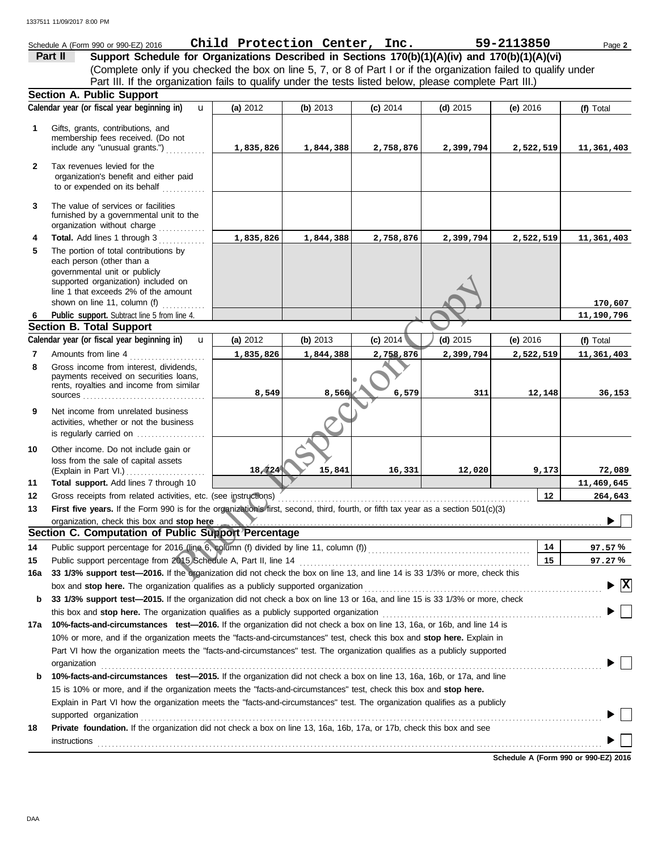|              | Schedule A (Form 990 or 990-EZ) 2016                                                                                                                                                                                           | Child Protection Center, Inc. |            |            |            | 59-2113850 | Page 2                          |
|--------------|--------------------------------------------------------------------------------------------------------------------------------------------------------------------------------------------------------------------------------|-------------------------------|------------|------------|------------|------------|---------------------------------|
|              | Support Schedule for Organizations Described in Sections 170(b)(1)(A)(iv) and 170(b)(1)(A)(vi)<br>Part II                                                                                                                      |                               |            |            |            |            |                                 |
|              | (Complete only if you checked the box on line 5, 7, or 8 of Part I or if the organization failed to qualify under                                                                                                              |                               |            |            |            |            |                                 |
|              | Part III. If the organization fails to qualify under the tests listed below, please complete Part III.)                                                                                                                        |                               |            |            |            |            |                                 |
|              | <b>Section A. Public Support</b>                                                                                                                                                                                               |                               |            |            |            |            |                                 |
|              | Calendar year (or fiscal year beginning in)                                                                                                                                                                                    |                               |            |            |            |            |                                 |
|              | $\mathbf{u}$                                                                                                                                                                                                                   | (a) 2012                      | (b) 2013   | $(c)$ 2014 | (d) $2015$ | (e) 2016   | (f) Total                       |
| 1            | Gifts, grants, contributions, and                                                                                                                                                                                              |                               |            |            |            |            |                                 |
|              | membership fees received. (Do not                                                                                                                                                                                              |                               |            |            |            |            |                                 |
|              | include any "unusual grants.")                                                                                                                                                                                                 | 1,835,826                     | 1,844,388  | 2,758,876  | 2,399,794  | 2,522,519  | 11,361,403                      |
| $\mathbf{2}$ | Tax revenues levied for the                                                                                                                                                                                                    |                               |            |            |            |            |                                 |
|              | organization's benefit and either paid                                                                                                                                                                                         |                               |            |            |            |            |                                 |
|              | to or expended on its behalf                                                                                                                                                                                                   |                               |            |            |            |            |                                 |
| 3            | The value of services or facilities                                                                                                                                                                                            |                               |            |            |            |            |                                 |
|              | furnished by a governmental unit to the                                                                                                                                                                                        |                               |            |            |            |            |                                 |
|              | organization without charge                                                                                                                                                                                                    |                               |            |            |            |            |                                 |
| 4            | Total. Add lines 1 through 3                                                                                                                                                                                                   | 1,835,826                     | 1,844,388  | 2,758,876  | 2,399,794  | 2,522,519  | 11,361,403                      |
| 5            | The portion of total contributions by<br>each person (other than a                                                                                                                                                             |                               |            |            |            |            |                                 |
|              | governmental unit or publicly                                                                                                                                                                                                  |                               |            |            |            |            |                                 |
|              | supported organization) included on                                                                                                                                                                                            |                               |            |            |            |            |                                 |
|              | line 1 that exceeds 2% of the amount                                                                                                                                                                                           |                               |            |            |            |            |                                 |
|              | shown on line 11, column (f) $\ldots$                                                                                                                                                                                          |                               |            |            |            |            | 170,607                         |
| 6            | Public support. Subtract line 5 from line 4.                                                                                                                                                                                   |                               |            |            |            |            | 11,190,796                      |
|              | <b>Section B. Total Support</b><br>Calendar year (or fiscal year beginning in)                                                                                                                                                 |                               |            |            |            |            |                                 |
|              | $\mathbf{u}$                                                                                                                                                                                                                   | (a) 2012                      | (b) $2013$ | (c) $2014$ | $(d)$ 2015 | (e) $2016$ | (f) Total                       |
| 7            | Amounts from line 4<br>.                                                                                                                                                                                                       | 1,835,826                     | 1,844,388  | 2,758,876  | 2,399,794  | 2,522,519  | 11,361,403                      |
| 8            | Gross income from interest, dividends,<br>payments received on securities loans,                                                                                                                                               |                               |            |            |            |            |                                 |
|              | rents, royalties and income from similar                                                                                                                                                                                       |                               |            |            |            |            |                                 |
|              |                                                                                                                                                                                                                                | 8,549                         | 8,566      | 6,579      | 311        | 12,148     | 36,153                          |
| 9            | Net income from unrelated business                                                                                                                                                                                             |                               |            |            |            |            |                                 |
|              | activities, whether or not the business                                                                                                                                                                                        |                               |            |            |            |            |                                 |
|              | is regularly carried on                                                                                                                                                                                                        |                               |            |            |            |            |                                 |
| 10           | Other income. Do not include gain or                                                                                                                                                                                           |                               |            |            |            |            |                                 |
|              | loss from the sale of capital assets                                                                                                                                                                                           | 18, 424                       | 15,841     |            |            |            |                                 |
| 11           | Total support. Add lines 7 through 10                                                                                                                                                                                          |                               |            | 16,331     | 12,020     | 9,173      | 72,089                          |
| 12           | Gross receipts from related activities, etc. (see instructions)                                                                                                                                                                |                               |            |            |            | 12         | 11,469,645<br>264,643           |
| 13           | First five years. If the Form 990 is for the organization's first, second, third, fourth, or fifth tax year as a section 501(c)(3)                                                                                             |                               |            |            |            |            |                                 |
|              | organization, check this box and stop here                                                                                                                                                                                     |                               |            |            |            |            |                                 |
|              | Section C. Computation of Public Support Percentage                                                                                                                                                                            |                               |            |            |            |            |                                 |
| 14           | Public support percentage for 2016 (line 6, column (f) divided by line 11, column (f)) [[[[[[[[[[[[[[[[[[[[[[                                                                                                                  |                               |            |            |            | 14         | 97.57 %                         |
| 15           |                                                                                                                                                                                                                                |                               |            |            |            | 15         | 97.27 %                         |
| 16a          | 33 1/3% support test-2016. If the organization did not check the box on line 13, and line 14 is 33 1/3% or more, check this                                                                                                    |                               |            |            |            |            |                                 |
|              |                                                                                                                                                                                                                                |                               |            |            |            |            | $\blacktriangleright \boxed{X}$ |
| b            | 33 1/3% support test-2015. If the organization did not check a box on line 13 or 16a, and line 15 is 33 1/3% or more, check                                                                                                    |                               |            |            |            |            |                                 |
|              | this box and stop here. The organization qualifies as a publicly supported organization                                                                                                                                        |                               |            |            |            |            |                                 |
| 17a          | 10%-facts-and-circumstances test-2016. If the organization did not check a box on line 13, 16a, or 16b, and line 14 is                                                                                                         |                               |            |            |            |            |                                 |
|              | 10% or more, and if the organization meets the "facts-and-circumstances" test, check this box and stop here. Explain in                                                                                                        |                               |            |            |            |            |                                 |
|              | Part VI how the organization meets the "facts-and-circumstances" test. The organization qualifies as a publicly supported                                                                                                      |                               |            |            |            |            |                                 |
|              | organization<br><u>expanization</u>                                                                                                                                                                                            |                               |            |            |            |            |                                 |
| b            | 10%-facts-and-circumstances test-2015. If the organization did not check a box on line 13, 16a, 16b, or 17a, and line                                                                                                          |                               |            |            |            |            |                                 |
|              | 15 is 10% or more, and if the organization meets the "facts-and-circumstances" test, check this box and stop here.                                                                                                             |                               |            |            |            |            |                                 |
|              | Explain in Part VI how the organization meets the "facts-and-circumstances" test. The organization qualifies as a publicly                                                                                                     |                               |            |            |            |            |                                 |
|              | supported organization contains and contains a supported organization of the supported organization contains and contains a supported organization contains a supported organization contains a supported or support of the su |                               |            |            |            |            |                                 |
| 18           | Private foundation. If the organization did not check a box on line 13, 16a, 16b, 17a, or 17b, check this box and see                                                                                                          |                               |            |            |            |            |                                 |
|              | <b>instructions</b>                                                                                                                                                                                                            |                               |            |            |            |            |                                 |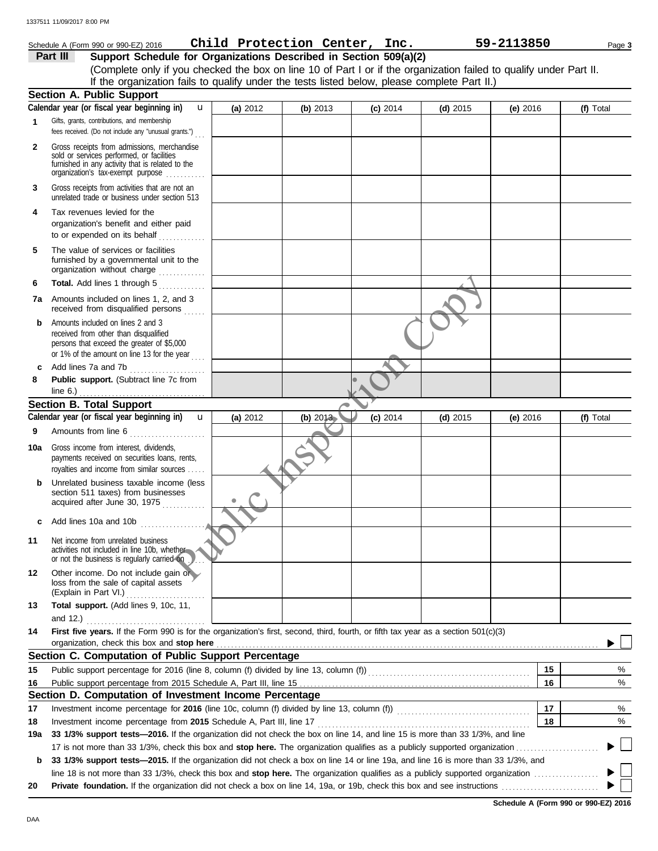|              | Schedule A (Form 990 or 990-EZ) 2016                                                                                                                                                                                           | Child Protection Center, Inc. |          |            |            | 59-2113850 | Page 3    |
|--------------|--------------------------------------------------------------------------------------------------------------------------------------------------------------------------------------------------------------------------------|-------------------------------|----------|------------|------------|------------|-----------|
|              | Support Schedule for Organizations Described in Section 509(a)(2)<br>Part III                                                                                                                                                  |                               |          |            |            |            |           |
|              | (Complete only if you checked the box on line 10 of Part I or if the organization failed to qualify under Part II.                                                                                                             |                               |          |            |            |            |           |
|              | If the organization fails to qualify under the tests listed below, please complete Part II.)                                                                                                                                   |                               |          |            |            |            |           |
|              | <b>Section A. Public Support</b>                                                                                                                                                                                               |                               |          |            |            |            |           |
|              | Calendar year (or fiscal year beginning in)<br>$\mathbf{u}$                                                                                                                                                                    | (a) 2012                      | (b) 2013 | $(c)$ 2014 | $(d)$ 2015 | (e) $2016$ | (f) Total |
| 1            | Gifts, grants, contributions, and membership<br>fees received. (Do not include any "unusual grants.")                                                                                                                          |                               |          |            |            |            |           |
| $\mathbf{2}$ | Gross receipts from admissions, merchandise<br>sold or services performed, or facilities<br>furnished in any activity that is related to the<br>organization's tax-exempt purpose                                              |                               |          |            |            |            |           |
| 3            | Gross receipts from activities that are not an<br>unrelated trade or business under section 513                                                                                                                                |                               |          |            |            |            |           |
| 4            | Tax revenues levied for the<br>organization's benefit and either paid<br>to or expended on its behalf<br>.                                                                                                                     |                               |          |            |            |            |           |
| 5            | The value of services or facilities<br>furnished by a governmental unit to the<br>organization without charge                                                                                                                  |                               |          |            |            |            |           |
| 6            | Total. Add lines 1 through 5                                                                                                                                                                                                   |                               |          |            |            |            |           |
| 7а           | Amounts included on lines 1, 2, and 3<br>received from disqualified persons                                                                                                                                                    |                               |          |            |            |            |           |
| b            | Amounts included on lines 2 and 3<br>received from other than disqualified<br>persons that exceed the greater of \$5,000<br>or 1% of the amount on line 13 for the year $\begin{bmatrix} 1 & 1 \\ 1 & 1 \end{bmatrix}$         |                               |          |            |            |            |           |
|              | Add lines 7a and 7b                                                                                                                                                                                                            |                               |          |            |            |            |           |
| 8            | Public support. (Subtract line 7c from                                                                                                                                                                                         |                               |          |            |            |            |           |
|              | line $6.$ )<br><u>.</u>                                                                                                                                                                                                        |                               |          |            |            |            |           |
|              | <b>Section B. Total Support</b>                                                                                                                                                                                                |                               |          |            |            |            |           |
|              | Calendar year (or fiscal year beginning in) <b>u</b>                                                                                                                                                                           | (a) 2012                      | (b) 2013 | $(c)$ 2014 | $(d)$ 2015 | (e) $2016$ | (f) Total |
| 9            | Amounts from line 6                                                                                                                                                                                                            |                               |          |            |            |            |           |
| 10a          | Gross income from interest, dividends,<br>payments received on securities loans, rents,<br>royalties and income from similar sources                                                                                           |                               |          |            |            |            |           |
| b            | Unrelated business taxable income (less<br>section 511 taxes) from businesses<br>acquired after June 30, 1975                                                                                                                  |                               |          |            |            |            |           |
| c            | Add lines 10a and 10b                                                                                                                                                                                                          |                               |          |            |            |            |           |
| 11           | Net income from unrelated business<br>activities not included in line 10b, whether<br>or not the business is regularly carried on                                                                                              |                               |          |            |            |            |           |
| 12           | Other income. Do not include gain or<br>loss from the sale of capital assets<br>(Explain in Part VI.)                                                                                                                          |                               |          |            |            |            |           |
| 13           | Total support. (Add lines 9, 10c, 11,<br>and 12.) $\ldots$                                                                                                                                                                     |                               |          |            |            |            |           |
| 14           | First five years. If the Form 990 is for the organization's first, second, third, fourth, or fifth tax year as a section 501(c)(3)<br>organization, check this box and stop here                                               |                               |          |            |            |            |           |
|              | Section C. Computation of Public Support Percentage                                                                                                                                                                            |                               |          |            |            |            |           |
| 15           | Public support percentage for 2016 (line 8, column (f) divided by line 13, column (f))<br>[[[COLUMD (f)]                                                                                                                       |                               |          |            |            | 15         | %         |
| 16           |                                                                                                                                                                                                                                |                               |          |            |            | 16         | %         |
|              | Section D. Computation of Investment Income Percentage                                                                                                                                                                         |                               |          |            |            |            |           |
| 17           |                                                                                                                                                                                                                                |                               |          |            |            | 17         | %         |
| 18           | Investment income percentage from 2015 Schedule A, Part III, line 17 [2010] [2010] [2010] [2010] [2010] [2010] [3010] [3010] [3010] [3010] [3010] [3010] [3010] [3010] [3010] [3010] [3010] [3010] [3010] [3010] [3010] [3010] |                               |          |            |            | 18         | %         |
| 19a          | 33 1/3% support tests-2016. If the organization did not check the box on line 14, and line 15 is more than 33 1/3%, and line                                                                                                   |                               |          |            |            |            |           |
|              |                                                                                                                                                                                                                                |                               |          |            |            |            |           |
| b            | 33 1/3% support tests-2015. If the organization did not check a box on line 14 or line 19a, and line 16 is more than 33 1/3%, and                                                                                              |                               |          |            |            |            |           |
|              |                                                                                                                                                                                                                                |                               |          |            |            |            |           |
| 20           |                                                                                                                                                                                                                                |                               |          |            |            |            |           |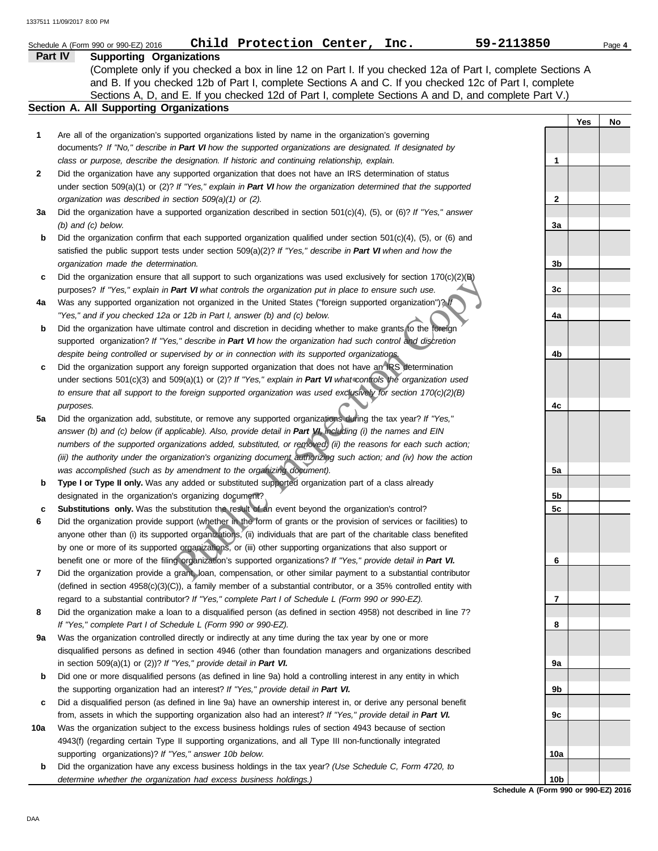|     | Child Protection Center, Inc.<br>Schedule A (Form 990 or 990-EZ) 2016                                                     | 59-2113850      |     | Page 4 |
|-----|---------------------------------------------------------------------------------------------------------------------------|-----------------|-----|--------|
|     | <b>Supporting Organizations</b><br>Part IV                                                                                |                 |     |        |
|     | (Complete only if you checked a box in line 12 on Part I. If you checked 12a of Part I, complete Sections A               |                 |     |        |
|     | and B. If you checked 12b of Part I, complete Sections A and C. If you checked 12c of Part I, complete                    |                 |     |        |
|     | Sections A, D, and E. If you checked 12d of Part I, complete Sections A and D, and complete Part V.)                      |                 |     |        |
|     | Section A. All Supporting Organizations                                                                                   |                 |     |        |
|     |                                                                                                                           |                 | Yes | No     |
| 1   | Are all of the organization's supported organizations listed by name in the organization's governing                      |                 |     |        |
|     | documents? If "No," describe in Part VI how the supported organizations are designated. If designated by                  |                 |     |        |
|     | class or purpose, describe the designation. If historic and continuing relationship, explain.                             | $\mathbf 1$     |     |        |
| 2   | Did the organization have any supported organization that does not have an IRS determination of status                    |                 |     |        |
|     | under section 509(a)(1) or (2)? If "Yes," explain in Part VI how the organization determined that the supported           |                 |     |        |
|     | organization was described in section 509(a)(1) or (2).                                                                   | $\mathbf{2}$    |     |        |
| За  | Did the organization have a supported organization described in section $501(c)(4)$ , $(5)$ , or $(6)$ ? If "Yes," answer |                 |     |        |
|     | $(b)$ and $(c)$ below.                                                                                                    | 3a              |     |        |
| b   | Did the organization confirm that each supported organization qualified under section $501(c)(4)$ , (5), or (6) and       |                 |     |        |
|     | satisfied the public support tests under section 509(a)(2)? If "Yes," describe in Part VI when and how the                |                 |     |        |
|     | organization made the determination.                                                                                      | 3b              |     |        |
| c   | Did the organization ensure that all support to such organizations was used exclusively for section $170(c)(2)(B)$        |                 |     |        |
|     | purposes? If "Yes," explain in Part VI what controls the organization put in place to ensure such use.                    | 3c              |     |        |
| 4a  | Was any supported organization not organized in the United States ("foreign supported organization")? If                  |                 |     |        |
|     | "Yes," and if you checked 12a or 12b in Part I, answer (b) and (c) below.                                                 | 4a              |     |        |
| b   | Did the organization have ultimate control and discretion in deciding whether to make grants to the foreign               |                 |     |        |
|     | supported organization? If "Yes," describe in Part VI how the organization had such control and discretion                |                 |     |        |
|     | despite being controlled or supervised by or in connection with its supported organizations.                              | 4b              |     |        |
| c   | Did the organization support any foreign supported organization that does not have an IRS determination                   |                 |     |        |
|     | under sections 501(c)(3) and 509(a)(1) or (2)? If "Yes," explain in Part VI what controls the organization used           |                 |     |        |
|     | to ensure that all support to the foreign supported organization was used exclusively for section $170(c)(2)(B)$          |                 |     |        |
|     | purposes.                                                                                                                 | 4c              |     |        |
| 5a  | Did the organization add, substitute, or remove any supported organizations during the tax year? If "Yes,"                |                 |     |        |
|     | answer (b) and (c) below (if applicable). Also, provide detail in Part VI, including (i) the names and EIN                |                 |     |        |
|     | numbers of the supported organizations added, substituted, or removed; (ii) the reasons for each such action;             |                 |     |        |
|     | (iii) the authority under the organization's organizing document authorizing such action; and (iv) how the action         |                 |     |        |
|     | was accomplished (such as by amendment to the organizing document).                                                       | 5a              |     |        |
| b   | Type I or Type II only. Was any added or substituted supported organization part of a class already                       |                 |     |        |
|     | designated in the organization's organizing document?                                                                     | 5b              |     |        |
|     | Substitutions only. Was the substitution the result of an event beyond the organization's control?                        | 5c              |     |        |
| 6   | Did the organization provide support (whether in the form of grants or the provision of services or facilities) to        |                 |     |        |
|     | anyone other than (i) its supported organizations, (ii) individuals that are part of the charitable class benefited       |                 |     |        |
|     | by one or more of its supported organizations, or (iii) other supporting organizations that also support or               |                 |     |        |
|     | benefit one or more of the filing organization's supported organizations? If "Yes," provide detail in Part VI.            | 6               |     |        |
| 7   | Did the organization provide a grant, loan, compensation, or other similar payment to a substantial contributor           |                 |     |        |
|     | (defined in section $4958(c)(3)(C)$ ), a family member of a substantial contributor, or a 35% controlled entity with      |                 |     |        |
|     | regard to a substantial contributor? If "Yes," complete Part I of Schedule L (Form 990 or 990-EZ).                        | 7               |     |        |
| 8   | Did the organization make a loan to a disqualified person (as defined in section 4958) not described in line 7?           |                 |     |        |
|     | If "Yes," complete Part I of Schedule L (Form 990 or 990-EZ).                                                             | 8               |     |        |
| 9a  | Was the organization controlled directly or indirectly at any time during the tax year by one or more                     |                 |     |        |
|     | disqualified persons as defined in section 4946 (other than foundation managers and organizations described               |                 |     |        |
|     | in section $509(a)(1)$ or $(2)$ ? If "Yes," provide detail in Part VI.                                                    | 9а              |     |        |
| b   | Did one or more disqualified persons (as defined in line 9a) hold a controlling interest in any entity in which           |                 |     |        |
|     | the supporting organization had an interest? If "Yes," provide detail in Part VI.                                         | 9b              |     |        |
| c   | Did a disqualified person (as defined in line 9a) have an ownership interest in, or derive any personal benefit           |                 |     |        |
|     | from, assets in which the supporting organization also had an interest? If "Yes," provide detail in Part VI.              | 9c              |     |        |
| 10a | Was the organization subject to the excess business holdings rules of section 4943 because of section                     |                 |     |        |
|     | 4943(f) (regarding certain Type II supporting organizations, and all Type III non-functionally integrated                 |                 |     |        |
|     | supporting organizations)? If "Yes," answer 10b below.                                                                    | 10a             |     |        |
| b   | Did the organization have any excess business holdings in the tax year? (Use Schedule C, Form 4720, to                    |                 |     |        |
|     | determine whether the organization had excess business holdings.)                                                         | 10 <sub>b</sub> |     |        |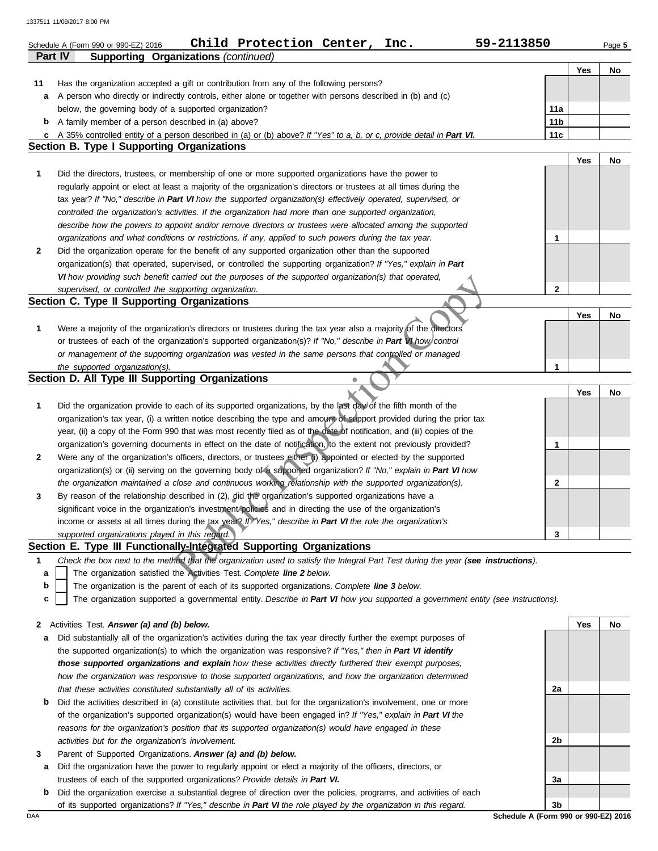|              | Child Protection Center, Inc.<br>59-2113850<br>Schedule A (Form 990 or 990-EZ) 2016                                                                              |                 |     | Page 5 |
|--------------|------------------------------------------------------------------------------------------------------------------------------------------------------------------|-----------------|-----|--------|
|              | <b>Supporting Organizations (continued)</b><br>Part IV                                                                                                           |                 |     |        |
| 11           | Has the organization accepted a gift or contribution from any of the following persons?                                                                          |                 | Yes | No     |
| a            | A person who directly or indirectly controls, either alone or together with persons described in (b) and (c)                                                     |                 |     |        |
|              | below, the governing body of a supported organization?                                                                                                           | 11a             |     |        |
| b            | A family member of a person described in (a) above?                                                                                                              | 11 <sub>b</sub> |     |        |
| c            | A 35% controlled entity of a person described in (a) or (b) above? If "Yes" to a, b, or c, provide detail in Part VI.                                            | 11c             |     |        |
|              | <b>Section B. Type I Supporting Organizations</b>                                                                                                                |                 |     |        |
|              |                                                                                                                                                                  |                 | Yes | No     |
| 1            | Did the directors, trustees, or membership of one or more supported organizations have the power to                                                              |                 |     |        |
|              | regularly appoint or elect at least a majority of the organization's directors or trustees at all times during the                                               |                 |     |        |
|              | tax year? If "No," describe in Part VI how the supported organization(s) effectively operated, supervised, or                                                    |                 |     |        |
|              | controlled the organization's activities. If the organization had more than one supported organization,                                                          |                 |     |        |
|              | describe how the powers to appoint and/or remove directors or trustees were allocated among the supported                                                        |                 |     |        |
|              | organizations and what conditions or restrictions, if any, applied to such powers during the tax year.                                                           | 1               |     |        |
| 2            | Did the organization operate for the benefit of any supported organization other than the supported                                                              |                 |     |        |
|              | organization(s) that operated, supervised, or controlled the supporting organization? If "Yes," explain in Part                                                  |                 |     |        |
|              | VI how providing such benefit carried out the purposes of the supported organization(s) that operated,<br>supervised, or controlled the supporting organization. | $\mathbf{2}$    |     |        |
|              | Section C. Type II Supporting Organizations                                                                                                                      |                 |     |        |
|              |                                                                                                                                                                  |                 | Yes | No     |
| 1            | Were a majority of the organization's directors or trustees during the tax year also a majority of the directors                                                 |                 |     |        |
|              | or trustees of each of the organization's supported organization(s)? If "No," describe in Part VI how control                                                    |                 |     |        |
|              | or management of the supporting organization was vested in the same persons that controlled or managed                                                           |                 |     |        |
|              | the supported organization(s).                                                                                                                                   | 1               |     |        |
|              | Section D. All Type III Supporting Organizations                                                                                                                 |                 |     |        |
|              |                                                                                                                                                                  |                 | Yes | No     |
| 1            | Did the organization provide to each of its supported organizations, by the last day of the fifth month of the                                                   |                 |     |        |
|              | organization's tax year, (i) a written notice describing the type and amount of support provided during the prior tax                                            |                 |     |        |
|              | year, (ii) a copy of the Form 990 that was most recently filed as of the date of notification, and (iii) copies of the                                           |                 |     |        |
|              | organization's governing documents in effect on the date of notification, to the extent not previously provided?                                                 | 1               |     |        |
| 2            | Were any of the organization's officers, directors, or trustees either (i) appointed or elected by the supported                                                 |                 |     |        |
|              | organization(s) or (ii) serving on the governing body of a supported organization? If "No," explain in Part VI how                                               |                 |     |        |
|              | the organization maintained a close and continuous working relationship with the supported organization(s).                                                      | 2               |     |        |
| 3            | By reason of the relationship described in (2), did the organization's supported organizations have a                                                            |                 |     |        |
|              | significant voice in the organization's investment/policies and in directing the use of the organization's                                                       |                 |     |        |
|              | income or assets at all times during the tax year? If "Yes," describe in Part VI the role the organization's                                                     |                 |     |        |
|              | supported organizations played in this regard.<br>Section E. Type III Functionally-Integrated Supporting Organizations                                           | 3               |     |        |
|              | Check the box next to the method that the organization used to satisfy the Integral Part Test during the year (see instructions).                                |                 |     |        |
| 1            | The organization satisfied the Activities Test. Complete line 2 below.                                                                                           |                 |     |        |
| а<br>b       | The organization is the parent of each of its supported organizations. Complete line 3 below.                                                                    |                 |     |        |
| C            | The organization supported a governmental entity. Describe in Part VI how you supported a government entity (see instructions).                                  |                 |     |        |
|              |                                                                                                                                                                  |                 |     |        |
| $\mathbf{z}$ | Activities Test. Answer (a) and (b) below.                                                                                                                       |                 | Yes | No     |
| а            | Did substantially all of the organization's activities during the tax year directly further the exempt purposes of                                               |                 |     |        |
|              | the supported organization(s) to which the organization was responsive? If "Yes," then in Part VI identify                                                       |                 |     |        |
|              | those supported organizations and explain how these activities directly furthered their exempt purposes,                                                         |                 |     |        |
|              | how the organization was responsive to those supported organizations, and how the organization determined                                                        |                 |     |        |
|              | that these activities constituted substantially all of its activities.                                                                                           | 2a              |     |        |
| b            | Did the activities described in (a) constitute activities that, but for the organization's involvement, one or more                                              |                 |     |        |
|              | of the organization's supported organization(s) would have been engaged in? If "Yes," explain in Part VI the                                                     |                 |     |        |
|              | reasons for the organization's position that its supported organization(s) would have engaged in these                                                           |                 |     |        |
|              | activities but for the organization's involvement.                                                                                                               | 2b              |     |        |
| 3            | Parent of Supported Organizations. Answer (a) and (b) below.                                                                                                     |                 |     |        |
| a            | Did the organization have the power to regularly appoint or elect a majority of the officers, directors, or                                                      |                 |     |        |
|              | trustees of each of the supported organizations? Provide details in Part VI.                                                                                     | 3a              |     |        |

| <b>b</b> Did the organization exercise a substantial degree of direction over the policies, programs, and activities of each |
|------------------------------------------------------------------------------------------------------------------------------|
| of its supported organizations? If "Yes," describe in Part VI the role played by the organization in this regard.            |

DAA **Schedule A (Form 990 or 990-EZ) 2016 3b**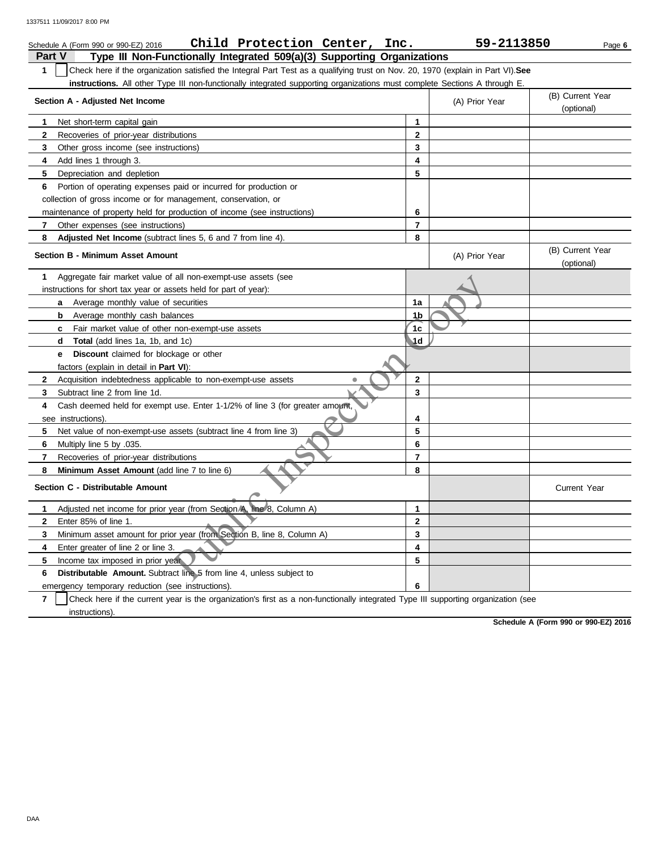| Child Protection Center, Inc.<br>Schedule A (Form 990 or 990-EZ) 2016                                                                 |                | 59-2113850     | Page 6                         |
|---------------------------------------------------------------------------------------------------------------------------------------|----------------|----------------|--------------------------------|
| Type III Non-Functionally Integrated 509(a)(3) Supporting Organizations<br><b>Part V</b>                                              |                |                |                                |
| 1<br>Check here if the organization satisfied the Integral Part Test as a qualifying trust on Nov. 20, 1970 (explain in Part VI). See |                |                |                                |
| instructions. All other Type III non-functionally integrated supporting organizations must complete Sections A through E.             |                |                |                                |
| Section A - Adjusted Net Income                                                                                                       |                | (A) Prior Year | (B) Current Year<br>(optional) |
| Net short-term capital gain<br>1.                                                                                                     | 1              |                |                                |
| $\mathbf{2}$<br>Recoveries of prior-year distributions                                                                                | $\mathbf{2}$   |                |                                |
| 3<br>Other gross income (see instructions)                                                                                            | 3              |                |                                |
| 4<br>Add lines 1 through 3.                                                                                                           | 4              |                |                                |
| 5<br>Depreciation and depletion                                                                                                       | 5              |                |                                |
| 6<br>Portion of operating expenses paid or incurred for production or                                                                 |                |                |                                |
| collection of gross income or for management, conservation, or                                                                        |                |                |                                |
| maintenance of property held for production of income (see instructions)                                                              | 6              |                |                                |
| $\mathbf{7}$<br>Other expenses (see instructions)                                                                                     | $\overline{7}$ |                |                                |
| 8<br>Adjusted Net Income (subtract lines 5, 6 and 7 from line 4).                                                                     | 8              |                |                                |
| <b>Section B - Minimum Asset Amount</b>                                                                                               |                | (A) Prior Year | (B) Current Year<br>(optional) |
| 1<br>Aggregate fair market value of all non-exempt-use assets (see                                                                    |                |                |                                |
| instructions for short tax year or assets held for part of year):                                                                     |                |                |                                |
| <b>a</b> Average monthly value of securities                                                                                          | 1a             |                |                                |
| b<br>Average monthly cash balances                                                                                                    | 1,b            |                |                                |
| Fair market value of other non-exempt-use assets<br>C                                                                                 | 1 <sub>c</sub> |                |                                |
| <b>Total</b> (add lines 1a, 1b, and 1c)<br>d                                                                                          | 1d             |                |                                |
| <b>Discount</b> claimed for blockage or other<br>е                                                                                    |                |                |                                |
| factors (explain in detail in <b>Part VI)</b> :                                                                                       |                |                |                                |
| $\mathbf{2}$<br>Acquisition indebtedness applicable to non-exempt-use assets<br>$\bullet$                                             | $\mathbf{2}$   |                |                                |
| 3<br>Subtract line 2 from line 1d.                                                                                                    | 3              |                |                                |
| Cash deemed held for exempt use. Enter 1-1/2% of line 3 (for greater amount,<br>4                                                     |                |                |                                |
| see instructions).                                                                                                                    | 4              |                |                                |
| 5<br>Net value of non-exempt-use assets (subtract line 4 from line 3)                                                                 | 5              |                |                                |
| 6<br>Multiply line 5 by .035.                                                                                                         | 6              |                |                                |
| 7<br>Recoveries of prior-year distributions                                                                                           | $\overline{7}$ |                |                                |
| 8<br>Minimum Asset Amount (add line 7 to line 6)                                                                                      | 8              |                |                                |
| Section C - Distributable Amount                                                                                                      |                |                | <b>Current Year</b>            |
| Adjusted net income for prior year (from Section A, line 8, Column A)<br>1                                                            | 1              |                |                                |
| Enter 85% of line 1.<br>$\mathbf{2}$                                                                                                  | $\mathbf{2}$   |                |                                |
| Minimum asset amount for prior year (from Section B, line 8, Column A)<br>3                                                           | 3              |                |                                |
| Enter greater of line 2 or line 3.<br>4                                                                                               | 4              |                |                                |
| 5<br>Income tax imposed in prior year.                                                                                                | 5              |                |                                |
| Distributable Amount. Subtract line 5 from line 4, unless subject to<br>6                                                             |                |                |                                |
| emergency temporary reduction (see instructions).                                                                                     | 6              |                |                                |
|                                                                                                                                       |                |                |                                |

**7** | Check here if the current year is the organization's first as a non-functionally integrated Type III supporting organization (see instructions).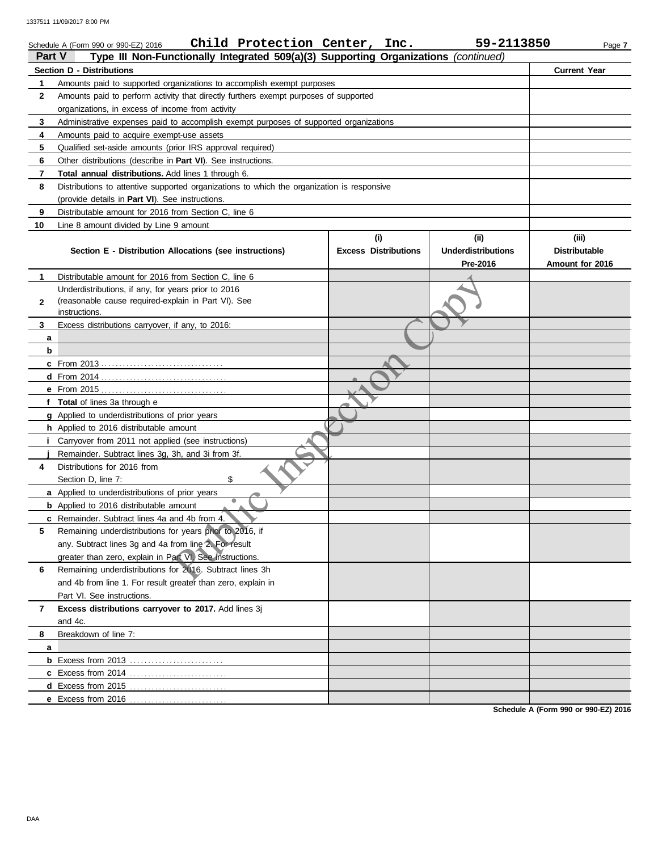|                | Child Protection Center, Inc.<br>Schedule A (Form 990 or 990-EZ) 2016                                                                    |                             | 59-2113850                | Page 7               |
|----------------|------------------------------------------------------------------------------------------------------------------------------------------|-----------------------------|---------------------------|----------------------|
| Part V         | Type III Non-Functionally Integrated 509(a)(3) Supporting Organizations (continued)                                                      |                             |                           |                      |
|                | <b>Section D - Distributions</b><br>Amounts paid to supported organizations to accomplish exempt purposes                                |                             |                           | <b>Current Year</b>  |
| 1              |                                                                                                                                          |                             |                           |                      |
| $\mathbf{2}$   | Amounts paid to perform activity that directly furthers exempt purposes of supported<br>organizations, in excess of income from activity |                             |                           |                      |
| 3              | Administrative expenses paid to accomplish exempt purposes of supported organizations                                                    |                             |                           |                      |
| 4              | Amounts paid to acquire exempt-use assets                                                                                                |                             |                           |                      |
| 5              | Qualified set-aside amounts (prior IRS approval required)                                                                                |                             |                           |                      |
| 6              | Other distributions (describe in <b>Part VI</b> ). See instructions.                                                                     |                             |                           |                      |
| $\overline{7}$ | Total annual distributions. Add lines 1 through 6.                                                                                       |                             |                           |                      |
| 8              | Distributions to attentive supported organizations to which the organization is responsive                                               |                             |                           |                      |
|                | (provide details in Part VI). See instructions.                                                                                          |                             |                           |                      |
| 9              | Distributable amount for 2016 from Section C, line 6                                                                                     |                             |                           |                      |
| 10             | Line 8 amount divided by Line 9 amount                                                                                                   |                             |                           |                      |
|                |                                                                                                                                          | (i)                         | (ii)                      | (iii)                |
|                | Section E - Distribution Allocations (see instructions)                                                                                  | <b>Excess Distributions</b> | <b>Underdistributions</b> | <b>Distributable</b> |
|                |                                                                                                                                          |                             | Pre-2016                  | Amount for 2016      |
| 1              | Distributable amount for 2016 from Section C, line 6                                                                                     |                             |                           |                      |
|                | Underdistributions, if any, for years prior to 2016                                                                                      |                             |                           |                      |
| $\mathbf{2}$   | (reasonable cause required-explain in Part VI). See                                                                                      |                             |                           |                      |
| 3              | instructions.                                                                                                                            |                             |                           |                      |
| a              | Excess distributions carryover, if any, to 2016:                                                                                         |                             |                           |                      |
| b              |                                                                                                                                          |                             |                           |                      |
|                |                                                                                                                                          |                             |                           |                      |
|                |                                                                                                                                          |                             |                           |                      |
|                | e From 2015                                                                                                                              |                             |                           |                      |
|                | f Total of lines 3a through e                                                                                                            |                             |                           |                      |
|                | <b>g</b> Applied to underdistributions of prior years                                                                                    |                             |                           |                      |
|                | h Applied to 2016 distributable amount                                                                                                   |                             |                           |                      |
|                | <i>i</i> Carryover from 2011 not applied (see instructions)                                                                              |                             |                           |                      |
|                | Remainder. Subtract lines 3q, 3h, and 3i from 3f.                                                                                        |                             |                           |                      |
| 4              | Distributions for 2016 from                                                                                                              |                             |                           |                      |
|                | \$<br>Section D, line 7:                                                                                                                 |                             |                           |                      |
|                | a Applied to underdistributions of prior years                                                                                           |                             |                           |                      |
|                | <b>b</b> Applied to 2016 distributable amount                                                                                            |                             |                           |                      |
|                | <b>c</b> Remainder. Subtract lines 4a and 4b from 4.                                                                                     |                             |                           |                      |
| 5              | Remaining underdistributions for years prior to 2016, if                                                                                 |                             |                           |                      |
|                | any. Subtract lines 3g and 4a from line 2. For result                                                                                    |                             |                           |                      |
|                | greater than zero, explain in Part VI. See instructions.                                                                                 |                             |                           |                      |
| 6              | Remaining underdistributions for 2016. Subtract lines 3h                                                                                 |                             |                           |                      |
|                | and 4b from line 1. For result greater than zero, explain in                                                                             |                             |                           |                      |
|                | Part VI. See instructions.                                                                                                               |                             |                           |                      |
| 7              | Excess distributions carryover to 2017. Add lines 3j                                                                                     |                             |                           |                      |
|                | and 4c.                                                                                                                                  |                             |                           |                      |
| 8              | Breakdown of line 7:                                                                                                                     |                             |                           |                      |
| a              |                                                                                                                                          |                             |                           |                      |
|                | <b>b</b> Excess from 2013                                                                                                                |                             |                           |                      |
|                | c Excess from 2014                                                                                                                       |                             |                           |                      |
|                | <b>d</b> Excess from 2015<br>.                                                                                                           |                             |                           |                      |
|                | e Excess from 2016                                                                                                                       |                             |                           |                      |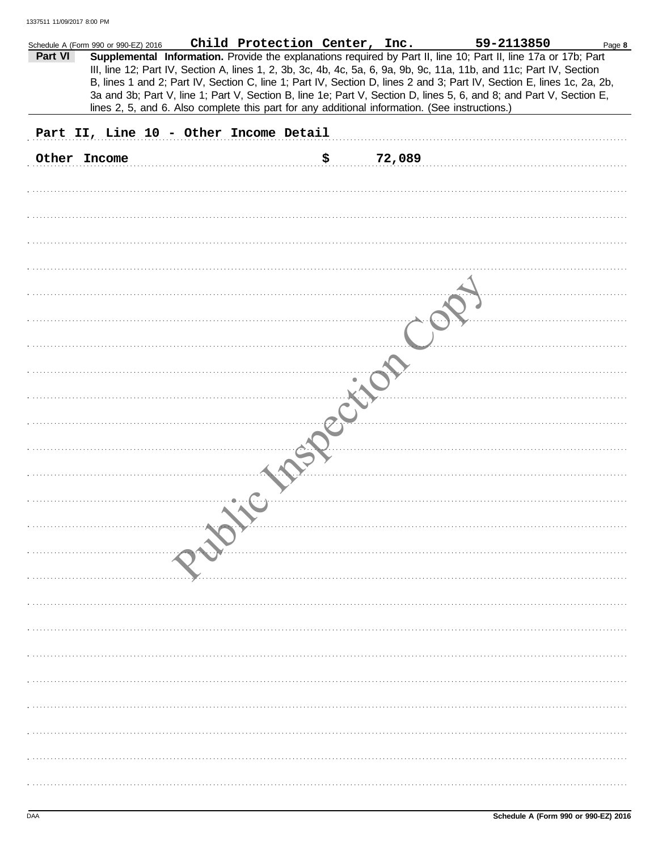|         | Schedule A (Form 990 or 990-EZ) 2016                                                           | Child Protection Center, Inc. |        | 59-2113850                                                                                                                                                                                                                                                                                                                                                                                                                                                                               | Page 8 |
|---------|------------------------------------------------------------------------------------------------|-------------------------------|--------|------------------------------------------------------------------------------------------------------------------------------------------------------------------------------------------------------------------------------------------------------------------------------------------------------------------------------------------------------------------------------------------------------------------------------------------------------------------------------------------|--------|
| Part VI | lines 2, 5, and 6. Also complete this part for any additional information. (See instructions.) |                               |        | Supplemental Information. Provide the explanations required by Part II, line 10; Part II, line 17a or 17b; Part<br>III, line 12; Part IV, Section A, lines 1, 2, 3b, 3c, 4b, 4c, 5a, 6, 9a, 9b, 9c, 11a, 11b, and 11c; Part IV, Section<br>B, lines 1 and 2; Part IV, Section C, line 1; Part IV, Section D, lines 2 and 3; Part IV, Section E, lines 1c, 2a, 2b,<br>3a and 3b; Part V, line 1; Part V, Section B, line 1e; Part V, Section D, lines 5, 6, and 8; and Part V, Section E, |        |
|         | Part II, Line 10 - Other Income Detail                                                         |                               |        |                                                                                                                                                                                                                                                                                                                                                                                                                                                                                          |        |
| Other   | <b>Income</b>                                                                                  |                               | 72,089 |                                                                                                                                                                                                                                                                                                                                                                                                                                                                                          |        |
|         |                                                                                                |                               |        |                                                                                                                                                                                                                                                                                                                                                                                                                                                                                          |        |
|         |                                                                                                |                               |        |                                                                                                                                                                                                                                                                                                                                                                                                                                                                                          |        |
|         |                                                                                                |                               |        |                                                                                                                                                                                                                                                                                                                                                                                                                                                                                          |        |
|         |                                                                                                |                               |        |                                                                                                                                                                                                                                                                                                                                                                                                                                                                                          |        |
|         |                                                                                                |                               |        |                                                                                                                                                                                                                                                                                                                                                                                                                                                                                          |        |
|         |                                                                                                |                               |        |                                                                                                                                                                                                                                                                                                                                                                                                                                                                                          |        |
|         |                                                                                                |                               |        |                                                                                                                                                                                                                                                                                                                                                                                                                                                                                          |        |
|         |                                                                                                |                               |        |                                                                                                                                                                                                                                                                                                                                                                                                                                                                                          |        |
|         |                                                                                                |                               |        |                                                                                                                                                                                                                                                                                                                                                                                                                                                                                          |        |
|         |                                                                                                |                               |        |                                                                                                                                                                                                                                                                                                                                                                                                                                                                                          |        |
|         |                                                                                                |                               |        |                                                                                                                                                                                                                                                                                                                                                                                                                                                                                          |        |
|         |                                                                                                |                               |        |                                                                                                                                                                                                                                                                                                                                                                                                                                                                                          |        |
|         |                                                                                                |                               |        |                                                                                                                                                                                                                                                                                                                                                                                                                                                                                          |        |
|         |                                                                                                |                               |        |                                                                                                                                                                                                                                                                                                                                                                                                                                                                                          |        |
|         |                                                                                                |                               |        |                                                                                                                                                                                                                                                                                                                                                                                                                                                                                          |        |
|         |                                                                                                |                               |        |                                                                                                                                                                                                                                                                                                                                                                                                                                                                                          |        |
|         |                                                                                                |                               |        |                                                                                                                                                                                                                                                                                                                                                                                                                                                                                          |        |
|         |                                                                                                |                               |        |                                                                                                                                                                                                                                                                                                                                                                                                                                                                                          |        |
|         |                                                                                                |                               |        |                                                                                                                                                                                                                                                                                                                                                                                                                                                                                          |        |
|         |                                                                                                |                               |        |                                                                                                                                                                                                                                                                                                                                                                                                                                                                                          |        |
|         |                                                                                                |                               |        |                                                                                                                                                                                                                                                                                                                                                                                                                                                                                          |        |
|         |                                                                                                |                               |        |                                                                                                                                                                                                                                                                                                                                                                                                                                                                                          |        |
|         |                                                                                                |                               |        |                                                                                                                                                                                                                                                                                                                                                                                                                                                                                          |        |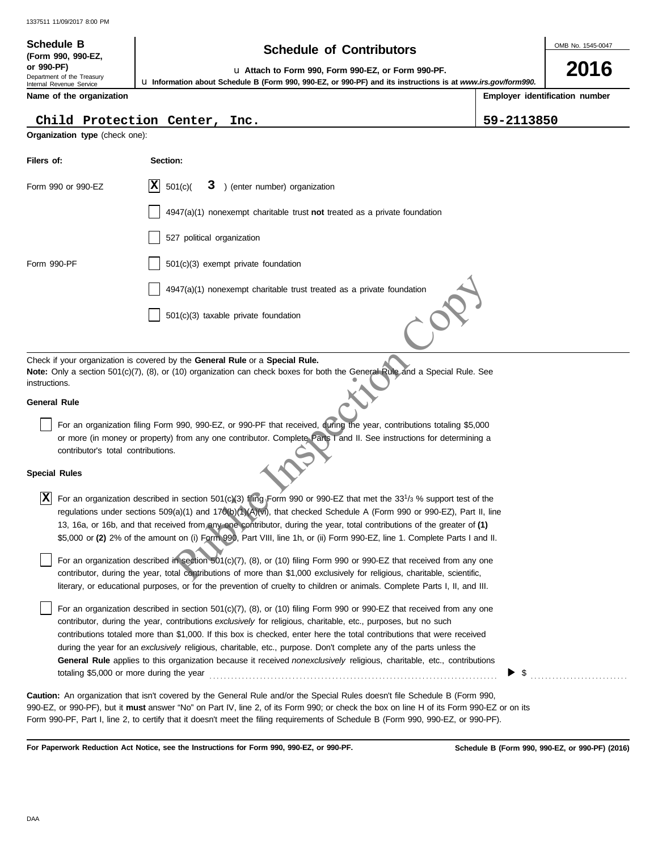| or 990-PF)<br>Department of the Treasury             |                                                                                                                                                                            | <b>Schedule of Contributors</b>                                                                                                                                                                                                                              |                                | OMB No. 1545-0047 |
|------------------------------------------------------|----------------------------------------------------------------------------------------------------------------------------------------------------------------------------|--------------------------------------------------------------------------------------------------------------------------------------------------------------------------------------------------------------------------------------------------------------|--------------------------------|-------------------|
|                                                      | La Attach to Form 990, Form 990-EZ, or Form 990-PF.<br><b>U Information about Schedule B (Form 990, 990-EZ, or 990-PF) and its instructions is at www.irs.gov/form990.</b> |                                                                                                                                                                                                                                                              | 2016                           |                   |
| Internal Revenue Service<br>Name of the organization |                                                                                                                                                                            |                                                                                                                                                                                                                                                              | Employer identification number |                   |
|                                                      | Child Protection Center, Inc.                                                                                                                                              |                                                                                                                                                                                                                                                              | 59-2113850                     |                   |
| <b>Organization type</b> (check one):                |                                                                                                                                                                            |                                                                                                                                                                                                                                                              |                                |                   |
| Filers of:                                           | Section:                                                                                                                                                                   |                                                                                                                                                                                                                                                              |                                |                   |
| Form 990 or 990-EZ                                   | x <br>501(c)<br>3.                                                                                                                                                         | ) (enter number) organization                                                                                                                                                                                                                                |                                |                   |
|                                                      |                                                                                                                                                                            | $4947(a)(1)$ nonexempt charitable trust not treated as a private foundation                                                                                                                                                                                  |                                |                   |
|                                                      | 527 political organization                                                                                                                                                 |                                                                                                                                                                                                                                                              |                                |                   |
| Form 990-PF                                          | $501(c)(3)$ exempt private foundation                                                                                                                                      |                                                                                                                                                                                                                                                              |                                |                   |
|                                                      |                                                                                                                                                                            | 4947(a)(1) nonexempt charitable trust treated as a private foundation                                                                                                                                                                                        |                                |                   |
|                                                      | 501(c)(3) taxable private foundation                                                                                                                                       |                                                                                                                                                                                                                                                              |                                |                   |
|                                                      | Check if your organization is covered by the <b>General Rule</b> or a <b>Special Rule.</b>                                                                                 |                                                                                                                                                                                                                                                              |                                |                   |
|                                                      |                                                                                                                                                                            | <b>Note:</b> Only a section 501(c)(7), (8), or (10) organization can check boxes for both the General Rule and a Special Rule. See                                                                                                                           |                                |                   |
| instructions.<br><b>General Rule</b>                 |                                                                                                                                                                            |                                                                                                                                                                                                                                                              |                                |                   |
|                                                      |                                                                                                                                                                            |                                                                                                                                                                                                                                                              |                                |                   |
|                                                      |                                                                                                                                                                            |                                                                                                                                                                                                                                                              |                                |                   |
|                                                      | For an organization filing Form 990, 990-EZ, or 990-PF that received, during the year, contributions totaling \$5,000                                                      | or more (in money or property) from any one contributor. Complete Parts I and II. See instructions for determining a                                                                                                                                         |                                |                   |
| contributor's total contributions.                   |                                                                                                                                                                            |                                                                                                                                                                                                                                                              |                                |                   |
| <b>Special Rules</b>                                 |                                                                                                                                                                            |                                                                                                                                                                                                                                                              |                                |                   |
| X                                                    |                                                                                                                                                                            | For an organization described in section 501(c)(3) filing Form 990 or 990-EZ that met the 33 <sup>1</sup> /3 % support test of the                                                                                                                           |                                |                   |
|                                                      |                                                                                                                                                                            | regulations under sections 509(a)(1) and 170(b)(1)(A)(vi), that checked Schedule A (Form 990 or 990-EZ), Part II, line                                                                                                                                       |                                |                   |
|                                                      |                                                                                                                                                                            | 13, 16a, or 16b, and that received from any one contributor, during the year, total contributions of the greater of (1)<br>\$5,000 or (2) 2% of the amount on (i) Form 990, Part VIII, line 1h, or (ii) Form 990-EZ, line 1. Complete Parts I and II.        |                                |                   |
|                                                      |                                                                                                                                                                            |                                                                                                                                                                                                                                                              |                                |                   |
|                                                      |                                                                                                                                                                            | For an organization described in section 501(c)(7), (8), or (10) filing Form 990 or 990-EZ that received from any one<br>contributor, during the year, total contributions of more than \$1,000 exclusively for religious, charitable, scientific,           |                                |                   |
|                                                      |                                                                                                                                                                            | literary, or educational purposes, or for the prevention of cruelty to children or animals. Complete Parts I, II, and III.                                                                                                                                   |                                |                   |
|                                                      |                                                                                                                                                                            | For an organization described in section $501(c)(7)$ , (8), or (10) filing Form 990 or 990-EZ that received from any one                                                                                                                                     |                                |                   |
|                                                      |                                                                                                                                                                            | contributor, during the year, contributions exclusively for religious, charitable, etc., purposes, but no such                                                                                                                                               |                                |                   |
|                                                      |                                                                                                                                                                            | contributions totaled more than \$1,000. If this box is checked, enter here the total contributions that were received                                                                                                                                       |                                |                   |
|                                                      |                                                                                                                                                                            | during the year for an exclusively religious, charitable, etc., purpose. Don't complete any of the parts unless the<br><b>General Rule</b> applies to this organization because it received <i>nonexclusively</i> religious, charitable, etc., contributions |                                |                   |

**For Paperwork Reduction Act Notice, see the Instructions for Form 990, 990-EZ, or 990-PF.**

**Schedule B (Form 990, 990-EZ, or 990-PF) (2016)**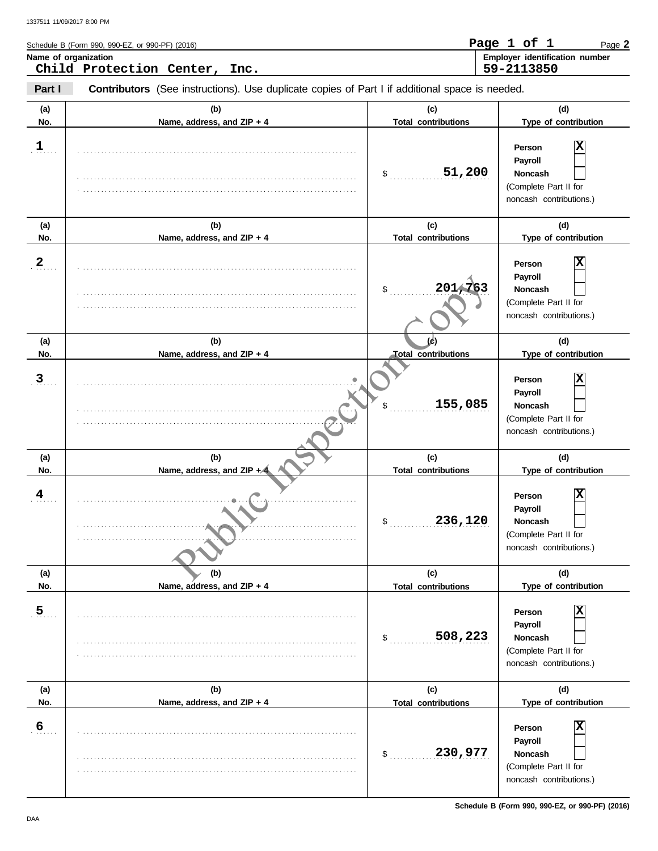|                  | Schedule B (Form 990, 990-EZ, or 990-PF) (2016)<br>Name of organization<br>Child Protection Center, Inc. | Page 1 of 1<br>Page 2<br>Employer identification number<br>59-2113850 |                                                                                         |
|------------------|----------------------------------------------------------------------------------------------------------|-----------------------------------------------------------------------|-----------------------------------------------------------------------------------------|
| Part I           | Contributors (See instructions). Use duplicate copies of Part I if additional space is needed.           |                                                                       |                                                                                         |
| (a)<br>No.       | (b)<br>Name, address, and ZIP + 4                                                                        | (c)<br><b>Total contributions</b>                                     | (d)<br>Type of contribution                                                             |
| $\mathbf{1}$     |                                                                                                          | 51,200<br>\$                                                          | Person<br>Payroll<br>Noncash<br>(Complete Part II for<br>noncash contributions.)        |
| (a)<br>No.       | (b)<br>Name, address, and ZIP + 4                                                                        | (c)<br><b>Total contributions</b>                                     | (d)<br>Type of contribution                                                             |
| $\mathbf{2}$     |                                                                                                          | 2014763<br>\$                                                         | Person<br>Payroll<br>Noncash<br>(Complete Part II for<br>noncash contributions.)        |
| (a)<br>No.       | (b)<br>Name, address, and ZIP + 4                                                                        | Total contributions                                                   | (d)<br>Type of contribution                                                             |
| 3                |                                                                                                          | 155,085                                                               | Person<br>Payroll<br>Noncash<br>(Complete Part II for<br>noncash contributions.)        |
| (a)<br>No.       | (b)<br>Name, address, and ZIP +                                                                          | (c)<br><b>Total contributions</b>                                     | (d)<br>Type of contribution                                                             |
| 4                |                                                                                                          | 236,120<br>\$                                                         | Person<br>Payroll<br><b>Noncash</b><br>(Complete Part II for<br>noncash contributions.) |
| (a)<br>No.       | (b)<br>Name, address, and ZIP + 4                                                                        | (c)<br><b>Total contributions</b>                                     | (d)<br>Type of contribution                                                             |
| $\overline{5}$   |                                                                                                          | 508,223<br>\$                                                         | Person<br>Payroll<br>Noncash<br>(Complete Part II for<br>noncash contributions.)        |
| (a)<br>No.       | (b)<br>Name, address, and ZIP + 4                                                                        | (c)<br><b>Total contributions</b>                                     | (d)<br>Type of contribution                                                             |
| $6 \overline{6}$ |                                                                                                          | 230,977<br>\$                                                         | Person<br>Payroll<br>Noncash<br>(Complete Part II for<br>noncash contributions.)        |

**Schedule B (Form 990, 990-EZ, or 990-PF) (2016)**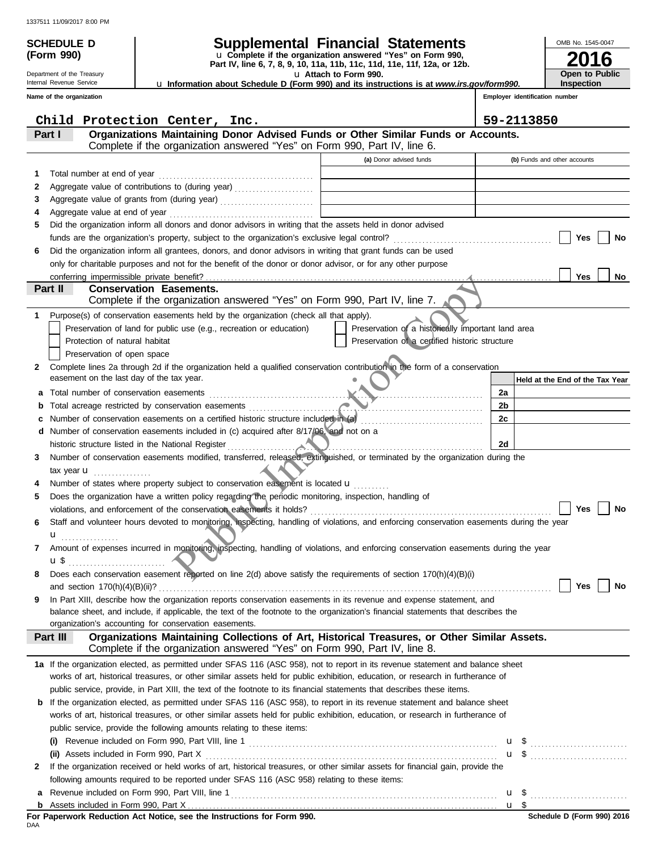# **SCHEDULE D Supplemental Financial Statements**

**Part IV, line 6, 7, 8, 9, 10, 11a, 11b, 11c, 11d, 11e, 11f, 12a, or 12b.** u **Complete if the organization answered "Yes" on Form 990,**

u **Attach to Form 990.**  u **Information about Schedule D (Form 990) and its instructions is at** *www.irs.gov/form990.*

**2016 Open to Public Inspection**

OMB No. 1545-0047

**Employer identification number**

| Internal Revenue Service   |  |
|----------------------------|--|
| Department of the Treasury |  |

**(Form 990)**

DAA

| Child Protection Center, Inc.                                                                                                                                                                                                                                  | 59-2113850                                |
|----------------------------------------------------------------------------------------------------------------------------------------------------------------------------------------------------------------------------------------------------------------|-------------------------------------------|
| Organizations Maintaining Donor Advised Funds or Other Similar Funds or Accounts.<br>Part I<br>Complete if the organization answered "Yes" on Form 990, Part IV, line 6.                                                                                       |                                           |
| (a) Donor advised funds                                                                                                                                                                                                                                        | (b) Funds and other accounts              |
| 1                                                                                                                                                                                                                                                              |                                           |
| 2                                                                                                                                                                                                                                                              |                                           |
| З                                                                                                                                                                                                                                                              |                                           |
| 4                                                                                                                                                                                                                                                              |                                           |
| Did the organization inform all donors and donor advisors in writing that the assets held in donor advised<br>5                                                                                                                                                |                                           |
|                                                                                                                                                                                                                                                                | Yes<br>No                                 |
| Did the organization inform all grantees, donors, and donor advisors in writing that grant funds can be used<br>6                                                                                                                                              |                                           |
| only for charitable purposes and not for the benefit of the donor or donor advisor, or for any other purpose                                                                                                                                                   |                                           |
|                                                                                                                                                                                                                                                                | Yes<br>No                                 |
| <b>Conservation Easements.</b><br>Part II                                                                                                                                                                                                                      |                                           |
| Complete if the organization answered "Yes" on Form 990, Part IV, line 7.                                                                                                                                                                                      |                                           |
| Purpose(s) of conservation easements held by the organization (check all that apply).<br>1                                                                                                                                                                     |                                           |
| Preservation of a historically important land area<br>Preservation of land for public use (e.g., recreation or education)                                                                                                                                      |                                           |
| Preservation of a certified historic structure<br>Protection of natural habitat                                                                                                                                                                                |                                           |
| Preservation of open space                                                                                                                                                                                                                                     |                                           |
| Complete lines 2a through 2d if the organization held a qualified conservation contribution in the form of a conservation<br>2                                                                                                                                 |                                           |
| easement on the last day of the tax year.                                                                                                                                                                                                                      | Held at the End of the Tax Year           |
| a                                                                                                                                                                                                                                                              | 2a                                        |
| Marianne                                                                                                                                                                                                                                                       | 2b                                        |
| b<br>Number of conservation easements on a certified historic structure included in (a)                                                                                                                                                                        | 2c                                        |
| c<br>d Number of conservation easements included in (c) acquired after 8/17/06, and not on a                                                                                                                                                                   |                                           |
|                                                                                                                                                                                                                                                                |                                           |
| historic structure listed in the National Register                                                                                                                                                                                                             | 2d                                        |
| Number of conservation easements modified, transferred, released, extinguished, or terminated by the organization during the<br>3                                                                                                                              |                                           |
| tax year $\mathbf u$<br>Number of states where property subject to conservation easement is located u                                                                                                                                                          |                                           |
|                                                                                                                                                                                                                                                                |                                           |
| Does the organization have a written policy regarding the periodic monitoring, inspection, handling of<br>5                                                                                                                                                    | Yes<br>No                                 |
|                                                                                                                                                                                                                                                                |                                           |
| Staff and volunteer hours devoted to monitoring, inspecting, handling of violations, and enforcing conservation easements during the year<br>6                                                                                                                 |                                           |
| $\mathbf{u}$ <sub></sub>                                                                                                                                                                                                                                       |                                           |
| Amount of expenses incurred in monitoring, inspecting, handling of violations, and enforcing conservation easements during the year<br>7                                                                                                                       |                                           |
| u \$                                                                                                                                                                                                                                                           |                                           |
| Does each conservation easement reported on line 2(d) above satisfy the requirements of section 170(h)(4)(B)(i)<br>8                                                                                                                                           | Yes                                       |
|                                                                                                                                                                                                                                                                | No                                        |
| In Part XIII, describe how the organization reports conservation easements in its revenue and expense statement, and<br>9<br>balance sheet, and include, if applicable, the text of the footnote to the organization's financial statements that describes the |                                           |
| organization's accounting for conservation easements.                                                                                                                                                                                                          |                                           |
| Organizations Maintaining Collections of Art, Historical Treasures, or Other Similar Assets.<br>Part III                                                                                                                                                       |                                           |
| Complete if the organization answered "Yes" on Form 990, Part IV, line 8.                                                                                                                                                                                      |                                           |
| 1a If the organization elected, as permitted under SFAS 116 (ASC 958), not to report in its revenue statement and balance sheet                                                                                                                                |                                           |
| works of art, historical treasures, or other similar assets held for public exhibition, education, or research in furtherance of                                                                                                                               |                                           |
| public service, provide, in Part XIII, the text of the footnote to its financial statements that describes these items.                                                                                                                                        |                                           |
| <b>b</b> If the organization elected, as permitted under SFAS 116 (ASC 958), to report in its revenue statement and balance sheet                                                                                                                              |                                           |
| works of art, historical treasures, or other similar assets held for public exhibition, education, or research in furtherance of                                                                                                                               |                                           |
| public service, provide the following amounts relating to these items:                                                                                                                                                                                         |                                           |
|                                                                                                                                                                                                                                                                |                                           |
|                                                                                                                                                                                                                                                                |                                           |
| If the organization received or held works of art, historical treasures, or other similar assets for financial gain, provide the<br>2                                                                                                                          |                                           |
|                                                                                                                                                                                                                                                                |                                           |
| following amounts required to be reported under SFAS 116 (ASC 958) relating to these items:                                                                                                                                                                    |                                           |
|                                                                                                                                                                                                                                                                | $u \sqrt{s}$                              |
| For Paperwork Reduction Act Notice, see the Instructions for Form 990.                                                                                                                                                                                         | <u>u</u> \$<br>Schedule D (Form 990) 2016 |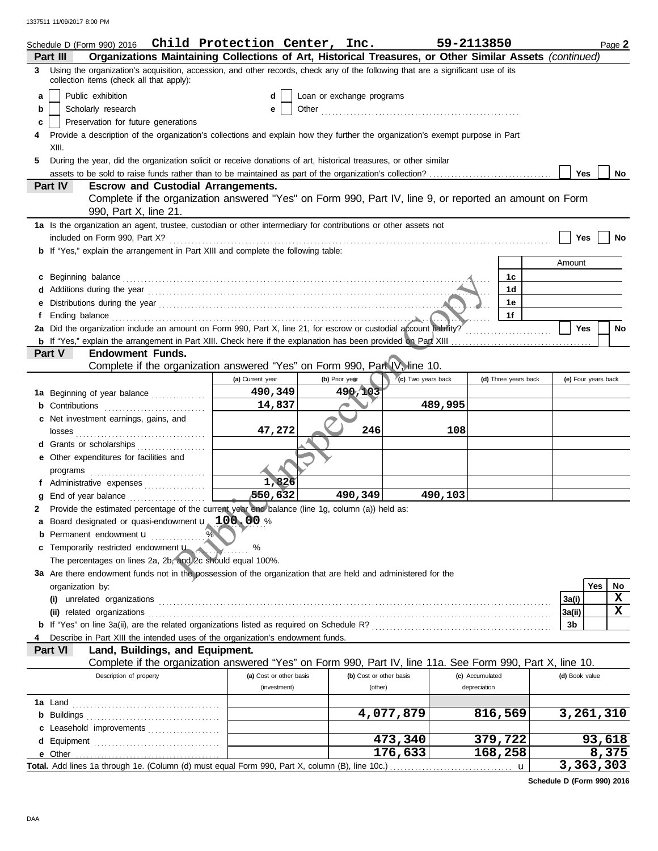|   | Schedule D (Form 990) 2016  Child Protection Center, Inc.                                                                                                                                                                      |                         |                           |                         |                    | 59-2113850           | Page 2                |  |
|---|--------------------------------------------------------------------------------------------------------------------------------------------------------------------------------------------------------------------------------|-------------------------|---------------------------|-------------------------|--------------------|----------------------|-----------------------|--|
|   | Organizations Maintaining Collections of Art, Historical Treasures, or Other Similar Assets (continued)<br>Part III                                                                                                            |                         |                           |                         |                    |                      |                       |  |
| 3 | Using the organization's acquisition, accession, and other records, check any of the following that are a significant use of its<br>collection items (check all that apply):                                                   |                         |                           |                         |                    |                      |                       |  |
| a | Public exhibition                                                                                                                                                                                                              | d                       | Loan or exchange programs |                         |                    |                      |                       |  |
| b | Scholarly research                                                                                                                                                                                                             | е                       |                           |                         |                    |                      |                       |  |
| c |                                                                                                                                                                                                                                |                         |                           |                         |                    |                      |                       |  |
|   | Preservation for future generations<br>Provide a description of the organization's collections and explain how they further the organization's exempt purpose in Part                                                          |                         |                           |                         |                    |                      |                       |  |
|   | XIII.                                                                                                                                                                                                                          |                         |                           |                         |                    |                      |                       |  |
|   | During the year, did the organization solicit or receive donations of art, historical treasures, or other similar                                                                                                              |                         |                           |                         |                    |                      |                       |  |
| 5 |                                                                                                                                                                                                                                |                         |                           |                         |                    |                      | <b>Yes</b>            |  |
|   | Part IV<br><b>Escrow and Custodial Arrangements.</b>                                                                                                                                                                           |                         |                           |                         |                    |                      | No                    |  |
|   | Complete if the organization answered "Yes" on Form 990, Part IV, line 9, or reported an amount on Form                                                                                                                        |                         |                           |                         |                    |                      |                       |  |
|   | 990, Part X, line 21.                                                                                                                                                                                                          |                         |                           |                         |                    |                      |                       |  |
|   | 1a Is the organization an agent, trustee, custodian or other intermediary for contributions or other assets not                                                                                                                |                         |                           |                         |                    |                      |                       |  |
|   | included on Form 990, Part X?                                                                                                                                                                                                  |                         |                           |                         |                    |                      | <b>Yes</b><br>No      |  |
|   |                                                                                                                                                                                                                                |                         |                           |                         |                    |                      |                       |  |
|   | <b>b</b> If "Yes," explain the arrangement in Part XIII and complete the following table:                                                                                                                                      |                         |                           |                         |                    |                      | Amount                |  |
|   |                                                                                                                                                                                                                                |                         |                           |                         |                    |                      |                       |  |
| c | Beginning balance                                                                                                                                                                                                              |                         |                           |                         |                    | 1c                   |                       |  |
|   | Additions during the year manufactured and contact the year manufactured and all the year manufactured and all the year manufactured and all the year manufactured and all the year manufactured and all the year manufactured |                         |                           |                         |                    | 1 <sub>d</sub>       |                       |  |
|   |                                                                                                                                                                                                                                |                         |                           |                         |                    | 1e                   |                       |  |
|   |                                                                                                                                                                                                                                |                         |                           |                         |                    | 1f                   |                       |  |
|   | 2a Did the organization include an amount on Form 990, Part X, line 21, for escrow or custodial account hability?                                                                                                              |                         |                           |                         |                    |                      | <b>Yes</b><br>No      |  |
|   | <b>b</b> If "Yes," explain the arrangement in Part XIII. Check here if the explanation has been provided on Part XIII                                                                                                          |                         |                           |                         |                    |                      |                       |  |
|   | <b>Endowment Funds.</b><br>Part V                                                                                                                                                                                              |                         |                           |                         |                    |                      |                       |  |
|   | Complete if the organization answered "Yes" on Form 990, Part IV, line 10.                                                                                                                                                     |                         |                           |                         |                    |                      |                       |  |
|   |                                                                                                                                                                                                                                | (a) Current year        |                           | (b) Prior year          | (c) Two years back | (d) Three years back | (e) Four years back   |  |
|   | 1a Beginning of year balance                                                                                                                                                                                                   | 490,349                 |                           | 490, 103                |                    |                      |                       |  |
|   | <b>b</b> Contributions                                                                                                                                                                                                         | 14,837                  |                           |                         | 489,995            |                      |                       |  |
|   | Net investment earnings, gains, and                                                                                                                                                                                            |                         |                           |                         |                    |                      |                       |  |
|   | losses                                                                                                                                                                                                                         | 47,272                  |                           | 246                     | 108                |                      |                       |  |
|   | d Grants or scholarships<br>and a complete state of the state of the                                                                                                                                                           |                         |                           |                         |                    |                      |                       |  |
|   | e Other expenditures for facilities and                                                                                                                                                                                        |                         |                           |                         |                    |                      |                       |  |
|   |                                                                                                                                                                                                                                |                         |                           |                         |                    |                      |                       |  |
|   | f Administrative expenses                                                                                                                                                                                                      | 1,826                   |                           |                         |                    |                      |                       |  |
|   | End of year balance                                                                                                                                                                                                            | 550,632                 |                           | 490,349                 | 490,103            |                      |                       |  |
|   | 2 Provide the estimated percentage of the current year end balance (line 1g, column (a)) held as:                                                                                                                              |                         |                           |                         |                    |                      |                       |  |
|   | Board designated or quasi-endowment <b>u</b> 100.00 %                                                                                                                                                                          |                         |                           |                         |                    |                      |                       |  |
|   | <b>b</b> Permanent endowment <b>u</b>                                                                                                                                                                                          |                         |                           |                         |                    |                      |                       |  |
|   | Temporarily restricted endowment <b>u</b>                                                                                                                                                                                      | ℅                       |                           |                         |                    |                      |                       |  |
|   | The percentages on lines 2a, 2b, and 2c should equal 100%.                                                                                                                                                                     |                         |                           |                         |                    |                      |                       |  |
|   | 3a Are there endowment funds not in the possession of the organization that are held and administered for the                                                                                                                  |                         |                           |                         |                    |                      |                       |  |
|   | organization by:                                                                                                                                                                                                               |                         |                           |                         |                    |                      | Yes<br><b>No</b>      |  |
|   |                                                                                                                                                                                                                                |                         |                           |                         |                    |                      | X<br>3a(i)            |  |
|   | (ii) related organizations                                                                                                                                                                                                     |                         |                           |                         |                    |                      | $\mathbf x$<br>3a(ii) |  |
|   |                                                                                                                                                                                                                                |                         |                           |                         |                    |                      | 3b                    |  |
|   | Describe in Part XIII the intended uses of the organization's endowment funds.                                                                                                                                                 |                         |                           |                         |                    |                      |                       |  |
|   | Part VI<br>Land, Buildings, and Equipment.                                                                                                                                                                                     |                         |                           |                         |                    |                      |                       |  |
|   | Complete if the organization answered "Yes" on Form 990, Part IV, line 11a. See Form 990, Part X, line 10.                                                                                                                     |                         |                           |                         |                    |                      |                       |  |
|   | Description of property                                                                                                                                                                                                        | (a) Cost or other basis |                           | (b) Cost or other basis |                    | (c) Accumulated      | (d) Book value        |  |
|   |                                                                                                                                                                                                                                | (investment)            |                           | (other)                 |                    | depreciation         |                       |  |
|   | 1a Land                                                                                                                                                                                                                        |                         |                           |                         |                    |                      |                       |  |
|   |                                                                                                                                                                                                                                |                         |                           |                         | 4,077,879          | 816,569              | 3,261,310             |  |
|   | c Leasehold improvements                                                                                                                                                                                                       |                         |                           |                         |                    |                      |                       |  |
|   |                                                                                                                                                                                                                                |                         |                           |                         | 473,340            | 379,722              | 93,618                |  |
| е |                                                                                                                                                                                                                                |                         |                           |                         | 176,633            | 168,258              | 8,375                 |  |
|   |                                                                                                                                                                                                                                |                         |                           |                         |                    | u                    | 3,363,303             |  |
|   |                                                                                                                                                                                                                                |                         |                           |                         |                    |                      |                       |  |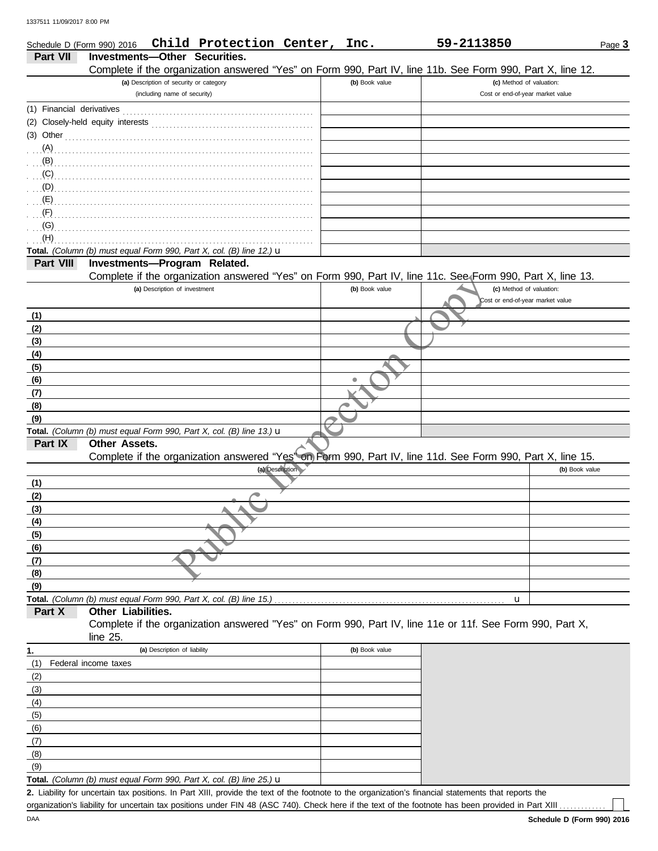| Schedule D (Form 990) 2016 |                                                                                | Child Protection Center, Inc. |                 |                | 59-2113850                                                                                                 | Page 3         |
|----------------------------|--------------------------------------------------------------------------------|-------------------------------|-----------------|----------------|------------------------------------------------------------------------------------------------------------|----------------|
| Part VII                   | Investments-Other Securities.                                                  |                               |                 |                |                                                                                                            |                |
|                            |                                                                                |                               |                 |                | Complete if the organization answered "Yes" on Form 990, Part IV, line 11b. See Form 990, Part X, line 12. |                |
|                            | (a) Description of security or category                                        |                               |                 | (b) Book value | (c) Method of valuation:                                                                                   |                |
|                            | (including name of security)                                                   |                               |                 |                | Cost or end-of-year market value                                                                           |                |
|                            |                                                                                |                               |                 |                |                                                                                                            |                |
|                            |                                                                                |                               |                 |                |                                                                                                            |                |
|                            | (3) Other $\ldots$ and $\ldots$ and $\ldots$ and $\ldots$                      |                               |                 |                |                                                                                                            |                |
|                            |                                                                                |                               |                 |                |                                                                                                            |                |
| $\ldots$ (B)               |                                                                                |                               |                 |                |                                                                                                            |                |
| $\overline{C}$             |                                                                                |                               |                 |                |                                                                                                            |                |
| (D)                        |                                                                                |                               |                 |                |                                                                                                            |                |
| (E)                        |                                                                                |                               |                 |                |                                                                                                            |                |
| (F)                        |                                                                                |                               |                 |                |                                                                                                            |                |
| (G)                        |                                                                                |                               |                 |                |                                                                                                            |                |
| (H)                        |                                                                                |                               |                 |                |                                                                                                            |                |
|                            | Total. (Column (b) must equal Form 990, Part X, col. (B) line 12.) $\mathbf u$ |                               |                 |                |                                                                                                            |                |
| Part VIII                  | Investments-Program Related.                                                   |                               |                 |                |                                                                                                            |                |
|                            |                                                                                |                               |                 |                | Complete if the organization answered "Yes" on Form 990, Part IV, line 11c. See Form 990, Part X, line 13. |                |
|                            | (a) Description of investment                                                  |                               |                 | (b) Book value | (c) Method of valuation:                                                                                   |                |
|                            |                                                                                |                               |                 |                | Cost or end-of-year market value                                                                           |                |
| (1)                        |                                                                                |                               |                 |                |                                                                                                            |                |
| (2)                        |                                                                                |                               |                 |                |                                                                                                            |                |
| (3)                        |                                                                                |                               |                 |                |                                                                                                            |                |
| (4)                        |                                                                                |                               |                 |                |                                                                                                            |                |
| (5)                        |                                                                                |                               |                 |                |                                                                                                            |                |
| (6)                        |                                                                                |                               |                 |                |                                                                                                            |                |
| (7)                        |                                                                                |                               |                 |                |                                                                                                            |                |
| (8)                        |                                                                                |                               |                 |                |                                                                                                            |                |
| (9)                        |                                                                                |                               |                 |                |                                                                                                            |                |
|                            | Total. (Column (b) must equal Form 990, Part X, col. (B) line 13.) $\mathbf u$ |                               |                 |                |                                                                                                            |                |
| Part IX                    | Other Assets.                                                                  |                               |                 |                |                                                                                                            |                |
|                            |                                                                                |                               |                 |                | Complete if the organization answered "Yes" on Form 990, Part IV, line 11d. See Form 990, Part X, line 15. |                |
|                            |                                                                                |                               | (a) Description |                |                                                                                                            | (b) Book value |
| (1)                        |                                                                                |                               |                 |                |                                                                                                            |                |
| (2)                        |                                                                                |                               |                 |                |                                                                                                            |                |
| (3)                        |                                                                                |                               |                 |                |                                                                                                            |                |
| (4)                        |                                                                                |                               |                 |                |                                                                                                            |                |
| (5)                        |                                                                                |                               |                 |                |                                                                                                            |                |
| (6)                        |                                                                                |                               |                 |                |                                                                                                            |                |
| (7)                        |                                                                                |                               |                 |                |                                                                                                            |                |
| (8)                        |                                                                                |                               |                 |                |                                                                                                            |                |
| (9)                        |                                                                                |                               |                 |                |                                                                                                            |                |
|                            | Total. (Column (b) must equal Form 990, Part X, col. (B) line 15.)             |                               |                 |                | u                                                                                                          |                |
| Part X                     | Other Liabilities.                                                             |                               |                 |                |                                                                                                            |                |
|                            |                                                                                |                               |                 |                | Complete if the organization answered "Yes" on Form 990, Part IV, line 11e or 11f. See Form 990, Part X,   |                |
|                            | line $25$ .                                                                    |                               |                 |                |                                                                                                            |                |
| 1.                         | (a) Description of liability                                                   |                               |                 | (b) Book value |                                                                                                            |                |
| (1)                        | Federal income taxes                                                           |                               |                 |                |                                                                                                            |                |
| (2)                        |                                                                                |                               |                 |                |                                                                                                            |                |
| (3)                        |                                                                                |                               |                 |                |                                                                                                            |                |
| (4)                        |                                                                                |                               |                 |                |                                                                                                            |                |
| (5)                        |                                                                                |                               |                 |                |                                                                                                            |                |
| (6)                        |                                                                                |                               |                 |                |                                                                                                            |                |
| (7)                        |                                                                                |                               |                 |                |                                                                                                            |                |
| (8)                        |                                                                                |                               |                 |                |                                                                                                            |                |
|                            |                                                                                |                               |                 |                |                                                                                                            |                |

**Total.** *(Column (b) must equal Form 990, Part X, col. (B) line 25.)* u

Liability for uncertain tax positions. In Part XIII, provide the text of the footnote to the organization's financial statements that reports the **2.** organization's liability for uncertain tax positions under FIN 48 (ASC 740). Check here if the text of the footnote has been provided in Part XIII

| 1.  | (a) Description or ilability                                                 | (b) BOOK Value |
|-----|------------------------------------------------------------------------------|----------------|
| (1) | Federal income taxes                                                         |                |
| (2) |                                                                              |                |
| (3) |                                                                              |                |
| (4) |                                                                              |                |
| (5) |                                                                              |                |
| (6) |                                                                              |                |
| (7) |                                                                              |                |
| (8) |                                                                              |                |
| (9) |                                                                              |                |
|     | <b>Total</b> (Column (b) must equal Form 990, Part X, col. (B) line 25 $\mu$ |                |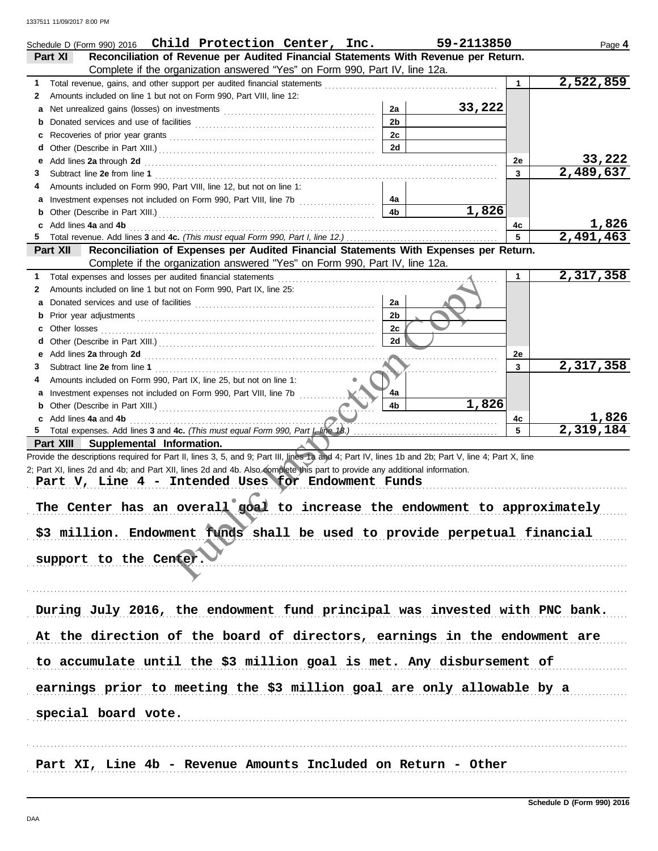| Schedule D (Form 990) 2016 $\,$ Child Protection Center, Inc.                                                                                                                                                                       | 59-2113850        |             | Page 4    |
|-------------------------------------------------------------------------------------------------------------------------------------------------------------------------------------------------------------------------------------|-------------------|-------------|-----------|
| Reconciliation of Revenue per Audited Financial Statements With Revenue per Return.<br>Part XI                                                                                                                                      |                   |             |           |
| Complete if the organization answered "Yes" on Form 990, Part IV, line 12a.                                                                                                                                                         |                   |             |           |
| 1                                                                                                                                                                                                                                   |                   | $\mathbf 1$ | 2,522,859 |
| Amounts included on line 1 but not on Form 990, Part VIII, line 12:<br>2                                                                                                                                                            |                   |             |           |
| a                                                                                                                                                                                                                                   | 33,222<br>2a      |             |           |
| b                                                                                                                                                                                                                                   | 2 <sub>b</sub>    |             |           |
| c                                                                                                                                                                                                                                   | 2c                |             |           |
| d                                                                                                                                                                                                                                   | 2d                |             |           |
| Add lines 2a through 2d [11] March 2014 [12] March 2014 [12] March 2014 [12] March 2014 [12] March 2014 [12] March 2015 [12] March 2014 [12] March 2014 [12] March 2014 [12] March 2014 [12] March 2014 [12] March 2014 [12] M<br>е |                   | 2e          | 33,222    |
| 3                                                                                                                                                                                                                                   |                   | 3           | 2,489,637 |
| Amounts included on Form 990, Part VIII, line 12, but not on line 1:<br>4                                                                                                                                                           |                   |             |           |
|                                                                                                                                                                                                                                     | 4a<br>1,826<br>4b |             |           |
| b                                                                                                                                                                                                                                   |                   |             | 1,826     |
| Add lines 4a and 4b<br>c<br>5.                                                                                                                                                                                                      |                   | 4c          | 2,491,463 |
| Reconciliation of Expenses per Audited Financial Statements With Expenses per Return.<br>Part XII                                                                                                                                   |                   |             |           |
| Complete if the organization answered "Yes" on Form 990, Part IV, line 12a.                                                                                                                                                         |                   |             |           |
| 1                                                                                                                                                                                                                                   |                   | 1           | 2,317,358 |
| Amounts included on line 1 but not on Form 990, Part IX, line 25:<br>2                                                                                                                                                              |                   |             |           |
| а                                                                                                                                                                                                                                   | 2a                |             |           |
| b                                                                                                                                                                                                                                   | 2b                |             |           |
| c                                                                                                                                                                                                                                   | 2c                |             |           |
| d                                                                                                                                                                                                                                   | 2d                |             |           |
| е                                                                                                                                                                                                                                   |                   | 2e          |           |
| 3                                                                                                                                                                                                                                   |                   | 3           | 2,317,358 |
| Amounts included on Form 990, Part IX, line 25, but not on line 1:<br>4                                                                                                                                                             |                   |             |           |
| a Investment expenses not included on Form 990, Part VIII, line 7b                                                                                                                                                                  | 4a                |             |           |
| b                                                                                                                                                                                                                                   | 1,826<br>4b       |             |           |
| c Add lines 4a and 4b                                                                                                                                                                                                               |                   | 4c          | 1,826     |
| 5.                                                                                                                                                                                                                                  |                   | 5           | 2,319,184 |
| Part XIII Supplemental Information.                                                                                                                                                                                                 |                   |             |           |
| Provide the descriptions required for Part II, lines 3, 5, and 9; Part III, lines 1a and 4; Part IV, lines 1b and 2b; Part V, line 4; Part X, line                                                                                  |                   |             |           |
| 2; Part XI, lines 2d and 4b; and Part XII, lines 2d and 4b. Also complete this part to provide any additional information.                                                                                                          |                   |             |           |
| Part V, Line 4 - Intended Uses for Endowment Funds                                                                                                                                                                                  |                   |             |           |
|                                                                                                                                                                                                                                     |                   |             |           |
| The Center has an overall goal to increase the endowment to approximately                                                                                                                                                           |                   |             |           |
|                                                                                                                                                                                                                                     |                   |             |           |
| \$3 million. Endowment funds shall be used to provide perpetual financial                                                                                                                                                           |                   |             |           |
|                                                                                                                                                                                                                                     |                   |             |           |
| support to the Center                                                                                                                                                                                                               |                   |             |           |
|                                                                                                                                                                                                                                     |                   |             |           |
|                                                                                                                                                                                                                                     |                   |             |           |
|                                                                                                                                                                                                                                     |                   |             |           |
| During July 2016, the endowment fund principal was invested with PNC bank.                                                                                                                                                          |                   |             |           |
|                                                                                                                                                                                                                                     |                   |             |           |
| At the direction of the board of directors, earnings in the endowment are                                                                                                                                                           |                   |             |           |
|                                                                                                                                                                                                                                     |                   |             |           |
| to accumulate until the \$3 million goal is met. Any disbursement of                                                                                                                                                                |                   |             |           |
| earnings prior to meeting the \$3 million goal are only allowable by a                                                                                                                                                              |                   |             |           |
|                                                                                                                                                                                                                                     |                   |             |           |
| special board vote.                                                                                                                                                                                                                 |                   |             |           |
|                                                                                                                                                                                                                                     |                   |             |           |
|                                                                                                                                                                                                                                     |                   |             |           |
|                                                                                                                                                                                                                                     |                   |             |           |
| Part XI, Line 4b - Revenue Amounts Included on Return - Other                                                                                                                                                                       |                   |             |           |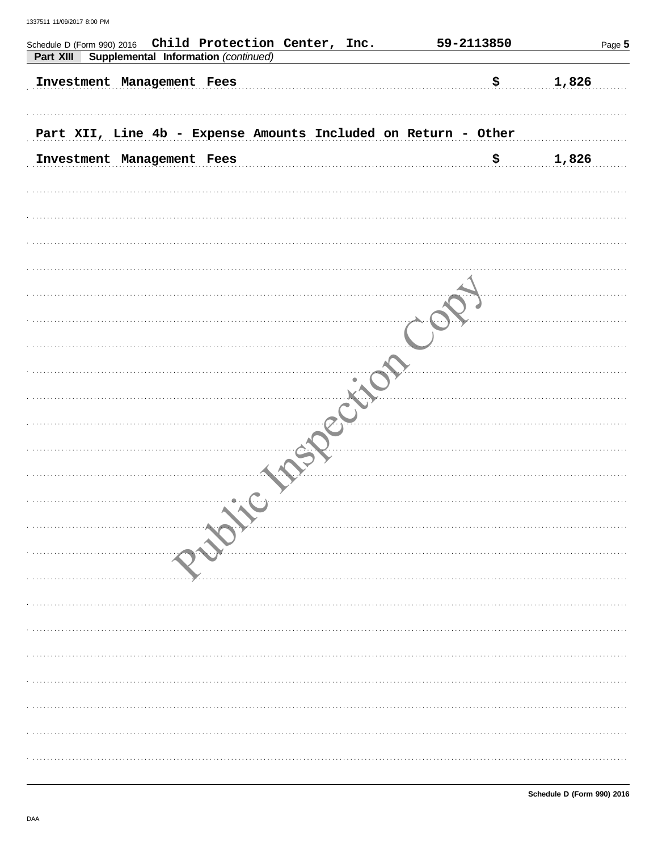| Schedule D (Form 990) 2016 Child Protection Center, Inc.       | 59-2113850                  | Page 5 |
|----------------------------------------------------------------|-----------------------------|--------|
| Supplemental Information (continued)<br>Part XIII              |                             |        |
| Investment Management Fees                                     | \$                          | 1,826  |
|                                                                |                             |        |
| Part XII, Line 4b - Expense Amounts Included on Return - Other |                             |        |
| Investment Management Fees                                     | $\boldsymbol{\mathsf{S}}$ . | 1,826  |
|                                                                |                             |        |
|                                                                |                             |        |
|                                                                |                             |        |
|                                                                |                             |        |
|                                                                |                             |        |
|                                                                |                             |        |
|                                                                |                             |        |
|                                                                |                             |        |
|                                                                |                             |        |
|                                                                |                             |        |
|                                                                |                             |        |
|                                                                |                             |        |
|                                                                |                             |        |
|                                                                |                             |        |
|                                                                |                             |        |
|                                                                |                             |        |
|                                                                |                             |        |
|                                                                |                             |        |
|                                                                |                             |        |
|                                                                |                             |        |
|                                                                |                             |        |
|                                                                |                             |        |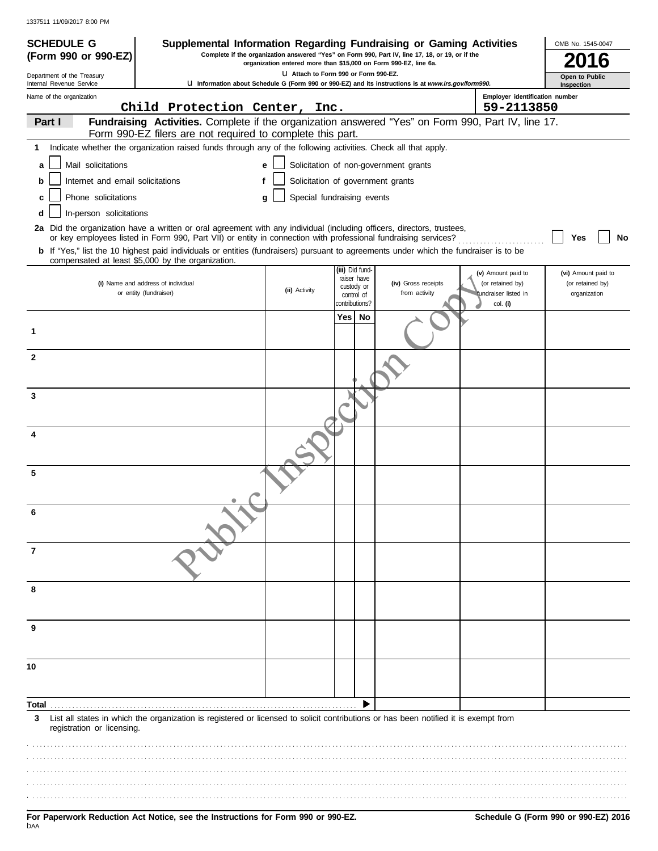| <b>SCHEDULE G</b>                                      | Supplemental Information Regarding Fundraising or Gaming Activities                                                                                                                                                                      |                                      |                                |                                                                                                                                                                     |                                          | OMB No. 1545-0047                   |
|--------------------------------------------------------|------------------------------------------------------------------------------------------------------------------------------------------------------------------------------------------------------------------------------------------|--------------------------------------|--------------------------------|---------------------------------------------------------------------------------------------------------------------------------------------------------------------|------------------------------------------|-------------------------------------|
| (Form 990 or 990-EZ)                                   |                                                                                                                                                                                                                                          |                                      |                                | Complete if the organization answered "Yes" on Form 990, Part IV, line 17, 18, or 19, or if the<br>organization entered more than \$15,000 on Form 990-EZ, line 6a. |                                          |                                     |
| Department of the Treasury<br>Internal Revenue Service |                                                                                                                                                                                                                                          | U Attach to Form 990 or Form 990-EZ. |                                | <b>U Information about Schedule G (Form 990 or 990-EZ) and its instructions is at www.irs.gov/form990.</b>                                                          |                                          | <b>Open to Public</b><br>Inspection |
| Name of the organization                               |                                                                                                                                                                                                                                          |                                      |                                |                                                                                                                                                                     | Employer identification number           |                                     |
|                                                        | Child Protection Center, Inc.                                                                                                                                                                                                            |                                      |                                |                                                                                                                                                                     | 59-2113850                               |                                     |
| Part I                                                 | Fundraising Activities. Complete if the organization answered "Yes" on Form 990, Part IV, line 17.<br>Form 990-EZ filers are not required to complete this part.                                                                         |                                      |                                |                                                                                                                                                                     |                                          |                                     |
| 1                                                      | Indicate whether the organization raised funds through any of the following activities. Check all that apply.                                                                                                                            |                                      |                                |                                                                                                                                                                     |                                          |                                     |
| Mail solicitations                                     |                                                                                                                                                                                                                                          |                                      |                                |                                                                                                                                                                     |                                          |                                     |
| a                                                      |                                                                                                                                                                                                                                          | e                                    |                                | Solicitation of non-government grants                                                                                                                               |                                          |                                     |
| Internet and email solicitations<br>b                  | f                                                                                                                                                                                                                                        |                                      |                                | Solicitation of government grants                                                                                                                                   |                                          |                                     |
| Phone solicitations<br>C                               |                                                                                                                                                                                                                                          | Special fundraising events<br>a      |                                |                                                                                                                                                                     |                                          |                                     |
| In-person solicitations<br>d                           |                                                                                                                                                                                                                                          |                                      |                                |                                                                                                                                                                     |                                          |                                     |
|                                                        | 2a Did the organization have a written or oral agreement with any individual (including officers, directors, trustees,<br>or key employees listed in Form 990, Part VII) or entity in connection with professional fundraising services? |                                      |                                |                                                                                                                                                                     |                                          | Yes<br>No                           |
|                                                        | b If "Yes," list the 10 highest paid individuals or entities (fundraisers) pursuant to agreements under which the fundraiser is to be<br>compensated at least \$5,000 by the organization.                                               |                                      |                                |                                                                                                                                                                     |                                          |                                     |
|                                                        |                                                                                                                                                                                                                                          |                                      | (iii) Did fund-<br>raiser have |                                                                                                                                                                     | (v) Amount paid to                       | (vi) Amount paid to                 |
|                                                        | (i) Name and address of individual<br>or entity (fundraiser)                                                                                                                                                                             | (ii) Activity                        | custody or                     | (iv) Gross receipts<br>from activity                                                                                                                                | (or retained by)<br>fundraiser listed in | (or retained by)<br>organization    |
|                                                        |                                                                                                                                                                                                                                          |                                      | control of<br>contributions?   |                                                                                                                                                                     | col. (i)                                 |                                     |
|                                                        |                                                                                                                                                                                                                                          |                                      | Yes <sub>1</sub><br>No         |                                                                                                                                                                     |                                          |                                     |
| 1                                                      |                                                                                                                                                                                                                                          |                                      |                                |                                                                                                                                                                     |                                          |                                     |
| $\mathbf{2}$                                           |                                                                                                                                                                                                                                          |                                      |                                |                                                                                                                                                                     |                                          |                                     |
|                                                        |                                                                                                                                                                                                                                          |                                      |                                |                                                                                                                                                                     |                                          |                                     |
| 3                                                      |                                                                                                                                                                                                                                          |                                      |                                |                                                                                                                                                                     |                                          |                                     |
|                                                        |                                                                                                                                                                                                                                          |                                      |                                |                                                                                                                                                                     |                                          |                                     |
|                                                        |                                                                                                                                                                                                                                          |                                      |                                |                                                                                                                                                                     |                                          |                                     |
| 5                                                      |                                                                                                                                                                                                                                          |                                      |                                |                                                                                                                                                                     |                                          |                                     |
|                                                        |                                                                                                                                                                                                                                          |                                      |                                |                                                                                                                                                                     |                                          |                                     |
|                                                        |                                                                                                                                                                                                                                          |                                      |                                |                                                                                                                                                                     |                                          |                                     |
| 7                                                      |                                                                                                                                                                                                                                          |                                      |                                |                                                                                                                                                                     |                                          |                                     |
| 8                                                      |                                                                                                                                                                                                                                          |                                      |                                |                                                                                                                                                                     |                                          |                                     |
| 9                                                      |                                                                                                                                                                                                                                          |                                      |                                |                                                                                                                                                                     |                                          |                                     |
|                                                        |                                                                                                                                                                                                                                          |                                      |                                |                                                                                                                                                                     |                                          |                                     |
| 10                                                     |                                                                                                                                                                                                                                          |                                      |                                |                                                                                                                                                                     |                                          |                                     |
| Total                                                  |                                                                                                                                                                                                                                          |                                      |                                |                                                                                                                                                                     |                                          |                                     |
| 3<br>registration or licensing.                        | List all states in which the organization is registered or licensed to solicit contributions or has been notified it is exempt from                                                                                                      |                                      |                                |                                                                                                                                                                     |                                          |                                     |
|                                                        |                                                                                                                                                                                                                                          |                                      |                                |                                                                                                                                                                     |                                          |                                     |
|                                                        |                                                                                                                                                                                                                                          |                                      |                                |                                                                                                                                                                     |                                          |                                     |
|                                                        |                                                                                                                                                                                                                                          |                                      |                                |                                                                                                                                                                     |                                          |                                     |
|                                                        |                                                                                                                                                                                                                                          |                                      |                                |                                                                                                                                                                     |                                          |                                     |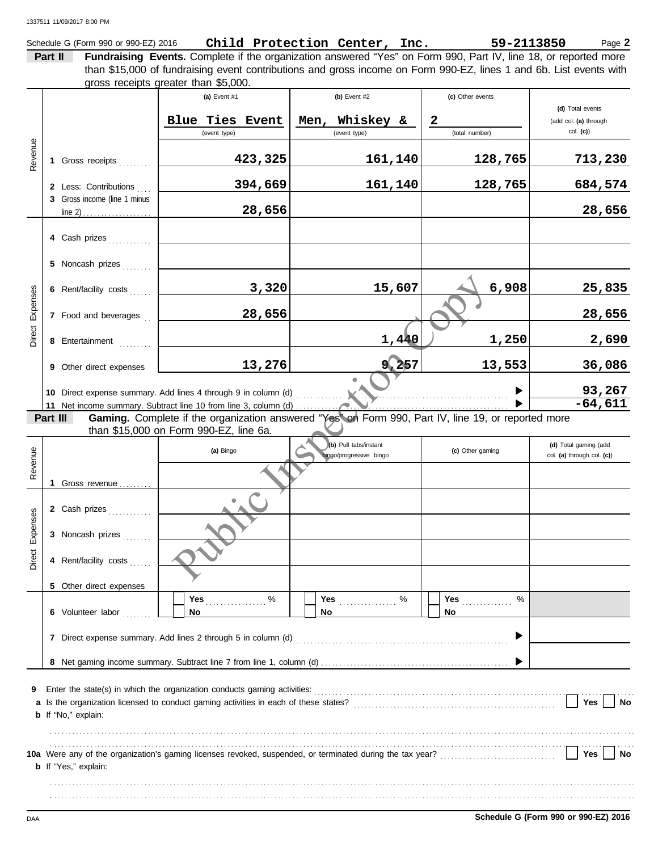| 1337511 11/09/2017 8:00 PM |  |
|----------------------------|--|
|                            |  |

|                 | 1337511 11/09/2017 8:00 PM<br>Schedule G (Form 990 or 990-EZ) 2016 |                                                                                                                                                                             | Child Protection Center, Inc.                                                                                                                                                                                                         | 59-2113850                                         | Page 2                                                |
|-----------------|--------------------------------------------------------------------|-----------------------------------------------------------------------------------------------------------------------------------------------------------------------------|---------------------------------------------------------------------------------------------------------------------------------------------------------------------------------------------------------------------------------------|----------------------------------------------------|-------------------------------------------------------|
|                 | Part II                                                            | gross receipts greater than \$5,000.                                                                                                                                        | Fundraising Events. Complete if the organization answered "Yes" on Form 990, Part IV, line 18, or reported more<br>than \$15,000 of fundraising event contributions and gross income on Form 990-EZ, lines 1 and 6b. List events with |                                                    |                                                       |
|                 |                                                                    | (a) Event #1<br>Blue Ties Event<br>(event type)                                                                                                                             | (b) Event #2<br>Men, Whiskey &<br>(event type)                                                                                                                                                                                        | (c) Other events<br>$\mathbf{2}$<br>(total number) | (d) Total events<br>(add col. (a) through<br>col. (c) |
| Revenue         | 1 Gross receipts                                                   | 423,325                                                                                                                                                                     | 161,140                                                                                                                                                                                                                               | 128,765                                            | 713,230                                               |
|                 | 2 Less: Contributions                                              | 394,669                                                                                                                                                                     | 161,140                                                                                                                                                                                                                               | 128,765                                            | 684,574                                               |
|                 | 3 Gross income (line 1 minus                                       | 28,656                                                                                                                                                                      |                                                                                                                                                                                                                                       |                                                    | 28,656                                                |
|                 | 4 Cash prizes                                                      |                                                                                                                                                                             |                                                                                                                                                                                                                                       |                                                    |                                                       |
|                 | 5 Noncash prizes                                                   |                                                                                                                                                                             |                                                                                                                                                                                                                                       |                                                    |                                                       |
| Expenses        | 6 Rent/facility costs                                              | 3,320                                                                                                                                                                       | 15,607                                                                                                                                                                                                                                | 6,908                                              | 25,835                                                |
|                 | 7 Food and beverages                                               | 28,656                                                                                                                                                                      |                                                                                                                                                                                                                                       |                                                    | 28,656                                                |
| Direct          | 8 Entertainment                                                    |                                                                                                                                                                             | 1,440                                                                                                                                                                                                                                 | 1,250                                              | 2,690                                                 |
|                 | 9 Other direct expenses                                            | 13,276                                                                                                                                                                      | 9,257                                                                                                                                                                                                                                 | 13,553                                             | 36,086                                                |
|                 | Part III                                                           | 10 Direct expense summary. Add lines 4 through 9 in column (d)<br>11 Net income summary. Subtract line 10 from line 3, column (d)<br>than \$15,000 on Form 990-EZ, line 6a. | Gaming. Complete if the organization answered "Yes" on Form 990, Part IV, line 19, or reported more                                                                                                                                   |                                                    | 93,267<br>$-64,611$                                   |
| Revenue         |                                                                    | (a) Bingo                                                                                                                                                                   | (b) Pull tabs/instant<br>lingo/progressive bingo                                                                                                                                                                                      | (c) Other gaming                                   | (d) Total gaming (add<br>col. (a) through col. (c))   |
|                 | 1 Gross revenue                                                    |                                                                                                                                                                             |                                                                                                                                                                                                                                       |                                                    |                                                       |
|                 | 2 Cash prizes                                                      | $\bullet$                                                                                                                                                                   |                                                                                                                                                                                                                                       |                                                    |                                                       |
| Direct Expenses | 3 Noncash prizes                                                   |                                                                                                                                                                             |                                                                                                                                                                                                                                       |                                                    |                                                       |
|                 | 4 Rent/facility costs                                              |                                                                                                                                                                             |                                                                                                                                                                                                                                       |                                                    |                                                       |
|                 | 5 Other direct expenses                                            |                                                                                                                                                                             |                                                                                                                                                                                                                                       |                                                    |                                                       |
|                 | 6 Volunteer labor                                                  | $\%$<br>Yes<br>No                                                                                                                                                           | . $\%$<br>Yes<br>No                                                                                                                                                                                                                   | %<br>Yes<br>No                                     |                                                       |
|                 | 7                                                                  |                                                                                                                                                                             |                                                                                                                                                                                                                                       |                                                    |                                                       |
|                 |                                                                    |                                                                                                                                                                             |                                                                                                                                                                                                                                       |                                                    |                                                       |
| 9<br>a          | <b>b</b> If "No," explain:                                         | Enter the state(s) in which the organization conducts gaming activities:                                                                                                    |                                                                                                                                                                                                                                       |                                                    | <b>Yes</b><br>No                                      |
|                 | <b>b</b> If "Yes," explain:                                        |                                                                                                                                                                             |                                                                                                                                                                                                                                       |                                                    | Yes<br>No                                             |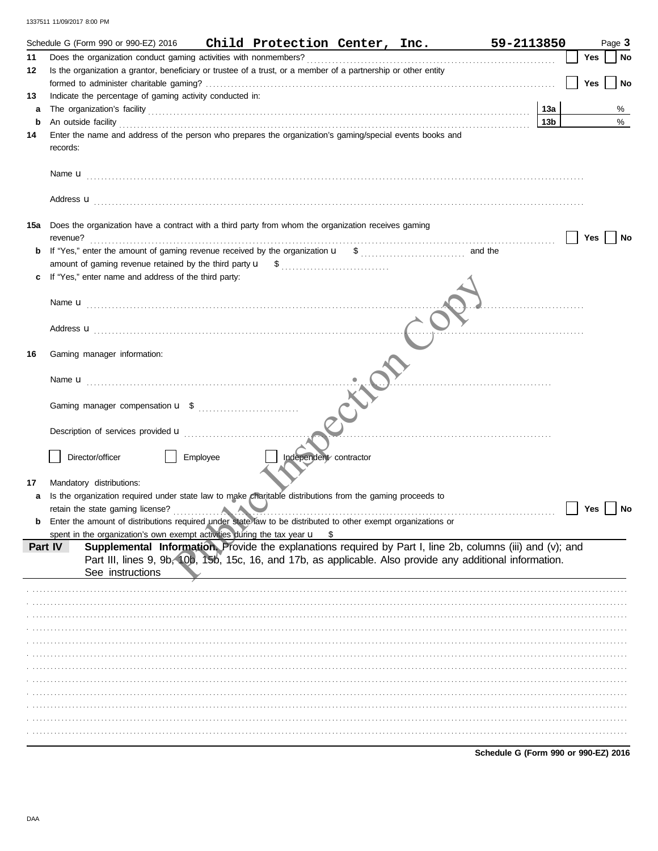| Does the organization conduct gaming activities with nonmembers?<br>No<br>11<br>Yes<br>Is the organization a grantor, beneficiary or trustee of a trust, or a member of a partnership or other entity<br>12<br>No<br>Yes<br>Indicate the percentage of gaming activity conducted in:<br>13<br>13а<br>%<br>a<br>%<br>An outside facility <b>contained a set of the contract of the contract of the contract of the contract of the contract of the contract of the contract of the contract of the contract of the contract of the contract of the co</b><br>13 <sub>b</sub><br>b<br>Enter the name and address of the person who prepares the organization's gaming/special events books and<br>14<br>records:<br>Address <b>u</b><br>Does the organization have a contract with a third party from whom the organization receives gaming<br>15a<br><b>Yes</b><br>revenue?<br>No<br>b<br>If "Yes," enter name and address of the third party:<br>.<br>Address <b>u</b><br>Gaming manager information:<br>16<br>Director/officer<br>Employee<br>Independent contractor<br>Mandatory distributions:<br>17<br>Is the organization required under state law to make charitable distributions from the gaming proceeds to<br>retain the state gaming license?<br>Yes<br>No<br>Enter the amount of distributions required under state law to be distributed to other exempt organizations or<br>spent in the organization's own exempt activities during the tax year $\mathbf{u}$ \$<br>Supplemental Information. Provide the explanations required by Part I, line 2b, columns (iii) and (v); and<br>Part IV<br>Part III, lines 9, 9b, 10b, 15b, 15c, 16, and 17b, as applicable. Also provide any additional information.<br>See instructions | Child Protection Center, Inc.<br>Schedule G (Form 990 or 990-EZ) 2016 | 59-2113850 | Page 3 |
|--------------------------------------------------------------------------------------------------------------------------------------------------------------------------------------------------------------------------------------------------------------------------------------------------------------------------------------------------------------------------------------------------------------------------------------------------------------------------------------------------------------------------------------------------------------------------------------------------------------------------------------------------------------------------------------------------------------------------------------------------------------------------------------------------------------------------------------------------------------------------------------------------------------------------------------------------------------------------------------------------------------------------------------------------------------------------------------------------------------------------------------------------------------------------------------------------------------------------------------------------------------------------------------------------------------------------------------------------------------------------------------------------------------------------------------------------------------------------------------------------------------------------------------------------------------------------------------------------------------------------------------------------------------------------------------------------------------------------------------------|-----------------------------------------------------------------------|------------|--------|
|                                                                                                                                                                                                                                                                                                                                                                                                                                                                                                                                                                                                                                                                                                                                                                                                                                                                                                                                                                                                                                                                                                                                                                                                                                                                                                                                                                                                                                                                                                                                                                                                                                                                                                                                            |                                                                       |            |        |
|                                                                                                                                                                                                                                                                                                                                                                                                                                                                                                                                                                                                                                                                                                                                                                                                                                                                                                                                                                                                                                                                                                                                                                                                                                                                                                                                                                                                                                                                                                                                                                                                                                                                                                                                            |                                                                       |            |        |
|                                                                                                                                                                                                                                                                                                                                                                                                                                                                                                                                                                                                                                                                                                                                                                                                                                                                                                                                                                                                                                                                                                                                                                                                                                                                                                                                                                                                                                                                                                                                                                                                                                                                                                                                            |                                                                       |            |        |
|                                                                                                                                                                                                                                                                                                                                                                                                                                                                                                                                                                                                                                                                                                                                                                                                                                                                                                                                                                                                                                                                                                                                                                                                                                                                                                                                                                                                                                                                                                                                                                                                                                                                                                                                            |                                                                       |            |        |
|                                                                                                                                                                                                                                                                                                                                                                                                                                                                                                                                                                                                                                                                                                                                                                                                                                                                                                                                                                                                                                                                                                                                                                                                                                                                                                                                                                                                                                                                                                                                                                                                                                                                                                                                            |                                                                       |            |        |
|                                                                                                                                                                                                                                                                                                                                                                                                                                                                                                                                                                                                                                                                                                                                                                                                                                                                                                                                                                                                                                                                                                                                                                                                                                                                                                                                                                                                                                                                                                                                                                                                                                                                                                                                            |                                                                       |            |        |
|                                                                                                                                                                                                                                                                                                                                                                                                                                                                                                                                                                                                                                                                                                                                                                                                                                                                                                                                                                                                                                                                                                                                                                                                                                                                                                                                                                                                                                                                                                                                                                                                                                                                                                                                            |                                                                       |            |        |
|                                                                                                                                                                                                                                                                                                                                                                                                                                                                                                                                                                                                                                                                                                                                                                                                                                                                                                                                                                                                                                                                                                                                                                                                                                                                                                                                                                                                                                                                                                                                                                                                                                                                                                                                            |                                                                       |            |        |
|                                                                                                                                                                                                                                                                                                                                                                                                                                                                                                                                                                                                                                                                                                                                                                                                                                                                                                                                                                                                                                                                                                                                                                                                                                                                                                                                                                                                                                                                                                                                                                                                                                                                                                                                            |                                                                       |            |        |
|                                                                                                                                                                                                                                                                                                                                                                                                                                                                                                                                                                                                                                                                                                                                                                                                                                                                                                                                                                                                                                                                                                                                                                                                                                                                                                                                                                                                                                                                                                                                                                                                                                                                                                                                            |                                                                       |            |        |
|                                                                                                                                                                                                                                                                                                                                                                                                                                                                                                                                                                                                                                                                                                                                                                                                                                                                                                                                                                                                                                                                                                                                                                                                                                                                                                                                                                                                                                                                                                                                                                                                                                                                                                                                            |                                                                       |            |        |
|                                                                                                                                                                                                                                                                                                                                                                                                                                                                                                                                                                                                                                                                                                                                                                                                                                                                                                                                                                                                                                                                                                                                                                                                                                                                                                                                                                                                                                                                                                                                                                                                                                                                                                                                            |                                                                       |            |        |
|                                                                                                                                                                                                                                                                                                                                                                                                                                                                                                                                                                                                                                                                                                                                                                                                                                                                                                                                                                                                                                                                                                                                                                                                                                                                                                                                                                                                                                                                                                                                                                                                                                                                                                                                            |                                                                       |            |        |
|                                                                                                                                                                                                                                                                                                                                                                                                                                                                                                                                                                                                                                                                                                                                                                                                                                                                                                                                                                                                                                                                                                                                                                                                                                                                                                                                                                                                                                                                                                                                                                                                                                                                                                                                            |                                                                       |            |        |
|                                                                                                                                                                                                                                                                                                                                                                                                                                                                                                                                                                                                                                                                                                                                                                                                                                                                                                                                                                                                                                                                                                                                                                                                                                                                                                                                                                                                                                                                                                                                                                                                                                                                                                                                            |                                                                       |            |        |
|                                                                                                                                                                                                                                                                                                                                                                                                                                                                                                                                                                                                                                                                                                                                                                                                                                                                                                                                                                                                                                                                                                                                                                                                                                                                                                                                                                                                                                                                                                                                                                                                                                                                                                                                            |                                                                       |            |        |
|                                                                                                                                                                                                                                                                                                                                                                                                                                                                                                                                                                                                                                                                                                                                                                                                                                                                                                                                                                                                                                                                                                                                                                                                                                                                                                                                                                                                                                                                                                                                                                                                                                                                                                                                            |                                                                       |            |        |
|                                                                                                                                                                                                                                                                                                                                                                                                                                                                                                                                                                                                                                                                                                                                                                                                                                                                                                                                                                                                                                                                                                                                                                                                                                                                                                                                                                                                                                                                                                                                                                                                                                                                                                                                            |                                                                       |            |        |
|                                                                                                                                                                                                                                                                                                                                                                                                                                                                                                                                                                                                                                                                                                                                                                                                                                                                                                                                                                                                                                                                                                                                                                                                                                                                                                                                                                                                                                                                                                                                                                                                                                                                                                                                            |                                                                       |            |        |
|                                                                                                                                                                                                                                                                                                                                                                                                                                                                                                                                                                                                                                                                                                                                                                                                                                                                                                                                                                                                                                                                                                                                                                                                                                                                                                                                                                                                                                                                                                                                                                                                                                                                                                                                            |                                                                       |            |        |
|                                                                                                                                                                                                                                                                                                                                                                                                                                                                                                                                                                                                                                                                                                                                                                                                                                                                                                                                                                                                                                                                                                                                                                                                                                                                                                                                                                                                                                                                                                                                                                                                                                                                                                                                            |                                                                       |            |        |
|                                                                                                                                                                                                                                                                                                                                                                                                                                                                                                                                                                                                                                                                                                                                                                                                                                                                                                                                                                                                                                                                                                                                                                                                                                                                                                                                                                                                                                                                                                                                                                                                                                                                                                                                            |                                                                       |            |        |
|                                                                                                                                                                                                                                                                                                                                                                                                                                                                                                                                                                                                                                                                                                                                                                                                                                                                                                                                                                                                                                                                                                                                                                                                                                                                                                                                                                                                                                                                                                                                                                                                                                                                                                                                            |                                                                       |            |        |
|                                                                                                                                                                                                                                                                                                                                                                                                                                                                                                                                                                                                                                                                                                                                                                                                                                                                                                                                                                                                                                                                                                                                                                                                                                                                                                                                                                                                                                                                                                                                                                                                                                                                                                                                            |                                                                       |            |        |
|                                                                                                                                                                                                                                                                                                                                                                                                                                                                                                                                                                                                                                                                                                                                                                                                                                                                                                                                                                                                                                                                                                                                                                                                                                                                                                                                                                                                                                                                                                                                                                                                                                                                                                                                            |                                                                       |            |        |
|                                                                                                                                                                                                                                                                                                                                                                                                                                                                                                                                                                                                                                                                                                                                                                                                                                                                                                                                                                                                                                                                                                                                                                                                                                                                                                                                                                                                                                                                                                                                                                                                                                                                                                                                            |                                                                       |            |        |
|                                                                                                                                                                                                                                                                                                                                                                                                                                                                                                                                                                                                                                                                                                                                                                                                                                                                                                                                                                                                                                                                                                                                                                                                                                                                                                                                                                                                                                                                                                                                                                                                                                                                                                                                            |                                                                       |            |        |
|                                                                                                                                                                                                                                                                                                                                                                                                                                                                                                                                                                                                                                                                                                                                                                                                                                                                                                                                                                                                                                                                                                                                                                                                                                                                                                                                                                                                                                                                                                                                                                                                                                                                                                                                            |                                                                       |            |        |
|                                                                                                                                                                                                                                                                                                                                                                                                                                                                                                                                                                                                                                                                                                                                                                                                                                                                                                                                                                                                                                                                                                                                                                                                                                                                                                                                                                                                                                                                                                                                                                                                                                                                                                                                            |                                                                       |            |        |
|                                                                                                                                                                                                                                                                                                                                                                                                                                                                                                                                                                                                                                                                                                                                                                                                                                                                                                                                                                                                                                                                                                                                                                                                                                                                                                                                                                                                                                                                                                                                                                                                                                                                                                                                            |                                                                       |            |        |
|                                                                                                                                                                                                                                                                                                                                                                                                                                                                                                                                                                                                                                                                                                                                                                                                                                                                                                                                                                                                                                                                                                                                                                                                                                                                                                                                                                                                                                                                                                                                                                                                                                                                                                                                            |                                                                       |            |        |
|                                                                                                                                                                                                                                                                                                                                                                                                                                                                                                                                                                                                                                                                                                                                                                                                                                                                                                                                                                                                                                                                                                                                                                                                                                                                                                                                                                                                                                                                                                                                                                                                                                                                                                                                            |                                                                       |            |        |
|                                                                                                                                                                                                                                                                                                                                                                                                                                                                                                                                                                                                                                                                                                                                                                                                                                                                                                                                                                                                                                                                                                                                                                                                                                                                                                                                                                                                                                                                                                                                                                                                                                                                                                                                            |                                                                       |            |        |
|                                                                                                                                                                                                                                                                                                                                                                                                                                                                                                                                                                                                                                                                                                                                                                                                                                                                                                                                                                                                                                                                                                                                                                                                                                                                                                                                                                                                                                                                                                                                                                                                                                                                                                                                            |                                                                       |            |        |
|                                                                                                                                                                                                                                                                                                                                                                                                                                                                                                                                                                                                                                                                                                                                                                                                                                                                                                                                                                                                                                                                                                                                                                                                                                                                                                                                                                                                                                                                                                                                                                                                                                                                                                                                            |                                                                       |            |        |
|                                                                                                                                                                                                                                                                                                                                                                                                                                                                                                                                                                                                                                                                                                                                                                                                                                                                                                                                                                                                                                                                                                                                                                                                                                                                                                                                                                                                                                                                                                                                                                                                                                                                                                                                            |                                                                       |            |        |
|                                                                                                                                                                                                                                                                                                                                                                                                                                                                                                                                                                                                                                                                                                                                                                                                                                                                                                                                                                                                                                                                                                                                                                                                                                                                                                                                                                                                                                                                                                                                                                                                                                                                                                                                            |                                                                       |            |        |
|                                                                                                                                                                                                                                                                                                                                                                                                                                                                                                                                                                                                                                                                                                                                                                                                                                                                                                                                                                                                                                                                                                                                                                                                                                                                                                                                                                                                                                                                                                                                                                                                                                                                                                                                            |                                                                       |            |        |
|                                                                                                                                                                                                                                                                                                                                                                                                                                                                                                                                                                                                                                                                                                                                                                                                                                                                                                                                                                                                                                                                                                                                                                                                                                                                                                                                                                                                                                                                                                                                                                                                                                                                                                                                            |                                                                       |            |        |
|                                                                                                                                                                                                                                                                                                                                                                                                                                                                                                                                                                                                                                                                                                                                                                                                                                                                                                                                                                                                                                                                                                                                                                                                                                                                                                                                                                                                                                                                                                                                                                                                                                                                                                                                            |                                                                       |            |        |
|                                                                                                                                                                                                                                                                                                                                                                                                                                                                                                                                                                                                                                                                                                                                                                                                                                                                                                                                                                                                                                                                                                                                                                                                                                                                                                                                                                                                                                                                                                                                                                                                                                                                                                                                            |                                                                       |            |        |
|                                                                                                                                                                                                                                                                                                                                                                                                                                                                                                                                                                                                                                                                                                                                                                                                                                                                                                                                                                                                                                                                                                                                                                                                                                                                                                                                                                                                                                                                                                                                                                                                                                                                                                                                            |                                                                       |            |        |
|                                                                                                                                                                                                                                                                                                                                                                                                                                                                                                                                                                                                                                                                                                                                                                                                                                                                                                                                                                                                                                                                                                                                                                                                                                                                                                                                                                                                                                                                                                                                                                                                                                                                                                                                            |                                                                       |            |        |
|                                                                                                                                                                                                                                                                                                                                                                                                                                                                                                                                                                                                                                                                                                                                                                                                                                                                                                                                                                                                                                                                                                                                                                                                                                                                                                                                                                                                                                                                                                                                                                                                                                                                                                                                            |                                                                       |            |        |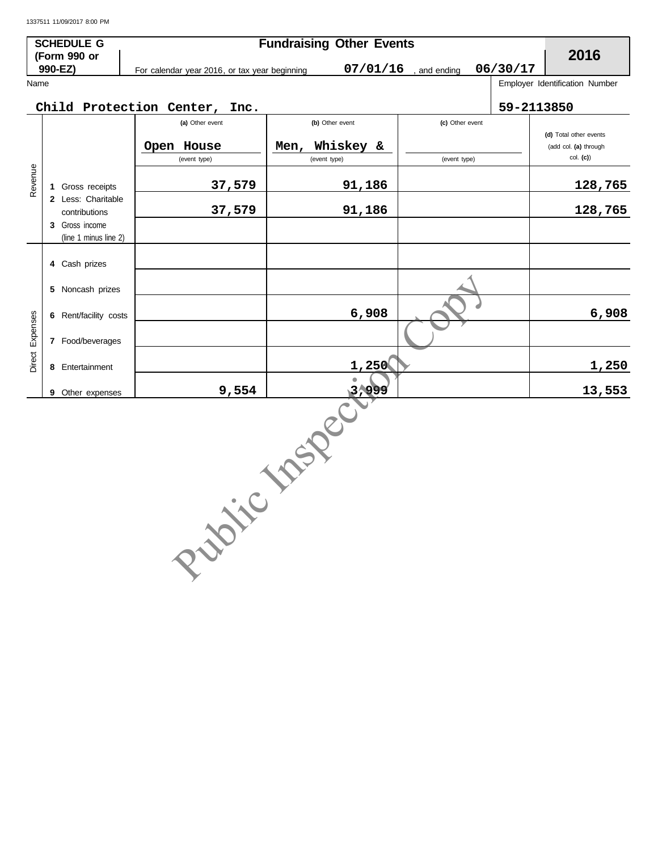|          | <b>SCHEDULE G</b><br>(Form 990 or       |                                               | <b>Fundraising Other Events</b> |                 |            | 2016                           |
|----------|-----------------------------------------|-----------------------------------------------|---------------------------------|-----------------|------------|--------------------------------|
| 990-EZ)  |                                         | For calendar year 2016, or tax year beginning | 07/01/16                        | and ending      | 06/30/17   |                                |
| Name     |                                         |                                               |                                 |                 |            | Employer Identification Number |
|          |                                         |                                               |                                 |                 |            |                                |
|          |                                         | Child Protection Center,<br>Inc.              |                                 |                 | 59-2113850 |                                |
|          |                                         | (a) Other event                               | (b) Other event                 | (c) Other event |            | (d) Total other events         |
|          |                                         | Open House                                    | Whiskey &<br>Men,               |                 |            | (add col. (a) through          |
|          |                                         | (event type)                                  | (event type)                    | (event type)    |            | $col.$ (c))                    |
| Revenue  | 1 Gross receipts                        | 37,579                                        | 91,186                          |                 |            | 128,765                        |
|          | 2 Less: Charitable<br>contributions     | 37,579                                        | 91,186                          |                 |            | 128,765                        |
|          | 3 Gross income<br>(line 1 minus line 2) |                                               |                                 |                 |            |                                |
|          | 4 Cash prizes                           |                                               |                                 |                 |            |                                |
|          | 5 Noncash prizes                        |                                               |                                 |                 |            |                                |
|          | 6 Rent/facility costs                   |                                               | 6,908                           |                 |            | 6,908                          |
| Expenses | 7 Food/beverages                        |                                               |                                 |                 |            |                                |
| Direct   | 8 Entertainment                         |                                               | 1,250                           |                 |            | 1,250                          |
|          | 9 Other expenses                        |                                               | 3,999                           |                 |            | 13,553                         |
|          |                                         |                                               | 2011-12-22-20                   |                 |            |                                |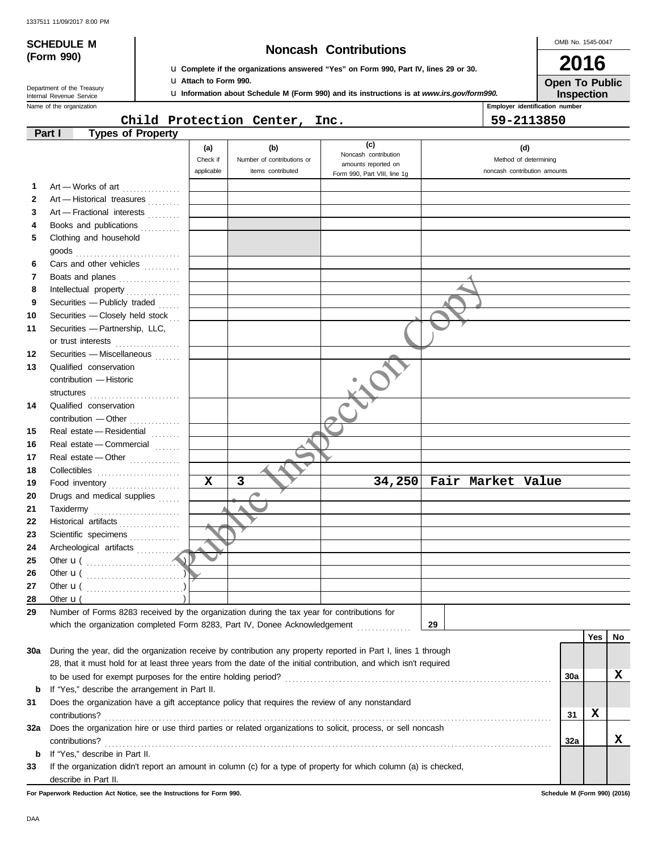# u **Complete if the organizations answered "Yes" on Form 990, Part IV, lines 29 or 30. SCHEDULE M Noncash Contributions**

OMB No. 1545-0047

| 2016              |
|-------------------|
| Open To Public    |
| <b>Inspection</b> |

Department of the Treasury<br>Internal Revenue Service

**(Form 990)**

u **Information about Schedule M (Form 990) and its instructions is at** *www.irs.gov/form990.* u **Attach to Form 990.**

Name of the organization **Employer identification number Employer identification number** 

### **Part I Types of Property Child Protection Center, Inc. 59-2113850**

|              | ι γροστοι τι τοροιτη                                                                                               |                         |                            |                              |                              |     |             |    |
|--------------|--------------------------------------------------------------------------------------------------------------------|-------------------------|----------------------------|------------------------------|------------------------------|-----|-------------|----|
|              |                                                                                                                    | (a)                     | (b)                        | (c)<br>Noncash contribution  | (d)                          |     |             |    |
|              |                                                                                                                    | Check if                | Number of contributions or | amounts reported on          | Method of determining        |     |             |    |
|              |                                                                                                                    | applicable              | items contributed          | Form 990, Part VIII, line 1g | noncash contribution amounts |     |             |    |
| 1.           | Art - Works of art                                                                                                 |                         |                            |                              |                              |     |             |    |
| $\mathbf{2}$ | Art - Historical treasures                                                                                         |                         |                            |                              |                              |     |             |    |
| 3            | Art - Fractional interests                                                                                         |                         |                            |                              |                              |     |             |    |
| 4            | Books and publications                                                                                             |                         |                            |                              |                              |     |             |    |
| 5            | Clothing and household                                                                                             |                         |                            |                              |                              |     |             |    |
|              |                                                                                                                    |                         |                            |                              |                              |     |             |    |
| 6            | Cars and other vehicles                                                                                            |                         |                            |                              |                              |     |             |    |
| 7            | Boats and planes                                                                                                   |                         |                            |                              |                              |     |             |    |
| 8            |                                                                                                                    |                         |                            |                              |                              |     |             |    |
| 9            | Securities - Publicly traded                                                                                       |                         |                            |                              |                              |     |             |    |
| 10           | Securities - Closely held stock                                                                                    |                         |                            |                              |                              |     |             |    |
| 11           | Securities - Partnership, LLC,                                                                                     |                         |                            |                              |                              |     |             |    |
|              | or trust interests<br>.                                                                                            |                         |                            |                              |                              |     |             |    |
| 12           | Securities - Miscellaneous                                                                                         |                         |                            |                              |                              |     |             |    |
| 13           | Qualified conservation                                                                                             |                         |                            |                              |                              |     |             |    |
|              | contribution - Historic                                                                                            |                         |                            |                              |                              |     |             |    |
|              |                                                                                                                    |                         |                            |                              |                              |     |             |    |
| 14           | structures<br>Qualified conservation                                                                               |                         |                            |                              |                              |     |             |    |
|              | contribution - Other                                                                                               |                         |                            |                              |                              |     |             |    |
| 15           | Real estate - Residential                                                                                          |                         |                            |                              |                              |     |             |    |
| 16           | Real estate - Commercial                                                                                           |                         |                            |                              |                              |     |             |    |
| 17           |                                                                                                                    |                         |                            |                              |                              |     |             |    |
|              | Real estate - Other                                                                                                |                         |                            |                              |                              |     |             |    |
| 18           |                                                                                                                    | $\overline{\mathbf{x}}$ | 3                          | 34,250                       | Fair Market Value            |     |             |    |
| 19           | Food inventory                                                                                                     |                         |                            |                              |                              |     |             |    |
| 20           | Drugs and medical supplies                                                                                         |                         |                            |                              |                              |     |             |    |
| 21           | Taxidermy                                                                                                          |                         |                            |                              |                              |     |             |    |
| 22           | Historical artifacts                                                                                               |                         |                            |                              |                              |     |             |    |
| 23           | Scientific specimens                                                                                               |                         |                            |                              |                              |     |             |    |
| 24           | Archeological artifacts                                                                                            |                         |                            |                              |                              |     |             |    |
| 25           |                                                                                                                    |                         |                            |                              |                              |     |             |    |
| 26           |                                                                                                                    |                         |                            |                              |                              |     |             |    |
| 27           |                                                                                                                    |                         |                            |                              |                              |     |             |    |
| 28           | Other $\mathbf{u}$ (                                                                                               |                         |                            |                              |                              |     |             |    |
| 29           | Number of Forms 8283 received by the organization during the tax year for contributions for                        |                         |                            |                              |                              |     |             |    |
|              | which the organization completed Form 8283, Part IV, Donee Acknowledgement                                         |                         |                            |                              | 29                           |     |             |    |
|              |                                                                                                                    |                         |                            |                              |                              |     | Yes         | No |
| 30a          | During the year, did the organization receive by contribution any property reported in Part I, lines 1 through     |                         |                            |                              |                              |     |             |    |
|              | 28, that it must hold for at least three years from the date of the initial contribution, and which isn't required |                         |                            |                              |                              |     |             |    |
|              |                                                                                                                    |                         |                            |                              |                              | 30a |             | X  |
| b            | If "Yes," describe the arrangement in Part II.                                                                     |                         |                            |                              |                              |     |             |    |
| 31           | Does the organization have a gift acceptance policy that requires the review of any nonstandard                    |                         |                            |                              |                              |     |             |    |
|              | contributions?                                                                                                     |                         |                            |                              |                              | 31  | $\mathbf x$ |    |
| 32a          | Does the organization hire or use third parties or related organizations to solicit, process, or sell noncash      |                         |                            |                              |                              |     |             |    |
|              | contributions?                                                                                                     |                         |                            |                              |                              | 32a |             | X  |
| b            | If "Yes," describe in Part II.                                                                                     |                         |                            |                              |                              |     |             |    |
| 33           | If the organization didn't report an amount in column (c) for a type of property for which column (a) is checked,  |                         |                            |                              |                              |     |             |    |
|              | describe in Part II.                                                                                               |                         |                            |                              |                              |     |             |    |

**For Paperwork Reduction Act Notice, see the Instructions for Form 990. Schedule M (Form 990) (2016)**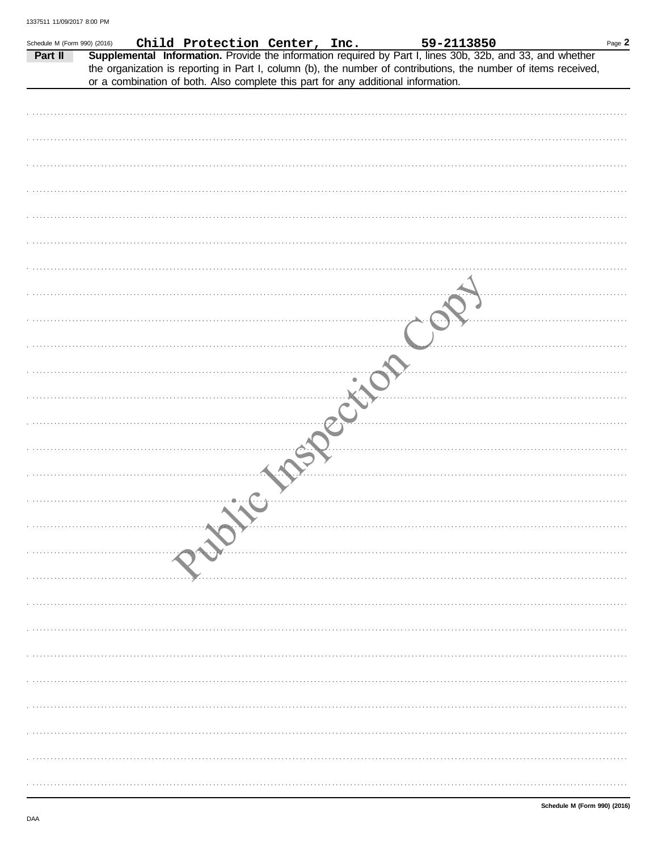| Schedule M (Form 990) (2016) |  | Child Protection Center, Inc. |  | 59-2113850                                                                                                                                                                                                                                                                                                        | Page 2 |
|------------------------------|--|-------------------------------|--|-------------------------------------------------------------------------------------------------------------------------------------------------------------------------------------------------------------------------------------------------------------------------------------------------------------------|--------|
| Part II                      |  |                               |  | Supplemental Information. Provide the information required by Part I, lines 30b, 32b, and 33, and whether<br>the organization is reporting in Part I, column (b), the number of contributions, the number of items received,<br>or a combination of both. Also complete this part for any additional information. |        |
|                              |  |                               |  |                                                                                                                                                                                                                                                                                                                   |        |
|                              |  |                               |  |                                                                                                                                                                                                                                                                                                                   |        |
|                              |  |                               |  |                                                                                                                                                                                                                                                                                                                   |        |
|                              |  |                               |  |                                                                                                                                                                                                                                                                                                                   |        |
|                              |  |                               |  |                                                                                                                                                                                                                                                                                                                   |        |
|                              |  |                               |  |                                                                                                                                                                                                                                                                                                                   |        |
|                              |  |                               |  |                                                                                                                                                                                                                                                                                                                   |        |
|                              |  |                               |  |                                                                                                                                                                                                                                                                                                                   |        |
|                              |  |                               |  |                                                                                                                                                                                                                                                                                                                   |        |
|                              |  |                               |  |                                                                                                                                                                                                                                                                                                                   |        |
|                              |  |                               |  |                                                                                                                                                                                                                                                                                                                   |        |
|                              |  |                               |  |                                                                                                                                                                                                                                                                                                                   |        |
|                              |  |                               |  |                                                                                                                                                                                                                                                                                                                   |        |
|                              |  |                               |  |                                                                                                                                                                                                                                                                                                                   |        |
|                              |  |                               |  |                                                                                                                                                                                                                                                                                                                   |        |
|                              |  |                               |  |                                                                                                                                                                                                                                                                                                                   |        |
|                              |  |                               |  |                                                                                                                                                                                                                                                                                                                   |        |
|                              |  |                               |  |                                                                                                                                                                                                                                                                                                                   |        |
|                              |  |                               |  |                                                                                                                                                                                                                                                                                                                   |        |
|                              |  |                               |  |                                                                                                                                                                                                                                                                                                                   |        |
|                              |  |                               |  |                                                                                                                                                                                                                                                                                                                   |        |
|                              |  |                               |  |                                                                                                                                                                                                                                                                                                                   |        |
|                              |  |                               |  |                                                                                                                                                                                                                                                                                                                   |        |
|                              |  |                               |  |                                                                                                                                                                                                                                                                                                                   |        |
|                              |  |                               |  |                                                                                                                                                                                                                                                                                                                   |        |
|                              |  |                               |  |                                                                                                                                                                                                                                                                                                                   |        |
|                              |  |                               |  |                                                                                                                                                                                                                                                                                                                   |        |
|                              |  |                               |  |                                                                                                                                                                                                                                                                                                                   |        |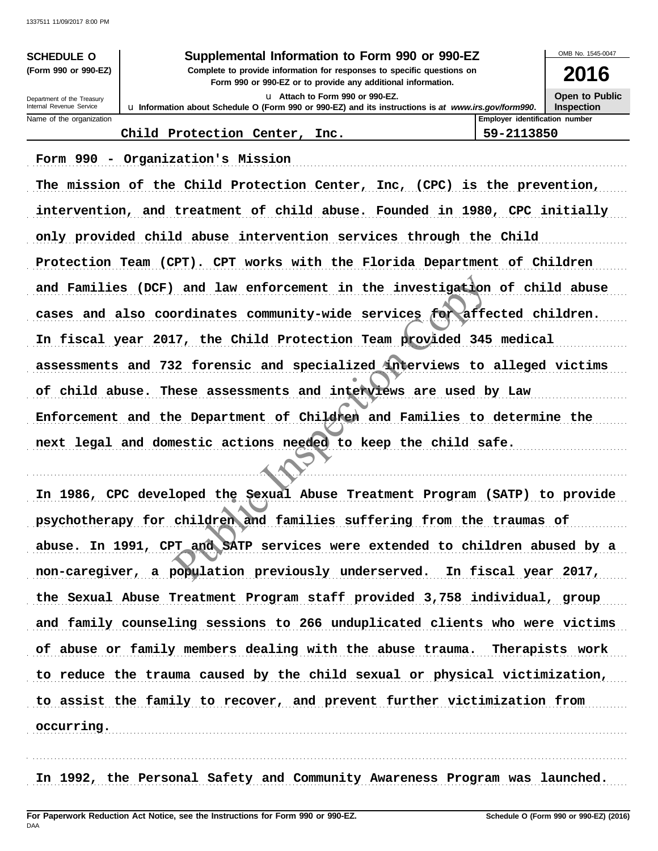### **SCHEDULE O Supplemental Information to Form 990 or 990-EZ**

**Form 990 or 990-EZ or to provide any additional information. (Form 990 or 990-EZ) Complete to provide information for responses to specific questions on** u **Attach to Form 990 or 990-EZ.**

OMB No. 1545-0047 **2016**

**Open to Public**

Name of the organization **Employer identification number Employer identification number** Internal Revenue Service Department of the Treasury

**Inspection** u **Information about Schedule O (Form 990 or 990-EZ) and its instructions is** *at www.irs.gov/form990***.**

**Child Protection Center, Inc. 59-2113850**

Form 990 - Organization's Mission

The mission of the Child Protection Center, Inc, (CPC) is the prevention, intervention, and treatment of child abuse. Founded in 1980, CPC initially only provided child abuse intervention services through the Child Protection Team (CPT). CPT works with the Florida Department of Children and Families (DCF) and law enforcement in the investigation of child abuse cases and also coordinates community-wide services for affected children. In fiscal year 2017, the Child Protection Team provided 345 medical assessments and 732 forensic and specialized interviews to alleged victims of child abuse. These assessments and interviews are used by Law Enforcement and the Department of Children and Families to determine the next legal and domestic actions needed to keep the child safe. and law enforcement in the investigation<br>ordinates community-wide services for affection<br>17, the Child Protection Team provided 345<br>22 forensic and specialized interviews to<br>nese assessments and interviews are used b<br>ne De

In 1986, CPC developed the Sexual Abuse Treatment Program (SATP) to provide psychotherapy for children and families suffering from the traumas of abuse. In 1991, CPT and SATP services were extended to children abused by a non-caregiver, a population previously underserved. In fiscal year 2017, the Sexual Abuse Treatment Program staff provided 3,758 individual, group and family counseling sessions to 266 unduplicated clients who were victims of abuse or family members dealing with the abuse trauma. Therapists work to reduce the trauma caused by the child sexual or physical victimization, to assist the family to recover, and prevent further victimization from . . . . . . . . . . . . . . . . . . . . . . . . . . . . . . . . . . . . . . . . . . . . . . . . . . . . . . . . . . . . . . . . . . . . . . . . . . . . . . . . . . . . . . . . . . . . . . . . . . . . . . . . . . . . . . . . . . . . . . . . . . . . . . . . . . . . . . . . . . . . . . . . . . . . . . . . . . . . . . . . . . . . . . **occurring.**

. . . . . . . . . . . . . . . . . . . . . . . . . . . . . . . . . . . . . . . . . . . . . . . . . . . . . . . . . . . . . . . . . . . . . . . . . . . . . . . . . . . . . . . . . . . . . . . . . . . . . . . . . . . . . . . . . . . . . . . . . . . . . . . . . . . . . . . . . . . . . . . . . . . . . . . . . . . . . . . . . . . . . .

. . . . . . . . . . . . . . . . . . . . . . . . . . . . . . . . . . . . . . . . . . . . . . . . . . . . . . . . . . . . . . . . . . . . . . . . . . . . . . . . . . . . . . . . . . . . . . . . . . . . . . . . . . . . . . . . . . . . . . . . . . . . . . . . . . . . . . . . . . . . . . . . . . . . . . . . . . . . . . . . . . . . . . In 1992, the Personal Safety and Community Awareness Program was launched.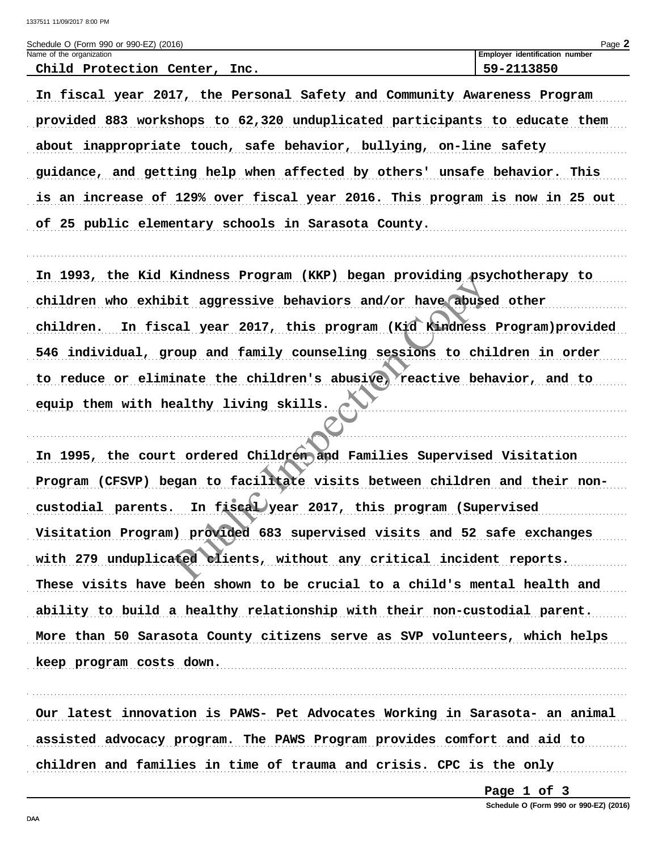| Page _<br>Schedule O (Form 990 or 990-EZ) (2016) |      |                                       |  |  |
|--------------------------------------------------|------|---------------------------------------|--|--|
| Name of the organization                         |      | <b>Employer identification number</b> |  |  |
| Child Protection Center,                         | Inc. | 59-2113850                            |  |  |

In fiscal year 2017, the Personal Safety and Community Awareness Program provided 883 workshops to 62,320 unduplicated participants to educate them about inappropriate touch, safe behavior, bullying, on-line safety guidance, and getting help when affected by others' unsafe behavior. This is an increase of 129% over fiscal year 2016. This program is now in 25 out of 25 public elementary schools in Sarasota County.

In 1993, the Kid Kindness Program (KKP) began providing psychotherapy to children who exhibit aggressive behaviors and/or have abused other children. In fiscal year 2017, this program (Kid Kindness Program) provided 546 individual, group and family counseling sessions to children in order to reduce or eliminate the children's abusive, reactive behavior, and to equip them with healthy living skills.

In 1995, the court ordered Children and Families Supervised Visitation Program (CFSVP) began to facilitate visits between children and their noncustodial parents. In fiscal year 2017, this program (Supervised Visitation Program) provided 683 supervised visits and 52 safe exchanges with 279 unduplicated clients, without any critical incident reports. These visits have been shown to be crucial to a child's mental health and ability to build a healthy relationship with their non-custodial parent. More than 50 Sarasota County citizens serve as SVP volunteers, which helps keep program costs down.

Our latest innovation is PAWS- Pet Advocates Working in Sarasota- an animal assisted advocacy program. The PAWS Program provides comfort and aid to children and families in time of trauma and crisis. CPC is the only

Page 1 of 3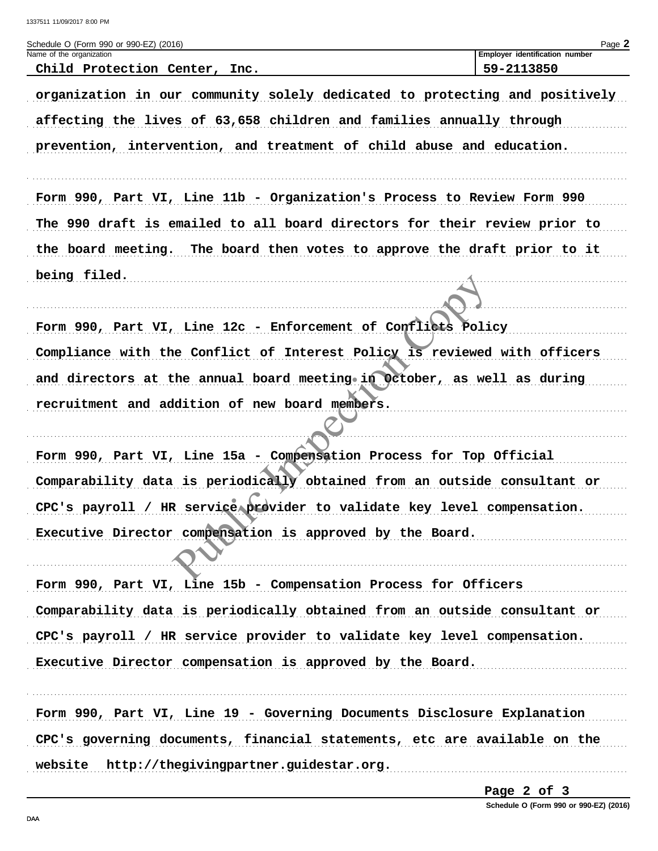Schedule O (Form 990 or 990-EZ) (2016) Page 2 Name of the organization **Employer identification number** 59-2113850 Child Protection Center, Inc. organization in our community solely dedicated to protecting and positively affecting the lives of 63,658 children and families annually through prevention, intervention, and treatment of child abuse and education. Form 990, Part VI, Line 11b - Organization's Process to Review Form 990 The 990 draft is emailed to all board directors for their review prior to the board meeting. The board then votes to approve the draft prior to it being filed. Form 990, Part VI, Line 12c - Enforcement of Conflicts Policy Compliance with the Conflict of Interest Policy is reviewed with officers and directors at the annual board meeting in October, as well as during recruitment and addition of new board members. Form 990, Part VI, Line 15a - Compensation Process for Top Official Comparability data is periodically obtained from an outside consultant or CPC's payroll / HR service provider to validate key level compensation. Executive Director compensation is approved by the Board. Form 990, Part VI, Line 15b - Compensation Process for Officers Comparability data is periodically obtained from an outside consultant or  $CPC's$  payroll / HR service provider to validate key level compensation. Executive Director compensation is approved by the Board. Form 990, Part VI, Line 19 - Governing Documents Disclosure Explanation CPC's governing documents, financial statements, etc are available on the website http://thegivingpartner.guidestar.org.

Page 2 of 3

Schedule O (Form 990 or 990-EZ) (2016)